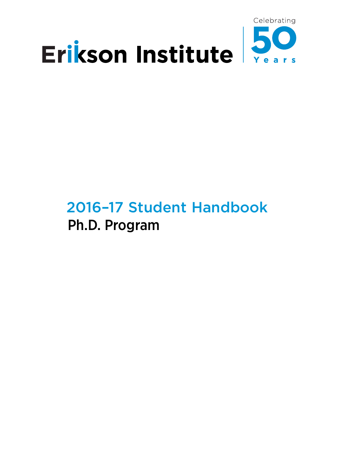

# 2016–17 Student Handbook Ph.D. Program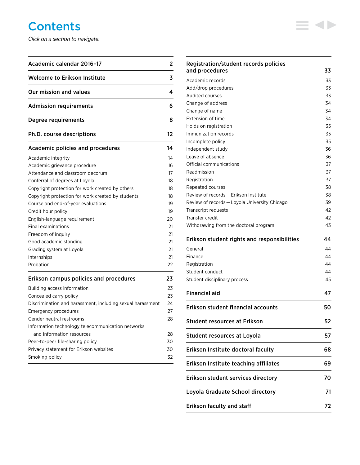# **Contents**

*Click on a section to navigate.*

| Academic calendar 2016-17                                  |    |
|------------------------------------------------------------|----|
| Welcome to Erikson Institute                               | 3  |
| Our mission and values                                     | 4  |
| Admission requirements                                     | 6  |
| Degree requirements                                        | 8  |
| <b>Ph.D. course descriptions</b>                           | 12 |
| Academic policies and procedures                           | 14 |
| Academic integrity                                         | 14 |
| Academic grievance procedure                               | 16 |
| Attendance and classroom decorum                           | 17 |
| Conferral of degrees at Loyola                             | 18 |
| Copyright protection for work created by others            | 18 |
| Copyright protection for work created by students          | 18 |
| Course and end-of-year evaluations                         | 19 |
| Credit hour policy                                         | 19 |
| English-language requirement                               | 20 |
| Final examinations                                         | 21 |
| Freedom of inquiry                                         | 21 |
| Good academic standing                                     | 21 |
| Grading system at Loyola                                   | 21 |
| Internships                                                | 21 |
| Probation                                                  | 22 |
| Erikson campus policies and procedures                     | 23 |
| Building access information                                | 23 |
| Concealed carry policy                                     | 23 |
| Discrimination and harassment, including sexual harassment | 24 |
| <b>Emergency procedures</b>                                | 27 |
| Gender neutral restrooms                                   | 28 |
| Information technology telecommunication networks          |    |
| and information resources                                  | 28 |
| Peer-to-peer file-sharing policy                           | 30 |
| Privacy statement for Erikson websites                     | 30 |
| Smoking policy                                             | 32 |

 $\overline{\phantom{0}}$ 

| Registration/student records policies<br>and procedures                                                                                                                                                                                                                                                                                                                               | 33                               |  |
|---------------------------------------------------------------------------------------------------------------------------------------------------------------------------------------------------------------------------------------------------------------------------------------------------------------------------------------------------------------------------------------|----------------------------------|--|
| Academic records                                                                                                                                                                                                                                                                                                                                                                      | 33                               |  |
| Add/drop procedures                                                                                                                                                                                                                                                                                                                                                                   | 33                               |  |
| Audited courses                                                                                                                                                                                                                                                                                                                                                                       | 33                               |  |
| Change of address                                                                                                                                                                                                                                                                                                                                                                     |                                  |  |
| Change of name                                                                                                                                                                                                                                                                                                                                                                        |                                  |  |
| Extension of time                                                                                                                                                                                                                                                                                                                                                                     | 34                               |  |
| Holds on registration                                                                                                                                                                                                                                                                                                                                                                 | 35                               |  |
| Immunization records                                                                                                                                                                                                                                                                                                                                                                  | 35                               |  |
| Incomplete policy                                                                                                                                                                                                                                                                                                                                                                     | 35                               |  |
| Independent study                                                                                                                                                                                                                                                                                                                                                                     | 36                               |  |
| Leave of absence                                                                                                                                                                                                                                                                                                                                                                      | 36                               |  |
| Official communications                                                                                                                                                                                                                                                                                                                                                               | 37                               |  |
| Readmission                                                                                                                                                                                                                                                                                                                                                                           | 37                               |  |
| Registration                                                                                                                                                                                                                                                                                                                                                                          | 37                               |  |
| Repeated courses                                                                                                                                                                                                                                                                                                                                                                      | 38                               |  |
| Review of records - Erikson Institute                                                                                                                                                                                                                                                                                                                                                 | 38                               |  |
| Review of records - Loyola University Chicago                                                                                                                                                                                                                                                                                                                                         | 39                               |  |
| Transcript requests                                                                                                                                                                                                                                                                                                                                                                   | 42                               |  |
| Transfer credit                                                                                                                                                                                                                                                                                                                                                                       | 42                               |  |
| Withdrawing from the doctoral program                                                                                                                                                                                                                                                                                                                                                 | 43                               |  |
| Erikson student rights and responsibilities                                                                                                                                                                                                                                                                                                                                           | 44                               |  |
| General                                                                                                                                                                                                                                                                                                                                                                               |                                  |  |
|                                                                                                                                                                                                                                                                                                                                                                                       |                                  |  |
|                                                                                                                                                                                                                                                                                                                                                                                       |                                  |  |
|                                                                                                                                                                                                                                                                                                                                                                                       |                                  |  |
|                                                                                                                                                                                                                                                                                                                                                                                       |                                  |  |
|                                                                                                                                                                                                                                                                                                                                                                                       | 44<br>44<br>44<br>44<br>45<br>47 |  |
|                                                                                                                                                                                                                                                                                                                                                                                       |                                  |  |
|                                                                                                                                                                                                                                                                                                                                                                                       | 50<br>52                         |  |
|                                                                                                                                                                                                                                                                                                                                                                                       |                                  |  |
|                                                                                                                                                                                                                                                                                                                                                                                       |                                  |  |
|                                                                                                                                                                                                                                                                                                                                                                                       |                                  |  |
|                                                                                                                                                                                                                                                                                                                                                                                       |                                  |  |
| Finance<br>Registration<br>Student conduct<br>Student disciplinary process<br><b>Financial aid</b><br><b>Erikson student financial accounts</b><br><b>Student resources at Erikson</b><br><b>Student resources at Loyola</b><br>Erikson Institute doctoral faculty<br>Erikson Institute teaching affiliates<br>Erikson student services directory<br>Loyola Graduate School directory | 57<br>68<br>69<br>70<br>71       |  |

≡∢▶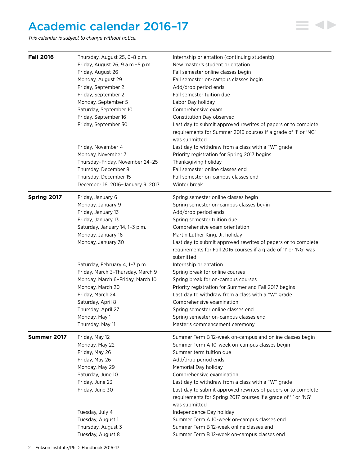# <span id="page-2-0"></span>Academic calendar 2016–17

*This calendar is subject to change without notice.*

| <b>Fall 2016</b> | Thursday, August 25, 6-8 p.m.      | Internship orientation (continuing students)                                  |
|------------------|------------------------------------|-------------------------------------------------------------------------------|
|                  | Friday, August 26, 9 a.m. - 5 p.m. | New master's student orientation                                              |
|                  | Friday, August 26                  | Fall semester online classes begin                                            |
|                  | Monday, August 29                  | Fall semester on-campus classes begin                                         |
|                  | Friday, September 2                | Add/drop period ends                                                          |
|                  | Friday, September 2                | Fall semester tuition due                                                     |
|                  | Monday, September 5                | Labor Day holiday                                                             |
|                  | Saturday, September 10             | Comprehensive exam                                                            |
|                  | Friday, September 16               | Constitution Day observed                                                     |
|                  | Friday, September 30               | Last day to submit approved rewrites of papers or to complete                 |
|                  |                                    | requirements for Summer 2016 courses if a grade of 'I' or 'NG'                |
|                  |                                    | was submitted                                                                 |
|                  | Friday, November 4                 | Last day to withdraw from a class with a "W" grade                            |
|                  | Monday, November 7                 | Priority registration for Spring 2017 begins                                  |
|                  | Thursday-Friday, November 24-25    | Thanksgiving holiday                                                          |
|                  | Thursday, December 8               | Fall semester online classes end                                              |
|                  | Thursday, December 15              | Fall semester on-campus classes end                                           |
|                  | December 16, 2016-January 9, 2017  | Winter break                                                                  |
| Spring 2017      | Friday, January 6                  | Spring semester online classes begin                                          |
|                  | Monday, January 9                  | Spring semester on-campus classes begin                                       |
|                  | Friday, January 13                 | Add/drop period ends                                                          |
|                  | Friday, January 13                 | Spring semester tuition due                                                   |
|                  | Saturday, January 14, 1-3 p.m.     | Comprehensive exam orientation                                                |
|                  | Monday, January 16                 | Martin Luther King, Jr. holiday                                               |
|                  | Monday, January 30                 | Last day to submit approved rewrites of papers or to complete                 |
|                  |                                    | requirements for Fall 2016 courses if a grade of 'I' or 'NG' was<br>submitted |
|                  | Saturday, February 4, 1-3 p.m.     | Internship orientation                                                        |
|                  | Friday, March 3-Thursday, March 9  | Spring break for online courses                                               |
|                  | Monday, March 6-Friday, March 10   | Spring break for on-campus courses                                            |
|                  | Monday, March 20                   | Priority registration for Summer and Fall 2017 begins                         |
|                  |                                    |                                                                               |
|                  | Friday, March 24                   | Last day to withdraw from a class with a "W" grade                            |
|                  | Saturday, April 8                  | Comprehensive examination                                                     |
|                  | Thursday, April 27                 | Spring semester online classes end                                            |
|                  | Monday, May 1                      | Spring semester on-campus classes end                                         |
|                  | Thursday, May 11                   | Master's commencement ceremony                                                |
| Summer 2017      | Friday, May 12                     | Summer Term B 12-week on-campus and online classes begin                      |
|                  | Monday, May 22                     | Summer Term A 10-week on-campus classes begin                                 |
|                  | Friday, May 26                     | Summer term tuition due                                                       |
|                  | Friday, May 26                     | Add/drop period ends                                                          |
|                  | Monday, May 29                     | Memorial Day holiday                                                          |
|                  | Saturday, June 10                  | Comprehensive examination                                                     |
|                  | Friday, June 23                    | Last day to withdraw from a class with a "W" grade                            |
|                  | Friday, June 30                    | Last day to submit approved rewrites of papers or to complete                 |
|                  |                                    | requirements for Spring 2017 courses if a grade of 'I' or 'NG'                |
|                  |                                    | was submitted                                                                 |
|                  | Tuesday, July 4                    | Independence Day holiday                                                      |
|                  | Tuesday, August 1                  | Summer Term A 10-week on-campus classes end                                   |
|                  | Thursday, August 3                 | Summer Term B 12-week online classes end                                      |
|                  | Tuesday, August 8                  | Summer Term B 12-week on-campus classes end                                   |

**E 4D**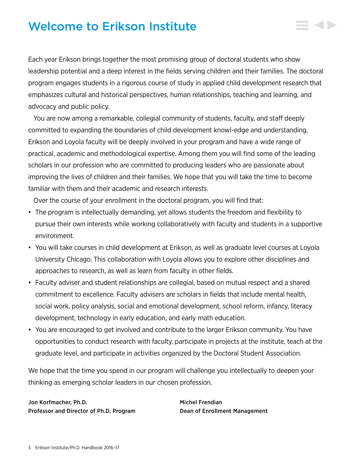# <span id="page-3-0"></span>Welcome to Erikson Institute

Each year Erikson brings together the most promising group of doctoral students who show leadership potential and a deep interest in the fields serving children and their families. The doctoral program engages students in a rigorous course of study in applied child development research that emphasizes cultural and historical perspectives, human relationships, teaching and learning, and advocacy and public policy.

You are now among a remarkable, collegial community of students, faculty, and staff deeply committed to expanding the boundaries of child development knowl-edge and understanding. Erikson and Loyola faculty will be deeply involved in your program and have a wide range of practical, academic and methodological expertise. Among them you will find some of the leading scholars in our profession who are committed to producing leaders who are passionate about improving the lives of children and their families. We hope that you will take the time to become familiar with them and their academic and research interests.

Over the course of your enrollment in the doctoral program, you will find that:

- The program is intellectually demanding, yet allows students the freedom and flexibility to pursue their own interests while working collaboratively with faculty and students in a supportive environment.
- You will take courses in child development at Erikson, as well as graduate level courses at Loyola University Chicago. This collaboration with Loyola allows you to explore other disciplines and approaches to research, as well as learn from faculty in other fields.
- Faculty adviser and student relationships are collegial, based on mutual respect and a shared commitment to excellence. Faculty advisers are scholars in fields that include mental health, social work, policy analysis, social and emotional development, school reform, infancy, literacy development, technology in early education, and early math education.
- You are encouraged to get involved and contribute to the larger Erikson community. You have opportunities to conduct research with faculty, participate in projects at the institute, teach at the graduate level, and participate in activities organized by the Doctoral Student Association.

We hope that the time you spend in our program will challenge you intellectually to deepen your thinking as emerging scholar leaders in our chosen profession.

Jon Korfmacher, Ph.D. Michel Frendian Professor and Director of Ph.D. Program Dean of Enrollment Management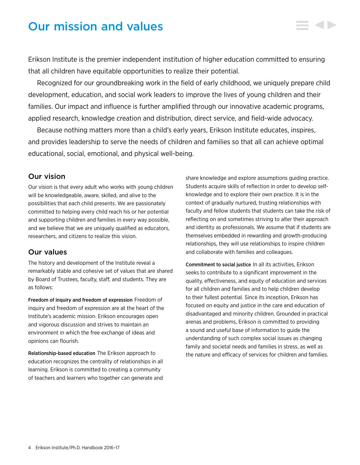# <span id="page-4-0"></span>Our mission and values

Erikson Institute is the premier independent institution of higher education committed to ensuring that all children have equitable opportunities to realize their potential.

Recognized for our groundbreaking work in the field of early childhood, we uniquely prepare child development, education, and social work leaders to improve the lives of young children and their families. Our impact and influence is further amplified through our innovative academic programs, applied research, knowledge creation and distribution, direct service, and field-wide advocacy.

Because nothing matters more than a child's early years, Erikson Institute educates, inspires, and provides leadership to serve the needs of children and families so that all can achieve optimal educational, social, emotional, and physical well-being.

# Our vision

Our vision is that every adult who works with young children will be knowledgeable, aware, skilled, and alive to the possibilities that each child presents. We are passionately committed to helping every child reach his or her potential and supporting children and families in every way possible, and we believe that we are uniquely qualified as educators, researchers, and citizens to realize this vision.

# Our values

The history and development of the Institute reveal a remarkably stable and cohesive set of values that are shared by Board of Trustees, faculty, staff, and students. They are as follows:

Freedom of inquiry and freedom of expression Freedom of inquiry and freedom of expression are at the heart of the Institute's academic mission. Erikson encourages open and vigorous discussion and strives to maintain an environment in which the free exchange of ideas and opinions can flourish.

Relationship-based education The Erikson approach to education recognizes the centrality of relationships in all learning. Erikson is committed to creating a community of teachers and learners who together can generate and

share knowledge and explore assumptions guiding practice. Students acquire skills of reflection in order to develop selfknowledge and to explore their own practice. It is in the context of gradually nurtured, trusting relationships with faculty and fellow students that students can take the risk of reflecting on and sometimes striving to alter their approach and identity as professionals. We assume that if students are themselves embedded in rewarding and growth-producing relationships, they will use relationships to inspire children and collaborate with families and colleagues.

Commitment to social justice In all its activities, Erikson seeks to contribute to a significant improvement in the quality, effectiveness, and equity of education and services for all children and families and to help children develop to their fullest potential. Since its inception, Erikson has focused on equity and justice in the care and education of disadvantaged and minority children. Grounded in practical arenas and problems, Erikson is committed to providing a sound and useful base of information to guide the understanding of such complex social issues as changing family and societal needs and families in stress, as well as the nature and efficacy of services for children and families.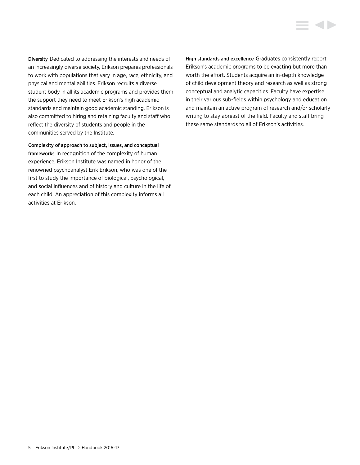Diversity Dedicated to addressing the interests and needs of an increasingly diverse society, Erikson prepares professionals to work with populations that vary in age, race, ethnicity, and physical and mental abilities. Erikson recruits a diverse student body in all its academic programs and provides them the support they need to meet Erikson's high academic standards and maintain good academic standing. Erikson is also committed to hiring and retaining faculty and staff who reflect the diversity of students and people in the communities served by the Institute.

Complexity of approach to subject, issues, and conceptual frameworks In recognition of the complexity of human experience, Erikson Institute was named in honor of the renowned psychoanalyst Erik Erikson, who was one of the first to study the importance of biological, psychological, and social influences and of history and culture in the life of each child. An appreciation of this complexity informs all activities at Erikson.

High standards and excellence Graduates consistently report Erikson's academic programs to be exacting but more than worth the effort. Students acquire an in-depth knowledge of child development theory and research as well as strong conceptual and analytic capacities. Faculty have expertise in their various sub-fields within psychology and education and maintain an active program of research and/or scholarly writing to stay abreast of the field. Faculty and staff bring these same standards to all of Erikson's activities.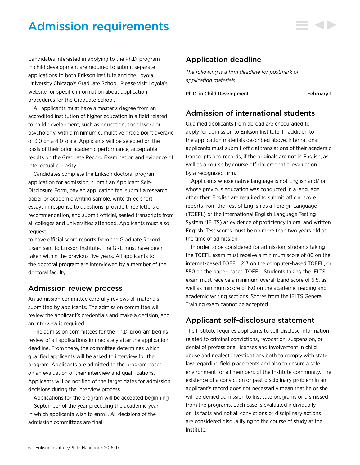# <span id="page-6-0"></span>Admission requirements

Candidates interested in applying to the Ph.D. program in child development are required to submit separate applications to both Erikson Institute and the Loyola University Chicago's Graduate School. Please visit Loyola's website for specific information about application procedures for the Graduate School.

All applicants must have a master's degree from an accredited institution of higher education in a field related to child development, such as education, social work or psychology, with a minimum cumulative grade point average of 3.0 on a 4.0 scale. Applicants will be selected on the basis of their prior academic performance, acceptable results on the Graduate Record Examination and evidence of intellectual curiosity.

Candidates complete the Erikson doctoral program application for admission, submit an Applicant Self-Disclosure Form, pay an application fee, submit a research paper or academic writing sample, write three short essays in response to questions, provide three letters of recommendation, and submit official, sealed transcripts from all colleges and universities attended. Applicants must also request

to have official score reports from the Graduate Record Exam sent to Erikson Institute. The GRE must have been taken within the previous five years. All applicants to the doctoral program are interviewed by a member of the doctoral faculty.

# Admission review process

An admission committee carefully reviews all materials submitted by applicants. The admission committee will review the applicant's credentials and make a decision, and an interview is required.

The admission committees for the Ph.D. program begins review of all applications immediately after the application deadline. From there, the committee determines which qualified applicants will be asked to interview for the program. Applicants are admitted to the program based on an evaluation of their interview and qualifications. Applicants will be notified of the target dates for admission decisions during the interview process.

Applications for the program will be accepted beginning in September of the year preceding the academic year in which applicants wish to enroll. All decisions of the admission committees are final.

# Application deadline

*The following is a firm deadline for postmark of application materials.*

Ph.D. in Child Development February 1

# Admission of international students

Qualified applicants from abroad are encouraged to apply for admission to Erikson Institute. In addition to the application materials described above, international applicants must submit official translations of their academic transcripts and records, if the originals are not in English, as well as a course by course official credential evaluation by a recognized firm.

Applicants whose native language is not English and/ or whose previous education was conducted in a language other then English are required to submit official score reports from the Test of English as a Foreign Language (TOEFL) or the International English Language Testing System (IELTS) as evidence of proficiency in oral and written English. Test scores must be no more than two years old at the time of admission.

In order to be considered for admission, students taking the TOEFL exam must receive a minimum score of 80 on the internet-based TOEFL, 213 on the computer-based TOEFL, or 550 on the paper-based TOEFL. Students taking the IELTS exam must receive a minimum overall band score of 6.5, as well as minimum score of 6.0 on the academic reading and academic writing sections. Scores from the IELTS General Training exam cannot be accepted.

# Applicant self-disclosure statement

The Institute requires applicants to self-disclose information related to criminal convictions, revocation, suspension, or denial of professional licenses and involvement in child abuse and neglect investigations both to comply with state law regarding field placements and also to ensure a safe environment for all members of the Institute community. The existence of a conviction or past disciplinary problem in an applicant's record does not necessarily mean that he or she will be denied admission to Institute programs or dismissed from the programs. Each case is evaluated individually on its facts and not all convictions or disciplinary actions are considered disqualifying to the course of study at the Institute.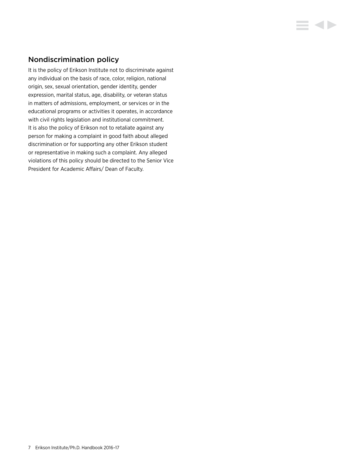# Nondiscrimination policy

It is the policy of Erikson Institute not to discriminate against any individual on the basis of race, color, religion, national origin, sex, sexual orientation, gender identity, gender expression, marital status, age, disability, or veteran status in matters of admissions, employment, or services or in the educational programs or activities it operates, in accordance with civil rights legislation and institutional commitment. It is also the policy of Erikson not to retaliate against any person for making a complaint in good faith about alleged discrimination or for supporting any other Erikson student or representative in making such a complaint. Any alleged violations of this policy should be directed to the Senior Vice President for Academic Affairs/ Dean of Faculty.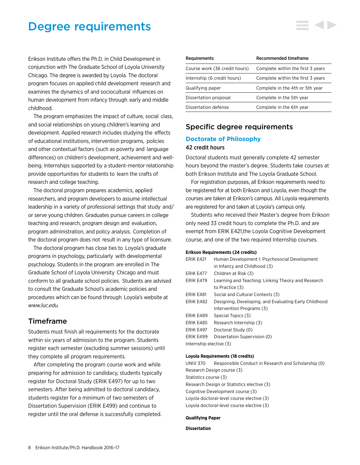# <span id="page-8-0"></span>Degree requirements

Erikson Institute offers the Ph.D. in Child Development in conjunction with The Graduate School of Loyola University Chicago. The degree is awarded by Loyola. The doctoral program focuses on applied child development research and examines the dynamics of and sociocultural influences on human development from infancy through early and middle childhood.

The program emphasizes the impact of culture, social class, and social relationships on young children's learning and development. Applied research includes studying the effects of educational institutions, intervention programs, policies and other contextual factors (such as poverty and language differences) on children's development, achievement and wellbeing. Internships supported by a student-mentor relationship provide opportunities for students to learn the crafts of research and college teaching.

The doctoral program prepares academics, applied researchers, and program developers to assume intellectual leadership in a variety of professional settings that study and/ or serve young children. Graduates pursue careers in college teaching and research, program design and evaluation, program administration, and policy analysis. Completion of the doctoral program does not result in any type of licensure.

The doctoral program has close ties to Loyola's graduate programs in psychology, particularly with developmental psychology. Students in the program are enrolled in The Graduate School of Loyola University Chicago and must conform to all graduate school policies. Students are advised to consult the Graduate School's academic policies and procedures which can be found through Loyola's website at *[www.luc.edu.](http://www.luc.edu/)*

# Timeframe

Students must finish all requirements for the doctorate within six years of admission to the program. Students register each semester (excluding summer sessions) until they complete all program requirements.

After completing the program course work and while preparing for admission to candidacy, students typically register for Doctoral Study (ERIK E497) for up to two semesters. After being admitted to doctoral candidacy, students register for a minimum of two semesters of Dissertation Supervision (ERIK E499) and continue to register until the oral defense is successfully completed.

| <b>Requirements</b>           | Recommended timeframe             |
|-------------------------------|-----------------------------------|
| Course work (36 credit hours) | Complete within the first 3 years |
| Internship (6 credit hours)   | Complete within the first 3 years |
| Qualifying paper              | Complete in the 4th or 5th year   |
| Dissertation proposal         | Complete in the 5th year          |
| Dissertation defense          | Complete in the 6th year          |

# Specific degree requirements

### **Doctorate of Philosophy** 42 credit hours

Doctoral students must generally complete 42 semester hours beyond the master's degree. Students take courses at both Erikson Institute and The Loyola Graduate School.

For registration purposes, all Erikson requirements need to be registered for at both Erikson and Loyola, even though the courses are taken at Erikson's campus. All Loyola requirements are registered for and taken at Loyola's campus only.

Students who received their Master's degree from Erikson only need 33 credit hours to complete the Ph.D. and are exempt from ERIK E421,the Loyola Cognitive Development course, and one of the two required Internship courses.

#### **Erikson Requirements (24 credits)**

| ERIK E421               | Human Development I: Psychosocial Development         |
|-------------------------|-------------------------------------------------------|
|                         | in Infancy and Childhood (3)                          |
| <b>ERIK E477</b>        | Children at Risk (3)                                  |
| ERIK E479               | Learning and Teaching: Linking Theory and Research    |
|                         | to Practice (3)                                       |
| ERIK E481               | Social and Cultural Contexts (3)                      |
| ERIK E482               | Designing, Developing, and Evaluating Early Childhood |
|                         | Intervention Programs (3)                             |
| ERIK E489               | Special Topics (3)                                    |
| <b>ERIK E485</b>        | Research Internship (3)                               |
| ERIK E497               | Doctoral Study (0)                                    |
| FRIK F499               | Dissertation Supervision (0)                          |
| Internship elective (3) |                                                       |
|                         |                                                       |

#### **Loyola Requirements (18 credits)**

UNIV 370 Responsible Conduct in Research and Scholarship (0) Research Design course (3) Statistics course (3) Research Design or Statistics elective (3) Cognitive Development course (3) Loyola doctoral-level course elective (3) Loyola doctoral-level course elective (3)

#### **Qualifying Paper**

#### **Dissertation**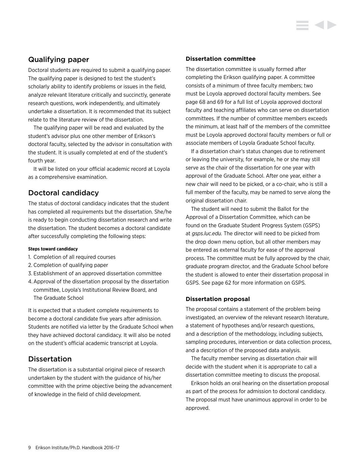# Qualifying paper

Doctoral students are required to submit a qualifying paper. The qualifying paper is designed to test the student's scholarly ability to identify problems or issues in the field, analyze relevant literature critically and succinctly, generate research questions, work independently, and ultimately undertake a dissertation. It is recommended that its subject relate to the literature review of the dissertation.

The qualifying paper will be read and evaluated by the student's advisor plus one other member of Erikson's doctoral faculty, selected by the advisor in consultation with the student. It is usually completed at end of the student's fourth year.

It will be listed on your official academic record at Loyola as a comprehensive examination.

# Doctoral candidacy

The status of doctoral candidacy indicates that the student has completed all requirements but the dissertation. She/he is ready to begin conducting dissertation research and write the dissertation. The student becomes a doctoral candidate after successfully completing the following steps:

#### **Steps toward candidacy**

- 1. Completion of all required courses
- 2. Completion of qualifying paper
- 3. Establishment of an approved dissertation committee
- 4.Approval of the dissertation proposal by the dissertation committee, Loyola's Institutional Review Board, and The Graduate School

It is expected that a student complete requirements to become a doctoral candidate five years after admission. Students are notified via letter by the Graduate School when they have achieved doctoral candidacy. It will also be noted on the student's official academic transcript at Loyola.

# **Dissertation**

The dissertation is a substantial original piece of research undertaken by the student with the guidance of his/her committee with the prime objective being the advancement of knowledge in the field of child development.

#### **Dissertation committee**

The dissertation committee is usually formed after completing the Erikson qualifying paper. A committee consists of a minimum of three faculty members; two must be Loyola approved doctoral faculty members. See page 68 and 69 for a full list of Loyola approved doctoral faculty and teaching affiliates who can serve on dissertation committees. If the number of committee members exceeds the minimum, at least half of the members of the committee must be Loyola approved doctoral faculty members or full or associate members of Loyola Graduate School faculty.

If a dissertation chair's status changes due to retirement or leaving the university, for example, he or she may still serve as the chair of the dissertation for one year with approval of the Graduate School. After one year, either a new chair will need to be picked, or a co-chair, who is still a full member of the faculty, may be named to serve along the original dissertation chair.

The student will need to submit the Ballot for the Approval of a Dissertation Committee, which can be found on the Graduate Student Progress System (GSPS) at *gsps.luc.edu.* The director will need to be picked from the drop down menu option, but all other members may be entered as external faculty for ease of the approval process. The committee must be fully approved by the chair, graduate program director, and the Graduate School before the student is allowed to enter their dissertation proposal in GSPS. See page 62 for more information on GSPS.

#### **Dissertation proposal**

The proposal contains a statement of the problem being investigated, an overview of the relevant research literature, a statement of hypotheses and/or research questions, and a description of the methodology, including subjects, sampling procedures, intervention or data collection process, and a description of the proposed data analysis.

The faculty member serving as dissertation chair will decide with the student when it is appropriate to call a dissertation committee meeting to discuss the proposal.

Erikson holds an oral hearing on the dissertation proposal as part of the process for admission to doctoral candidacy. The proposal must have unanimous approval in order to be approved.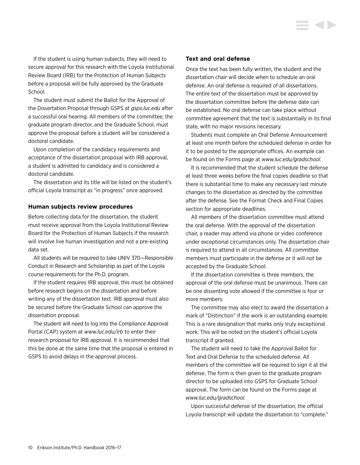If the student is using human subjects, they will need to secure approval for this research with the Loyola Institutional Review Board (IRB) for the Protection of Human Subjects before a proposal will be fully approved by the Graduate School.

The student must submit the Ballot for the Approval of the Dissertation Proposal through GSPS at *gsps.luc.edu* after a successful oral hearing. All members of the committee, the graduate program director, and the Graduate School, must approve the proposal before a student will be considered a doctoral candidate.

Upon completion of the candidacy requirements and acceptance of the dissertation proposal with IRB approval, a student is admitted to candidacy and is considered a doctoral candidate.

The dissertation and its title will be listed on the student's official Loyola transcript as "in progress" once approved.

#### **Human subjects review procedures**

Before collecting data for the dissertation, the student must receive approval from the Loyola Institutional Review Board for the Protection of Human Subjects if the research will involve live human investigation and not a pre-existing data set.

All students will be required to take UNIV 370—Responsible Conduct in Research and Scholarship as part of the Loyola course requirements for the Ph.D. program.

If the student requires IRB approval, this must be obtained before research begins on the dissertation and before writing any of the dissertation text. IRB approval must also be secured before the Graduate School can approve the dissertation proposal.

The student will need to log into the Compliance Approval Portal (CAP) system at *www.luc.edu/irb* to enter their research proposal for IRB approval. It is recommended that this be done at the same time that the proposal is entered in GSPS to avoid delays in the approval process.

#### **Text and oral defense**

Once the text has been fully written, the student and the dissertation chair will decide when to schedule an oral defense. An oral defense is required of all dissertations. The entire text of the dissertation must be approved by the dissertation committee before the defense date can be established. No oral defense can take place without committee agreement that the text is substantially in its final state, with no major revisions necessary.

Students must complete an Oral Defense Announcement at least one month before the scheduled defense in order for it to be posted to the appropriate offices. An example can be found on the Forms page at *[www.luc.edu/gradschool](http://www.luc.edu/gradschool)*.

It is recommended that the student schedule the defense at least three weeks before the final copies deadline so that there is substantial time to make any necessary last minute changes to the dissertation as directed by the committee after the defense. See the Format Check and Final Copies section for appropriate deadlines.

All members of the dissertation committee must attend the oral defense. With the approval of the dissertation chair, a reader may attend via phone or video conference under exceptional circumstances only. The dissertation chair is required to attend in all circumstances. All committee members must participate in the defense or it will not be accepted by the Graduate School.

If the dissertation committee is three members, the approval of the oral defense must be unanimous. There can be one dissenting vote allowed if the committee is four or more members.

The committee may also elect to award the dissertation a mark of "Distinction" if the work is an outstanding example. This is a rare designation that marks only truly exceptional work. This will be noted on the student's official Loyola transcript if granted.

The student will need to take the Approval Ballot for Text and Oral Defense to the scheduled defense. All members of the committee will be required to sign it at the defense. The form is then given to the graduate program director to be uploaded into GSPS for Graduate School approval. The form can be found on the Forms page at *[www.luc.edu/gradschool.](http://www.luc.edu/gradschool)*

Upon successful defense of the dissertation, the official Loyola transcript will update the dissertation to "complete."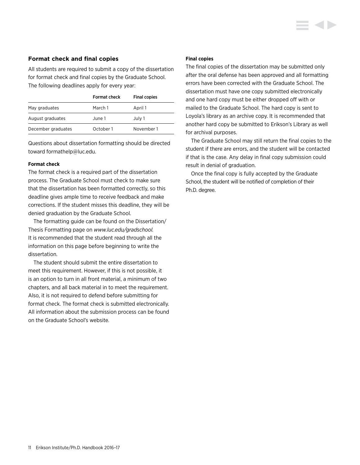#### **Format check and final copies**

All students are required to submit a copy of the dissertation for format check and final copies by the Graduate School. The following deadlines apply for every year:

|                    | <b>Format check</b> | <b>Final copies</b> |
|--------------------|---------------------|---------------------|
| May graduates      | March 1             | April 1             |
| August graduates   | June 1              | July 1              |
| December graduates | October 1           | November 1          |

Questions about dissertation formatting should be directed toward formathelp@luc.edu.

#### **Format check**

The format check is a required part of the dissertation process. The Graduate School must check to make sure that the dissertation has been formatted correctly, so this deadline gives ample time to receive feedback and make corrections. If the student misses this deadline, they will be denied graduation by the Graduate School.

The formatting guide can be found on the Dissertation/ Thesis Formatting page on *[www.luc.edu/gradschool](http://www.luc.edu/gradschool).* It is recommended that the student read through all the information on this page before beginning to write the dissertation.

The student should submit the entire dissertation to meet this requirement. However, if this is not possible, it is an option to turn in all front material, a minimum of two chapters, and all back material in to meet the requirement. Also, it is not required to defend before submitting for format check. The format check is submitted electronically. All information about the submission process can be found on the Graduate School's website.

#### **Final copies**

The final copies of the dissertation may be submitted only after the oral defense has been approved and all formatting errors have been corrected with the Graduate School. The dissertation must have one copy submitted electronically and one hard copy must be either dropped off with or mailed to the Graduate School. The hard copy is sent to Loyola's library as an archive copy. It is recommended that another hard copy be submitted to Erikson's Library as well for archival purposes.

The Graduate School may still return the final copies to the student if there are errors, and the student will be contacted if that is the case. Any delay in final copy submission could result in denial of graduation.

Once the final copy is fully accepted by the Graduate School, the student will be notified of completion of their Ph.D. degree.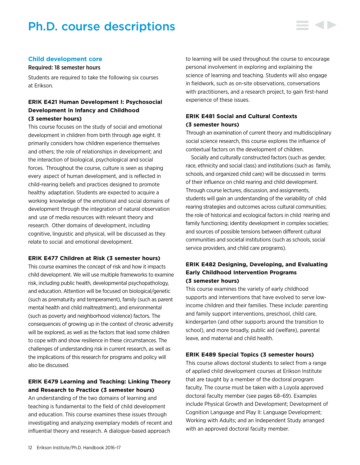# <span id="page-12-0"></span>Ph.D. course descriptions

#### **Child development core**

#### Required: 18 semester hours

Students are required to take the following six courses at Erikson.

## **ERIK E421 Human Development I: Psychosocial Development in Infancy and Childhood (3 semester hours)**

This course focuses on the study of social and emotional development in children from birth through age eight. It primarily considers how children experience themselves and others; the role of relationships in development; and the interaction of biological, psychological and social forces. Throughout the course, culture is seen as shaping every aspect of human development, and is reflected in child-rearing beliefs and practices designed to promote healthy adaptation. Students are expected to acquire a working knowledge of the emotional and social domains of development through the integration of natural observation and use of media resources with relevant theory and research. Other domains of development, including cognitive, linguistic and physical, will be discussed as they relate to social and emotional development.

#### **ERIK E477 Children at Risk (3 semester hours)**

This course examines the concept of risk and how it impacts child development. We will use multiple frameworks to examine risk, including public health, developmental psychopathology, and education. Attention will be focused on biological/genetic (such as prematurity and temperament), family (such as parent mental health and child maltreatment), and environmental (such as poverty and neighborhood violence) factors. The consequences of growing up in the context of chronic adversity will be explored, as well as the factors that lead some children to cope with and show resilience in these circumstances. The challenges of understanding risk in current research, as well as the implications of this research for programs and policy will also be discussed.

# **ERIK E479 Learning and Teaching: Linking Theory and Research to Practice (3 semester hours)**

An understanding of the two domains of learning and teaching is fundamental to the field of child development and education. This course examines these issues through investigating and analyzing exemplary models of recent and influential theory and research. A dialogue-based approach

to learning will be used throughout the course to encourage personal involvement in exploring and explaining the science of learning and teaching. Students will also engage in fieldwork, such as on-site observations, conversations with practitioners, and a research project, to gain first-hand experience of these issues.

## **ERIK E481 Social and Cultural Contexts (3 semester hours)**

Through an examination of current theory and multidisciplinary social science research, this course explores the influence of contextual factors on the development of children.

Socially and culturally constructed factors (such as gender, race, ethnicity and social class) and institutions (such as family, schools, and organized child care) will be discussed in terms of their influence on child rearing and child development. Through course lectures, discussion, and assignments, students will gain an understanding of the variability of child rearing strategies and outcomes across cultural communities; the role of historical and ecological factors in child rearing and family functioning; identity development in complex societies; and sources of possible tensions between different cultural communities and societal institutions (such as schools, social service providers, and child care programs).

## **ERIK E482 Designing, Developing, and Evaluating Early Childhood Intervention Programs (3 semester hours)**

This course examines the variety of early childhood supports and interventions that have evolved to serve lowincome children and their families. These include: parenting and family support interventions, preschool, child care, kindergarten (and other supports around the transition to school), and more broadly, public aid (welfare), parental leave, and maternal and child health.

#### **ERIK E489 Special Topics (3 semester hours)**

This course allows doctoral students to select from a range of applied child development courses at Erikson Institute that are taught by a member of the doctoral program faculty. The course must be taken with a Loyola approved doctoral faculty member (see pages 68–69). Examples include Physical Growth and Development; Development of Cognition Language and Play II: Language Development; Working with Adults; and an Independent Study arranged with an approved doctoral faculty member.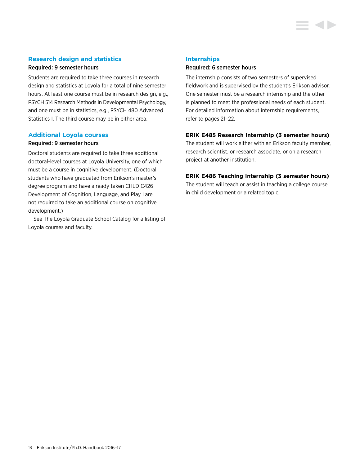#### **Research design and statistics**

#### Required: 9 semester hours

Students are required to take three courses in research design and statistics at Loyola for a total of nine semester hours. At least one course must be in research design, e.g., PSYCH 514 Research Methods in Developmental Psychology, and one must be in statistics, e.g., PSYCH 480 Advanced Statistics I. The third course may be in either area.

#### **Additional Loyola courses**

#### Required: 9 semester hours

Doctoral students are required to take three additional doctoral-level courses at Loyola University, one of which must be a course in cognitive development. (Doctoral students who have graduated from Erikson's master's degree program and have already taken CHLD C426 Development of Cognition, Language, and Play I are not required to take an additional course on cognitive development.)

See The Loyola Graduate School Catalog for a listing of Loyola courses and faculty.

#### **Internships**

#### Required: 6 semester hours

The internship consists of two semesters of supervised fieldwork and is supervised by the student's Erikson advisor. One semester must be a research internship and the other is planned to meet the professional needs of each student. For detailed information about internship requirements, refer to pages 21–22.

#### **ERIK E485 Research Internship (3 semester hours)**

The student will work either with an Erikson faculty member, research scientist, or research associate, or on a research project at another institution.

#### **ERIK E486 Teaching Internship (3 semester hours)**

The student will teach or assist in teaching a college course in child development or a related topic.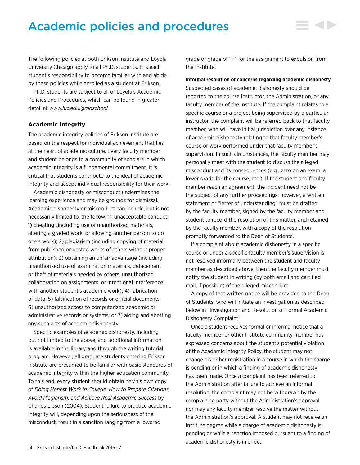# <span id="page-14-0"></span>Academic policies and procedures

The following policies at both Erikson Institute and Loyola University Chicago apply to all Ph.D. students. It is each student's responsibility to become familiar with and abide by these policies while enrolled as a student at Erikson.

Ph.D. students are subject to all of Loyola's Academic Policies and Procedures, which can be found in greater detail at *<www.luc.edu/gradschool>.*

#### **Academic integrity**

The academic integrity policies of Erikson Institute are based on the respect for individual achievement that lies at the heart of academic culture. Every faculty member and student belongs to a community of scholars in which academic integrity is a fundamental commitment. It is critical that students contribute to the ideal of academic integrity and accept individual responsibility for their work.

Academic dishonesty or misconduct undermines the learning experience and may be grounds for dismissal. Academic dishonesty or misconduct can include, but is not necessarily limited to, the following unacceptable conduct: 1) cheating (including use of unauthorized materials, altering a graded work, or allowing another person to do one's work); 2) plagiarism (including copying of material from published or posted works of others without proper attribution); 3) obtaining an unfair advantage (including unauthorized use of examination materials, defacement or theft of materials needed by others, unauthorized collaboration on assignments, or intentional interference with another student's academic work); 4) fabrication of data; 5) falsification of records or official documents; 6) unauthorized access to computerized academic or administrative records or systems; or 7) aiding and abetting any such acts of academic dishonesty.

Specific examples of academic dishonesty, including but not limited to the above, and additional information is available in the library and through the writing tutorial program. However, all graduate students entering Erikson Institute are presumed to be familiar with basic standards of academic integrity within the higher education community. To this end, every student should obtain her/his own copy of *Doing Honest Work in College: How to Prepare Citations, Avoid Plagiarism, and Achieve Real Academic Success* by Charles Lipson (2004). Student failure to practice academic integrity will, depending upon the seriousness of the misconduct, result in a sanction ranging from a lowered

grade or grade of "F" for the assignment to expulsion from the Institute.

#### **Informal resolution of concerns regarding academic dishonesty**

Suspected cases of academic dishonesty should be reported to the course instructor, the Administration, or any faculty member of the Institute. If the complaint relates to a specific course or a project being supervised by a particular instructor, the complaint will be referred back to that faculty member, who will have initial jurisdiction over any instance of academic dishonesty relating to that faculty member's course or work performed under that faculty member's supervision. In such circumstances, the faculty member may personally meet with the student to discuss the alleged misconduct and its consequences (e.g., zero on an exam, a lower grade for the course, etc.). If the student and faculty member reach an agreement, the incident need not be the subject of any further proceedings; however, a written statement or "letter of understanding" must be drafted by the faculty member, signed by the faculty member and student to record the resolution of this matter, and retained by the faculty member, with a copy of the resolution promptly forwarded to the Dean of Students.

If a complaint about academic dishonesty in a specific course or under a specific faculty member's supervision is not resolved informally between the student and faculty member as described above, then the faculty member must notify the student in writing (by both email and certified mail, if possible) of the alleged misconduct.

A copy of that written notice will be provided to the Dean of Students, who will initiate an investigation as described below in "Investigation and Resolution of Formal Academic Dishonesty Complaint."

Once a student receives formal or informal notice that a faculty member or other Institute community member has expressed concerns about the student's potential violation of the Academic Integrity Policy, the student may not change his or her registration in a course in which the charge is pending or in which a finding of academic dishonesty has been made. Once a complaint has been referred to the Administration after failure to achieve an informal resolution, the complaint may not be withdrawn by the complaining party without the Administration's approval, nor may any faculty member resolve the matter without the Administration's approval. A student may not receive an Institute degree while a charge of academic dishonesty is pending or while a sanction imposed pursuant to a finding of academic dishonesty is in effect.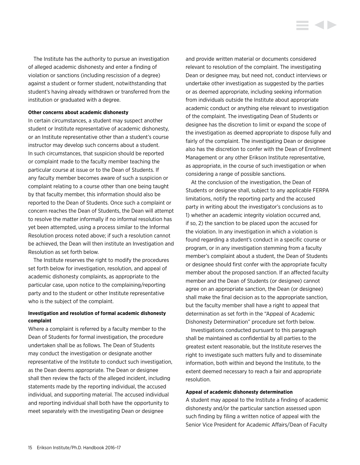The Institute has the authority to pursue an investigation of alleged academic dishonesty and enter a finding of violation or sanctions (including rescission of a degree) against a student or former student, notwithstanding that student's having already withdrawn or transferred from the institution or graduated with a degree.

#### **Other concerns about academic dishonesty**

In certain circumstances, a student may suspect another student or Institute representative of academic dishonesty, or an Institute representative other than a student's course instructor may develop such concerns about a student. In such circumstances, that suspicion should be reported or complaint made to the faculty member teaching the particular course at issue or to the Dean of Students. If any faculty member becomes aware of such a suspicion or complaint relating to a course other than one being taught by that faculty member, this information should also be reported to the Dean of Students. Once such a complaint or concern reaches the Dean of Students, the Dean will attempt to resolve the matter informally if no informal resolution has yet been attempted, using a process similar to the Informal Resolution process noted above; if such a resolution cannot be achieved, the Dean will then institute an Investigation and Resolution as set forth below.

The Institute reserves the right to modify the procedures set forth below for investigation, resolution, and appeal of academic dishonesty complaints, as appropriate to the particular case, upon notice to the complaining/reporting party and to the student or other Institute representative who is the subject of the complaint.

#### **Investigation and resolution of formal academic dishonesty complaint**

Where a complaint is referred by a faculty member to the Dean of Students for formal investigation, the procedure undertaken shall be as follows. The Dean of Students may conduct the investigation or designate another representative of the Institute to conduct such investigation, as the Dean deems appropriate. The Dean or designee shall then review the facts of the alleged incident, including statements made by the reporting individual, the accused individual, and supporting material. The accused individual and reporting individual shall both have the opportunity to meet separately with the investigating Dean or designee

and provide written material or documents considered relevant to resolution of the complaint. The investigating Dean or designee may, but need not, conduct interviews or undertake other investigation as suggested by the parties or as deemed appropriate, including seeking information from individuals outside the Institute about appropriate academic conduct or anything else relevant to investigation of the complaint. The investigating Dean of Students or designee has the discretion to limit or expand the scope of the investigation as deemed appropriate to dispose fully and fairly of the complaint. The investigating Dean or designee also has the discretion to confer with the Dean of Enrollment Management or any other Erikson Institute representative, as appropriate, in the course of such investigation or when considering a range of possible sanctions.

At the conclusion of the investigation, the Dean of Students or designee shall, subject to any applicable FERPA limitations, notify the reporting party and the accused party in writing about the investigator's conclusions as to 1) whether an academic integrity violation occurred and, if so, 2) the sanction to be placed upon the accused for the violation. In any investigation in which a violation is found regarding a student's conduct in a specific course or program, or in any investigation stemming from a faculty member's complaint about a student, the Dean of Students or designee should first confer with the appropriate faculty member about the proposed sanction. If an affected faculty member and the Dean of Students (or designee) cannot agree on an appropriate sanction, the Dean (or designee) shall make the final decision as to the appropriate sanction, but the faculty member shall have a right to appeal that determination as set forth in the "Appeal of Academic Dishonesty Determination" procedure set forth below.

Investigations conducted pursuant to this paragraph shall be maintained as confidential by all parties to the greatest extent reasonable, but the Institute reserves the right to investigate such matters fully and to disseminate information, both within and beyond the Institute, to the extent deemed necessary to reach a fair and appropriate resolution.

#### **Appeal of academic dishonesty determination**

A student may appeal to the Institute a finding of academic dishonesty and/or the particular sanction assessed upon such finding by filing a written notice of appeal with the Senior Vice President for Academic Affairs/Dean of Faculty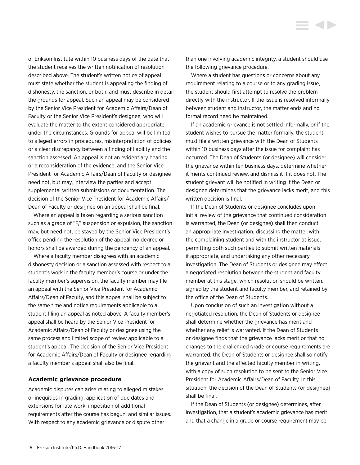<span id="page-16-0"></span>of Erikson Institute within 10 business days of the date that the student receives the written notification of resolution described above. The student's written notice of appeal must state whether the student is appealing the finding of dishonesty, the sanction, or both, and must describe in detail the grounds for appeal. Such an appeal may be considered by the Senior Vice President for Academic Affairs/Dean of Faculty or the Senior Vice President's designee, who will evaluate the matter to the extent considered appropriate under the circumstances. Grounds for appeal will be limited to alleged errors in procedures, misinterpretation of policies, or a clear discrepancy between a finding of liability and the sanction assessed. An appeal is not an evidentiary hearing or a reconsideration of the evidence, and the Senior Vice President for Academic Affairs/Dean of Faculty or designee need not, but may, interview the parties and accept supplemental written submissions or documentation. The decision of the Senior Vice President for Academic Affairs/ Dean of Faculty or designee on an appeal shall be final.

Where an appeal is taken regarding a serious sanction such as a grade of "F," suspension or expulsion, the sanction may, but need not, be stayed by the Senior Vice President's office pending the resolution of the appeal; no degree or honors shall be awarded during the pendency of an appeal.

Where a faculty member disagrees with an academic dishonesty decision or a sanction assessed with respect to a student's work in the faculty member's course or under the faculty member's supervision, the faculty member may file an appeal with the Senior Vice President for Academic Affairs/Dean of Faculty, and this appeal shall be subject to the same time and notice requirements applicable to a student filing an appeal as noted above. A faculty member's appeal shall be heard by the Senior Vice President for Academic Affairs/Dean of Faculty or designee using the same process and limited scope of review applicable to a student's appeal. The decision of the Senior Vice President for Academic Affairs/Dean of Faculty or designee regarding a faculty member's appeal shall also be final.

#### **Academic grievance procedure**

Academic disputes can arise relating to alleged mistakes or inequities in grading; application of due dates and extensions for late work; imposition of additional requirements after the course has begun; and similar issues. With respect to any academic grievance or dispute other

than one involving academic integrity, a student should use the following grievance procedure.

Where a student has questions or concerns about any requirement relating to a course or to any grading issue, the student should first attempt to resolve the problem directly with the instructor. If the issue is resolved informally between student and instructor, the matter ends and no formal record need be maintained.

If an academic grievance is not settled informally, or if the student wishes to pursue the matter formally, the student must file a written grievance with the Dean of Students within 10 business days after the issue for complaint has occurred. The Dean of Students (or designee) will consider the grievance within ten business days, determine whether it merits continued review, and dismiss it if it does not. The student grievant will be notified in writing if the Dean or designee determines that the grievance lacks merit, and this written decision is final.

If the Dean of Students or designee concludes upon initial review of the grievance that continued consideration is warranted, the Dean (or designee) shall then conduct an appropriate investigation, discussing the matter with the complaining student and with the instructor at issue, permitting both such parties to submit written materials if appropriate, and undertaking any other necessary investigation. The Dean of Students or designee may effect a negotiated resolution between the student and faculty member at this stage, which resolution should be written, signed by the student and faculty member, and retained by the office of the Dean of Students.

Upon conclusion of such an investigation without a negotiated resolution, the Dean of Students or designee shall determine whether the grievance has merit and whether any relief is warranted. If the Dean of Students or designee finds that the grievance lacks merit or that no changes to the challenged grade or course requirements are warranted, the Dean of Students or designee shall so notify the grievant and the affected faculty member in writing, with a copy of such resolution to be sent to the Senior Vice President for Academic Affairs/Dean of Faculty. In this situation, the decision of the Dean of Students (or designee) shall be final.

If the Dean of Students (or designee) determines, after investigation, that a student's academic grievance has merit and that a change in a grade or course requirement may be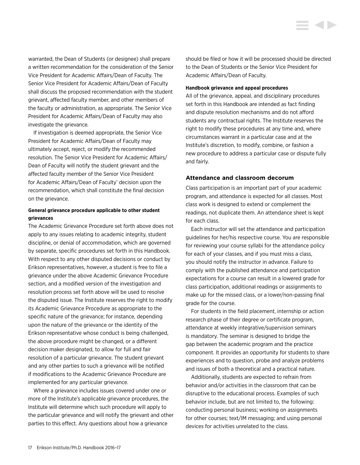should be filed or how it will be processed should be directed to the Dean of Students or the Senior Vice President for Academic Affairs/Dean of Faculty.

**Handbook grievance and appeal procedures**

All of the grievance, appeal, and disciplinary procedures set forth in this Handbook are intended as fact finding and dispute resolution mechanisms and do not afford students any contractual rights. The Institute reserves the right to modify these procedures at any time and, where circumstances warrant in a particular case and at the Institute's discretion, to modify, combine, or fashion a new procedure to address a particular case or dispute fully and fairly.

#### **Attendance and classroom decorum**

Class participation is an important part of your academic program, and attendance is expected for all classes. Most class work is designed to extend or complement the readings, not duplicate them. An attendance sheet is kept for each class.

Each instructor will set the attendance and participation guidelines for her/his respective course. You are responsible for reviewing your course syllabi for the attendance policy for each of your classes, and if you must miss a class, you should notify the instructor in advance. Failure to comply with the published attendance and participation expectations for a course can result in a lowered grade for class participation, additional readings or assignments to make up for the missed class, or a lower/non-passing final grade for the course.

For students in the field placement, internship or action research phase of their degree or certificate program, attendance at weekly integrative/supervision seminars is mandatory. The seminar is designed to bridge the gap between the academic program and the practice component. It provides an opportunity for students to share experiences and to question, probe and analyze problems and issues of both a theoretical and a practical nature.

Additionally, students are expected to refrain from behavior and/or activities in the classroom that can be disruptive to the educational process. Examples of such behavior include, but are not limited to, the following: conducting personal business; working on assignments for other courses; text/IM messaging; and using personal devices for activities unrelated to the class.

<span id="page-17-0"></span>warranted, the Dean of Students (or designee) shall prepare a written recommendation for the consideration of the Senior Vice President for Academic Affairs/Dean of Faculty. The Senior Vice President for Academic Affairs/Dean of Faculty shall discuss the proposed recommendation with the student grievant, affected faculty member, and other members of the faculty or administration, as appropriate. The Senior Vice President for Academic Affairs/Dean of Faculty may also investigate the grievance.

If investigation is deemed appropriate, the Senior Vice President for Academic Affairs/Dean of Faculty may ultimately accept, reject, or modify the recommended resolution. The Senior Vice President for Academic Affairs/ Dean of Faculty will notify the student grievant and the affected faculty member of the Senior Vice President for Academic Affairs/Dean of Faculty' decision upon the recommendation, which shall constitute the final decision on the grievance.

#### **General grievance procedure applicable to other student grievances**

The Academic Grievance Procedure set forth above does not apply to any issues relating to academic integrity, student discipline, or denial of accommodation, which are governed by separate, specific procedures set forth in this Handbook. With respect to any other disputed decisions or conduct by Erikson representatives, however, a student is free to file a grievance under the above Academic Grievance Procedure section, and a modified version of the investigation and resolution process set forth above will be used to resolve the disputed issue. The Institute reserves the right to modify its Academic Grievance Procedure as appropriate to the specific nature of the grievance; for instance, depending upon the nature of the grievance or the identity of the Erikson representative whose conduct is being challenged, the above procedure might be changed, or a different decision maker designated, to allow for full and fair resolution of a particular grievance. The student grievant and any other parties to such a grievance will be notified if modifications to the Academic Grievance Procedure are implemented for any particular grievance.

Where a grievance includes issues covered under one or more of the Institute's applicable grievance procedures, the Institute will determine which such procedure will apply to the particular grievance and will notify the grievant and other parties to this effect. Any questions about how a grievance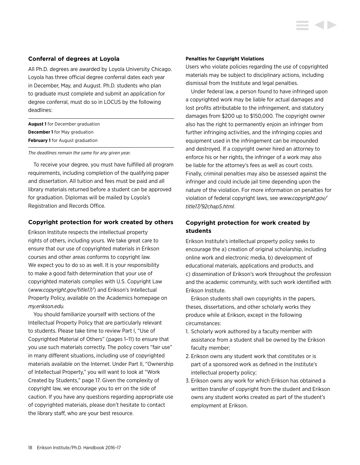#### <span id="page-18-0"></span>**Conferral of degrees at Loyola**

All Ph.D. degrees are awarded by Loyola University Chicago. Loyola has three official degree conferral dates each year in December, May, and August. Ph.D. students who plan to graduate must complete and submit an application for degree conferral, must do so in LOCUS by the following deadlines:

| <b>August 1</b> for December graduation |
|-----------------------------------------|
| <b>December 1</b> for May graduation    |
| <b>February 1</b> for August graduation |

*The deadlines remain the same for any given year.* 

To receive your degree, you must have fulfilled all program requirements, including completion of the qualifying paper and dissertation. All tuition and fees must be paid and all library materials returned before a student can be approved for graduation. Diplomas will be mailed by Loyola's Registration and Records Office.

#### **Copyright protection for work created by others**

Erikson Institute respects the intellectual property rights of others, including yours. We take great care to ensure that our use of copyrighted materials in Erikson courses and other areas conforms to copyright law. We expect you to do so as well. It is your responsibility to make a good faith determination that your use of copyrighted materials complies with U.S. Copyright Law (*[www.copyright.gov/title](www.copyright.gov/title17/)17/*) and Erikson's Intellectual Property Policy, available on the Academics homepage on *my.erikson.edu.*

You should familiarize yourself with sections of the Intellectual Property Policy that are particularly relevant to students. Please take time to review Part I, "Use of Copyrighted Material of Others" (pages 1–11) to ensure that you use such materials correctly. The policy covers "fair use" in many different situations, including use of copyrighted materials available on the Internet. Under Part II, "Ownership of Intellectual Property," you will want to look at "Work Created by Students," page 17. Given the complexity of copyright law, we encourage you to err on the side of caution. If you have any questions regarding appropriate use of copyrighted materials, please don't hesitate to contact the library staff, who are your best resource.

#### **Penalties for Copyright Violations**

Users who violate policies regarding the use of copyrighted materials may be subject to disciplinary actions, including dismissal from the Institute and legal penalties.

Under federal law, a person found to have infringed upon a copyrighted work may be liable for actual damages and lost profits attributable to the infringement, and statutory damages from \$200 up to \$150,000. The copyright owner also has the right to permanently enjoin an infringer from further infringing activities, and the infringing copies and equipment used in the infringement can be impounded and destroyed. If a copyright owner hired an attorney to enforce his or her rights, the infringer of a work may also be liable for the attorney's fees as well as court costs. Finally, criminal penalties may also be assessed against the infringer and could include jail time depending upon the nature of the violation. For more information on penalties for violation of federal copyright laws, see *www.copyright.gov/ title17/92chap5.html.*

### **Copyright protection for work created by students**

Erikson Institute's intellectual property policy seeks to encourage the a) creation of original scholarship, including online work and electronic media, b) development of educational materials, applications and products, and c) dissemination of Erikson's work throughout the profession and the academic community, with such work identified with Erikson Institute.

Erikson students shall own copyrights in the papers, theses, dissertations, and other scholarly works they produce while at Erikson, except in the following circumstances:

- 1. Scholarly work authored by a faculty member with assistance from a student shall be owned by the Erikson faculty member;
- 2. Erikson owns any student work that constitutes or is part of a sponsored work as defined in the Institute's intellectual property policy;
- 3. Erikson owns any work for which Erikson has obtained a written transfer of copyright from the student and Erikson owns any student works created as part of the student's employment at Erikson.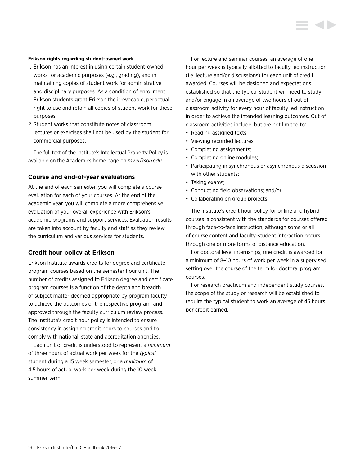#### <span id="page-19-0"></span>**Erikson rights regarding student-owned work**

- 1. Erikson has an interest in using certain student-owned works for academic purposes (e.g., grading), and in maintaining copies of student work for administrative and disciplinary purposes. As a condition of enrollment, Erikson students grant Erikson the irrevocable, perpetual right to use and retain all copies of student work for these purposes.
- 2. Student works that constitute notes of classroom lectures or exercises shall not be used by the student for commercial purposes.

The full text of the Institute's Intellectual Property Policy is available on the Academics home page on *my.erikson.edu.*

#### **Course and end-of-year evaluations**

At the end of each semester, you will complete a course evaluation for each of your courses. At the end of the academic year, you will complete a more comprehensive evaluation of your overall experience with Erikson's academic programs and support services. Evaluation results are taken into account by faculty and staff as they review the curriculum and various services for students.

#### **Credit hour policy at Erikson**

Erikson Institute awards credits for degree and certificate program courses based on the semester hour unit. The number of credits assigned to Erikson degree and certificate program courses is a function of the depth and breadth of subject matter deemed appropriate by program faculty to achieve the outcomes of the respective program, and approved through the faculty curriculum review process. The Institute's credit hour policy is intended to ensure consistency in assigning credit hours to courses and to comply with national, state and accreditation agencies.

Each unit of credit is understood to represent a *minimum* of three hours of actual work per week for the *typical* student during a 15 week semester, or a *minimum* of 4.5 hours of actual work per week during the 10 week summer term.

For lecture and seminar courses, an average of one hour per week is typically allotted to faculty led instruction (i.e. lecture and/or discussions) for each unit of credit awarded. Courses will be designed and expectations established so that the typical student will need to study and/or engage in an average of two hours of out of classroom activity for every hour of faculty led instruction in order to achieve the intended learning outcomes. Out of classroom activities include, but are not limited to:

- Reading assigned texts;
- Viewing recorded lectures;
- Completing assignments;
- Completing online modules;
- Participating in synchronous or asynchronous discussion with other students;
- Taking exams;
- Conducting field observations; and/or
- Collaborating on group projects

The Institute's credit hour policy for online and hybrid courses is consistent with the standards for courses offered through face-to-face instruction, although some or all of course content and faculty-student interaction occurs through one or more forms of distance education.

For doctoral level internships, one credit is awarded for a minimum of 8–10 hours of work per week in a supervised setting over the course of the term for doctoral program courses.

For research practicum and independent study courses, the scope of the study or research will be established to require the typical student to work an average of 45 hours per credit earned.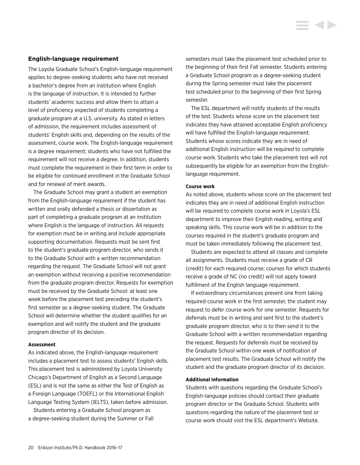#### <span id="page-20-0"></span>**English-language requirement**

The Loyola Graduate School's English-language requirement applies to degree-seeking students who have not received a bachelor's degree from an institution where English is the language of instruction. It is intended to further students' academic success and allow them to attain a level of proficiency expected of students completing a graduate program at a U.S. university. As stated in letters of admission, the requirement includes assessment of students' English skills and, depending on the results of the assessment, course work. The English-language requirement is a degree requirement; students who have not fulfilled the requirement will not receive a degree. In addition, students must complete the requirement in their first term in order to be eligible for continued enrollment in the Graduate School and for renewal of merit awards.

The Graduate School may grant a student an exemption from the English-language requirement if the student has written and orally defended a thesis or dissertation as part of completing a graduate program at an institution where English is the language of instruction. All requests for exemption must be in writing and include appropriate supporting documentation. Requests must be sent first to the student's graduate program director, who sends it to the Graduate School with a written recommendation regarding the request. The Graduate School will not grant an exemption without receiving a positive recommendation from the graduate program director. Requests for exemption must be received by the Graduate School: at least one week before the placement test preceding the student's first semester as a degree-seeking student. The Graduate School will determine whether the student qualifies for an exemption and will notify the student and the graduate program director of its decision.

#### **Assessment**

As indicated above, the English-language requirement includes a placement test to assess students' English skills. This placement test is administered by Loyola University Chicago's Department of English as a Second Language (ESL) and is not the same as either the Test of English as a Foreign Language (TOEFL) or the International English Language Testing System (IELTS), taken before admission.

Students entering a Graduate School program as a degree-seeking student during the Summer or Fall semesters must take the placement test scheduled prior to the beginning of their first Fall semester. Students entering a Graduate School program as a degree-seeking student during the Spring semester must take the placement test scheduled prior to the beginning of their first Spring semester.

The ESL department will notify students of the results of the test. Students whose score on the placement test indicates they have attained acceptable English proficiency will have fulfilled the English-language requirement. Students whose scores indicate they are in need of additional English instruction will be required to complete course work. Students who take the placement test will not subsequently be eligible for an exemption from the Englishlanguage requirement.

#### **Course work**

As noted above, students whose score on the placement test indicates they are in need of additional English instruction will be required to complete course work in Loyola's ESL department to improve their English reading, writing and speaking skills. This course work will be in addition to the courses required in the student's graduate program and must be taken immediately following the placement test.

Students are expected to attend all classes and complete all assignments. Students must receive a grade of CR (credit) for each required course; courses for which students receive a grade of NC (no credit) will not apply toward fulfillment of the English language requirement.

If extraordinary circumstances prevent one from taking required course work in the first semester, the student may request to defer course work for one semester. Requests for deferrals must be in writing and sent first to the student's graduate program director, who is to then send it to the Graduate School with a written recommendation regarding the request. Requests for deferrals must be received by the Graduate School within one week of notification of placement test results. The Graduate School will notify the student and the graduate program director of its decision.

#### **Additional information**

Students with questions regarding the Graduate School's English-language policies should contact their graduate program director or the Graduate School. Students with questions regarding the nature of the placement test or course work should visit the ESL department's Website.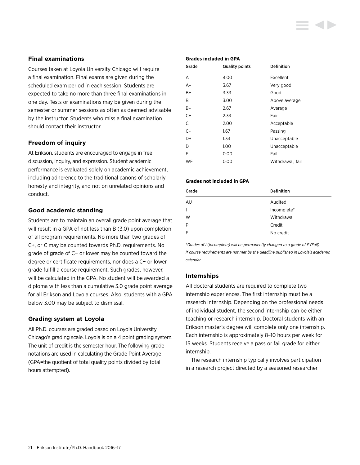### <span id="page-21-0"></span>**Final examinations**

Courses taken at Loyola University Chicago will require a final examination. Final exams are given during the scheduled exam period in each session. Students are expected to take no more than three final examinations in one day. Tests or examinations may be given during the semester or summer sessions as often as deemed advisable by the instructor. Students who miss a final examination should contact their instructor.

### **Freedom of inquiry**

At Erikson, students are encouraged to engage in free discussion, inquiry, and expression. Student academic performance is evaluated solely on academic achievement, including adherence to the traditional canons of scholarly honesty and integrity, and not on unrelated opinions and conduct.

#### **Good academic standing**

Students are to maintain an overall grade point average that will result in a GPA of not less than B (3.0) upon completion of all program requirements. No more than two grades of C+, or C may be counted towards Ph.D. requirements. No grade of grade of C− or lower may be counted toward the degree or certificate requirements, nor does a C− or lower grade fulfill a course requirement. Such grades, however, will be calculated in the GPA. No student will be awarded a diploma with less than a cumulative 3.0 grade point average for all Erikson and Loyola courses. Also, students with a GPA below 3.00 may be subject to dismissal.

#### **Grading system at Loyola**

All Ph.D. courses are graded based on Loyola University Chicago's grading scale. Loyola is on a 4 point grading system. The unit of credit is the semester hour. The following grade notations are used in calculating the Grade Point Average (GPA=the quotient of total quality points divided by total hours attempted).

#### **Grades included in GPA**

| Grade | <b>Quality points</b> | <b>Definition</b> |
|-------|-----------------------|-------------------|
| A     | 4.00                  | Excellent         |
| $A-$  | 3.67                  | Very good         |
| B+    | 3.33                  | Good              |
| B     | 3.00                  | Above average     |
| $B -$ | 2.67                  | Average           |
| $C+$  | 2.33                  | Fair              |
| C     | 2.00                  | Acceptable        |
| $C-$  | 1.67                  | Passing           |
| D+    | 1.33                  | Unacceptable      |
| D     | 1.00                  | Unacceptable      |
| F     | 0.00                  | Fail              |
| WF    | 0.00                  | Withdrawal, fail  |

#### **Grades not included in GPA**

| Grade | <b>Definition</b> |
|-------|-------------------|
| AU    | Audited           |
| I     | Incomplete*       |
| W     | Withdrawal        |
| Þ     | Credit            |
| F     | No credit         |
|       |                   |

*\*Grades of I (Incomplete) will be permanently changed to a grade of F (Fail) if course requirements are not met by the deadline published in Loyola's academic calendar.*

#### **Internships**

All doctoral students are required to complete two internship experiences. The first internship must be a research internship. Depending on the professional needs of individual student, the second internship can be either teaching or research internship. Doctoral students with an Erikson master's degree will complete only one internship. Each internship is approximately 8–10 hours per week for 15 weeks. Students receive a pass or fail grade for either internship.

The research internship typically involves participation in a research project directed by a seasoned researcher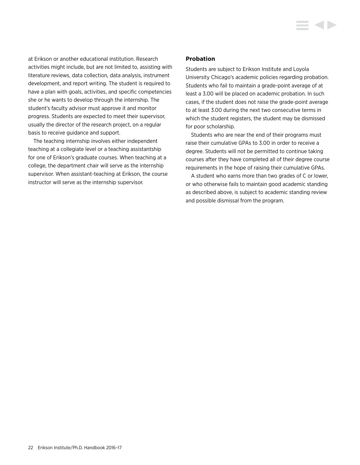<span id="page-22-0"></span>at Erikson or another educational institution. Research activities might include, but are not limited to, assisting with literature reviews, data collection, data analysis, instrument development, and report writing. The student is required to have a plan with goals, activities, and specific competencies she or he wants to develop through the internship. The student's faculty advisor must approve it and monitor progress. Students are expected to meet their supervisor, usually the director of the research project, on a regular basis to receive guidance and support.

The teaching internship involves either independent teaching at a collegiate level or a teaching assistantship for one of Erikson's graduate courses. When teaching at a college, the department chair will serve as the internship supervisor. When assistant-teaching at Erikson, the course instructor will serve as the internship supervisor.

#### **Probation**

Students are subject to Erikson Institute and Loyola University Chicago's academic policies regarding probation. Students who fail to maintain a grade-point average of at least a 3.00 will be placed on academic probation. In such cases, if the student does not raise the grade-point average to at least 3.00 during the next two consecutive terms in which the student registers, the student may be dismissed for poor scholarship.

Students who are near the end of their programs must raise their cumulative GPAs to 3.00 in order to receive a degree. Students will not be permitted to continue taking courses after they have completed all of their degree course requirements in the hope of raising their cumulative GPAs.

A student who earns more than two grades of C or lower, or who otherwise fails to maintain good academic standing as described above, is subject to academic standing review and possible dismissal from the program.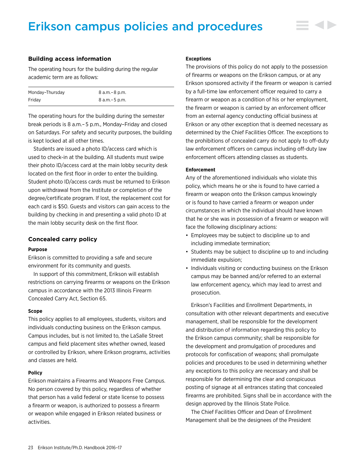# <span id="page-23-0"></span>Erikson campus policies and procedures

### **Building access information**

The operating hours for the building during the regular academic term are as follows:

| Monday-Thursday | 8 a.m. – 8 p.m. |
|-----------------|-----------------|
| Fridav          | 8 a.m. – 5 p.m. |

The operating hours for the building during the semester break periods is 8 a.m.– 5 p.m., Monday–Friday and closed on Saturdays. For safety and security purposes, the building is kept locked at all other times.

Students are issued a photo ID/access card which is used to check-in at the building. All students must swipe their photo ID/access card at the main lobby security desk located on the first floor in order to enter the building. Student photo ID/access cards must be returned to Erikson upon withdrawal from the Institute or completion of the degree/certificate program. If lost, the replacement cost for each card is \$50. Guests and visitors can gain access to the building by checking in and presenting a valid photo ID at the main lobby security desk on the first floor.

#### **Concealed carry policy**

#### **Purpose**

Erikson is committed to providing a safe and secure environment for its community and guests.

In support of this commitment, Erikson will establish restrictions on carrying firearms or weapons on the Erikson campus in accordance with the 2013 Illinois Firearm Concealed Carry Act, Section 65.

#### **Scope**

This policy applies to all employees, students, visitors and individuals conducting business on the Erikson campus. Campus includes, but is not limited to, the LaSalle Street campus and field placement sites whether owned, leased or controlled by Erikson, where Erikson programs, activities and classes are held.

#### **Policy**

Erikson maintains a Firearms and Weapons Free Campus. No person covered by this policy, regardless of whether that person has a valid federal or state license to possess a firearm or weapon, is authorized to possess a firearm or weapon while engaged in Erikson related business or activities.

#### **Exceptions**

The provisions of this policy do not apply to the possession of firearms or weapons on the Erikson campus, or at any Erikson sponsored activity if the firearm or weapon is carried by a full-time law enforcement officer required to carry a firearm or weapon as a condition of his or her employment, the firearm or weapon is carried by an enforcement officer from an external agency conducting official business at Erikson or any other exception that is deemed necessary as determined by the Chief Facilities Officer. The exceptions to the prohibitions of concealed carry do not apply to off-duty law enforcement officers on campus including off-duty law enforcement officers attending classes as students.

#### **Enforcement**

Any of the aforementioned individuals who violate this policy, which means he or she is found to have carried a firearm or weapon onto the Erikson campus knowingly or is found to have carried a firearm or weapon under circumstances in which the individual should have known that he or she was in possession of a firearm or weapon will face the following disciplinary actions:

- Employees may be subject to discipline up to and including immediate termination;
- Students may be subject to discipline up to and including immediate expulsion;
- Individuals visiting or conducting business on the Erikson campus may be banned and/or referred to an external law enforcement agency, which may lead to arrest and prosecution.

Erikson's Facilities and Enrollment Departments, in consultation with other relevant departments and executive management, shall be responsible for the development and distribution of information regarding this policy to the Erikson campus community; shall be responsible for the development and promulgation of procedures and protocols for confiscation of weapons; shall promulgate policies and procedures to be used in determining whether any exceptions to this policy are necessary and shall be responsible for determining the clear and conspicuous posting of signage at all entrances stating that concealed firearms are prohibited. Signs shall be in accordance with the design approved by the Illinois State Police.

The Chief Facilities Officer and Dean of Enrollment Management shall be the designees of the President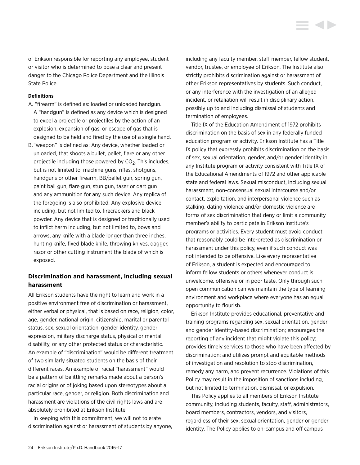<span id="page-24-0"></span>of Erikson responsible for reporting any employee, student or visitor who is determined to pose a clear and present danger to the Chicago Police Department and the Illinois State Police.

#### **Definitions**

- A. "firearm" is defined as: loaded or unloaded handgun. A "handgun" is defined as any device which is designed to expel a projectile or projectiles by the action of an explosion, expansion of gas, or escape of gas that is designed to be held and fired by the use of a single hand.
- B. "weapon" is defined as: Any device, whether loaded or unloaded, that shoots a bullet, pellet, flare or any other projectile including those powered by  $CO<sub>2</sub>$ . This includes, but is not limited to, machine guns, rifles, shotguns, handguns or other firearm, BB/pellet gun, spring gun, paint ball gun, flare gun, stun gun, taser or dart gun and any ammunition for any such device. Any replica of the foregoing is also prohibited. Any explosive device including, but not limited to, firecrackers and black powder. Any device that is designed or traditionally used to inflict harm including, but not limited to, bows and arrows, any knife with a blade longer than three inches, hunting knife, fixed blade knife, throwing knives, dagger, razor or other cutting instrument the blade of which is exposed.

### **Discrimination and harassment, including sexual harassment**

All Erikson students have the right to learn and work in a positive environment free of discrimination or harassment, either verbal or physical, that is based on race, religion, color, age, gender, national origin, citizenship, marital or parental status, sex, sexual orientation, gender identity, gender expression, military discharge status, physical or mental disability, or any other protected status or characteristic. An example of "discrimination" would be different treatment of two similarly situated students on the basis of their different races. An example of racial "harassment" would be a pattern of belittling remarks made about a person's racial origins or of joking based upon stereotypes about a particular race, gender, or religion. Both discrimination and harassment are violations of the civil rights laws and are absolutely prohibited at Erikson Institute.

In keeping with this commitment, we will not tolerate discrimination against or harassment of students by anyone, including any faculty member, staff member, fellow student, vendor, trustee, or employee of Erikson. The Institute also strictly prohibits discrimination against or harassment of other Erikson representatives by students. Such conduct, or any interference with the investigation of an alleged incident, or retaliation will result in disciplinary action, possibly up to and including dismissal of students and termination of employees.

Title IX of the Education Amendment of 1972 prohibits discrimination on the basis of sex in any federally funded education program or activity. Erikson Institute has a Title IX policy that expressly prohibits discrimination on the basis of sex, sexual orientation, gender, and/or gender identity in any Institute program or activity consistent with Title IX of the Educational Amendments of 1972 and other applicable state and federal laws. Sexual misconduct, including sexual harassment, non-consensual sexual intercourse and/or contact, exploitation, and interpersonal violence such as stalking, dating violence and/or domestic violence are forms of sex discrimination that deny or limit a community member's ability to participate in Erikson Institute's programs or activities. Every student must avoid conduct that reasonably could be interpreted as discrimination or harassment under this policy, even if such conduct was not intended to be offensive. Like every representative of Erikson, a student is expected and encouraged to inform fellow students or others whenever conduct is unwelcome, offensive or in poor taste. Only through such open communication can we maintain the type of learning environment and workplace where everyone has an equal opportunity to flourish.

Erikson Institute provides educational, preventative and training programs regarding sex, sexual orientation, gender and gender identity-based discrimination; encourages the reporting of any incident that might violate this policy; provides timely services to those who have been affected by discrimination; and utilizes prompt and equitable methods of investigation and resolution to stop discrimination, remedy any harm, and prevent recurrence. Violations of this Policy may result in the imposition of sanctions including, but not limited to termination, dismissal, or expulsion.

This Policy applies to all members of Erikson Institute community, including students, faculty, staff, administrators, board members, contractors, vendors, and visitors, regardless of their sex, sexual orientation, gender or gender identity. The Policy applies to on-campus and off campus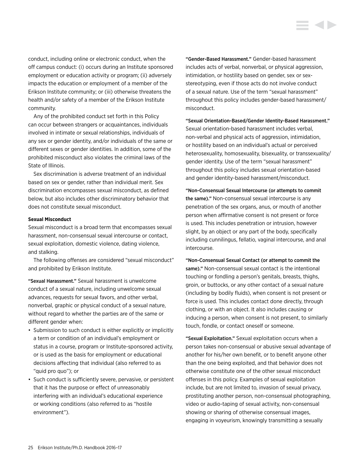conduct, including online or electronic conduct, when the off campus conduct: (i) occurs during an Institute sponsored employment or education activity or program; (ii) adversely impacts the education or employment of a member of the Erikson Institute community; or (iii) otherwise threatens the health and/or safety of a member of the Erikson Institute community.

Any of the prohibited conduct set forth in this Policy can occur between strangers or acquaintances, individuals involved in intimate or sexual relationships, individuals of any sex or gender identity, and/or individuals of the same or different sexes or gender identities. In addition, some of the prohibited misconduct also violates the criminal laws of the State of Illinois.

Sex discrimination is adverse treatment of an individual based on sex or gender, rather than individual merit. Sex discrimination encompasses sexual misconduct, as defined below, but also includes other discriminatory behavior that does not constitute sexual misconduct.

#### **Sexual Misconduct**

Sexual misconduct is a broad term that encompasses sexual harassment, non-consensual sexual intercourse or contact, sexual exploitation, domestic violence, dating violence, and stalking.

The following offenses are considered "sexual misconduct" and prohibited by Erikson Institute.

"Sexual Harassment." Sexual harassment is unwelcome conduct of a sexual nature, including unwelcome sexual advances, requests for sexual favors, and other verbal, nonverbal, graphic or physical conduct of a sexual nature, without regard to whether the parties are of the same or different gender when:

- Submission to such conduct is either explicitly or implicitly a term or condition of an individual's employment or status in a course, program or Institute-sponsored activity, or is used as the basis for employment or educational decisions affecting that individual (also referred to as "quid pro quo"); or
- Such conduct is sufficiently severe, pervasive, or persistent that it has the purpose or effect of unreasonably interfering with an individual's educational experience or working conditions (also referred to as "hostile environment").

"Gender-Based Harassment." Gender-based harassment includes acts of verbal, nonverbal, or physical aggression, intimidation, or hostility based on gender, sex or sexstereotyping, even if those acts do not involve conduct of a sexual nature. Use of the term "sexual harassment" throughout this policy includes gender-based harassment/ misconduct.

"Sexual Orientation-Based/Gender Identity-Based Harassment." Sexual orientation-based harassment includes verbal, non-verbal and physical acts of aggression, intimidation, or hostility based on an individual's actual or perceived heterosexuality, homosexuality, bisexuality, or transsexuality/ gender identity. Use of the term "sexual harassment" throughout this policy includes sexual orientation-based and gender identity-based harassment/misconduct.

"Non-Consensual Sexual Intercourse (or attempts to commit the same)." Non-consensual sexual intercourse is any penetration of the sex organs, anus, or mouth of another person when affirmative consent is not present or force is used. This includes penetration or intrusion, however slight, by an object or any part of the body, specifically including cunnilingus, fellatio, vaginal intercourse, and anal intercourse.

"Non-Consensual Sexual Contact (or attempt to commit the same)." Non-consensual sexual contact is the intentional touching or fondling a person's genitals, breasts, thighs, groin, or buttocks, or any other contact of a sexual nature (including by bodily fluids), when consent is not present or force is used. This includes contact done directly, through clothing, or with an object. It also includes causing or inducing a person, when consent is not present, to similarly touch, fondle, or contact oneself or someone.

"Sexual Exploitation." Sexual exploitation occurs when a person takes non-consensual or abusive sexual advantage of another for his/her own benefit, or to benefit anyone other than the one being exploited, and that behavior does not otherwise constitute one of the other sexual misconduct offenses in this policy. Examples of sexual exploitation include, but are not limited to, invasion of sexual privacy, prostituting another person, non-consensual photographing, video or audio-taping of sexual activity, non-consensual showing or sharing of otherwise consensual images, engaging in voyeurism, knowingly transmitting a sexually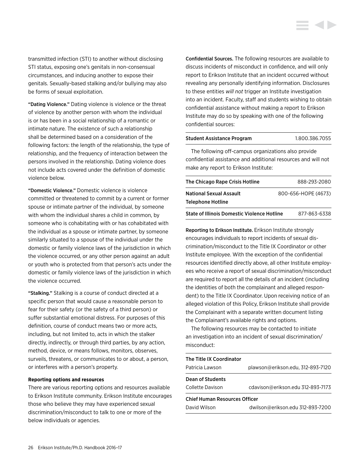transmitted infection (STI) to another without disclosing STI status, exposing one's genitals in non-consensual circumstances, and inducing another to expose their genitals. Sexually-based stalking and/or bullying may also be forms of sexual exploitation.

"Dating Violence." Dating violence is violence or the threat of violence by another person with whom the individual is or has been in a social relationship of a romantic or intimate nature. The existence of such a relationship shall be determined based on a consideration of the following factors: the length of the relationship, the type of relationship, and the frequency of interaction between the persons involved in the relationship. Dating violence does not include acts covered under the definition of domestic violence below.

"Domestic Violence." Domestic violence is violence committed or threatened to commit by a current or former spouse or intimate partner of the individual, by someone with whom the individual shares a child in common, by someone who is cohabitating with or has cohabitated with the individual as a spouse or intimate partner, by someone similarly situated to a spouse of the individual under the domestic or family violence laws of the jurisdiction in which the violence occurred, or any other person against an adult or youth who is protected from that person's acts under the domestic or family violence laws of the jurisdiction in which the violence occurred.

"Stalking." Stalking is a course of conduct directed at a specific person that would cause a reasonable person to fear for their safety (or the safety of a third person) or suffer substantial emotional distress. For purposes of this definition, course of conduct means two or more acts, including, but not limited to, acts in which the stalker directly, indirectly, or through third parties, by any action, method, device, or means follows, monitors, observes, surveils, threatens, or communicates to or about, a person, or interferes with a person's property.

#### **Reporting options and resources**

There are various reporting options and resources available to Erikson Institute community. Erikson Institute encourages those who believe they may have experienced sexual discrimination/misconduct to talk to one or more of the below individuals or agencies.

Confidential Sources. The following resources are available to discuss incidents of misconduct in confidence, and will only report to Erikson Institute that an incident occurred without revealing any personally identifying information. Disclosures to these entities *will not* trigger an Institute investigation into an incident. Faculty, staff and students wishing to obtain confidential assistance without making a report to Erikson Institute may do so by speaking with one of the following confidential sources:

# Student Assistance Program 1.800.386.7055

The following off-campus organizations also provide confidential assistance and additional resources and will not make any report to Erikson Institute:

| The Chicago Rape Crisis Hotline                    | 888-293-2080        |
|----------------------------------------------------|---------------------|
| <b>National Sexual Assault</b>                     | 800-656-HOPE (4673) |
| <b>Telephone Hotline</b>                           |                     |
| <b>State of Illinois Domestic Violence Hotline</b> | 877-863-6338        |

Reporting to Erikson Institute. Erikson Institute strongly encourages individuals to report incidents of sexual discrimination/misconduct to the Title IX Coordinator or other Institute employee. With the exception of the confidential resources identified directly above, all other Institute employees who receive a report of sexual discrimination/misconduct are required to report all the details of an incident (including the identities of both the complainant and alleged respondent) to the Title IX Coordinator. Upon receiving notice of an alleged violation of this Policy, Erikson Institute shall provide the Complainant with a separate written document listing the Complainant's available rights and options.

The following resources may be contacted to initiate an investigation into an incident of sexual discrimination/ misconduct:

| The Title IX Coordinator             |                                   |  |
|--------------------------------------|-----------------------------------|--|
| Patricia Lawson                      | plawson@erikson.edu, 312-893-7120 |  |
| Dean of Students                     |                                   |  |
| Collette Davison                     | cdavison@erikson.edu 312-893-7173 |  |
| <b>Chief Human Resources Officer</b> |                                   |  |
| David Wilson                         | dwilson@erikson.edu 312-893-7200  |  |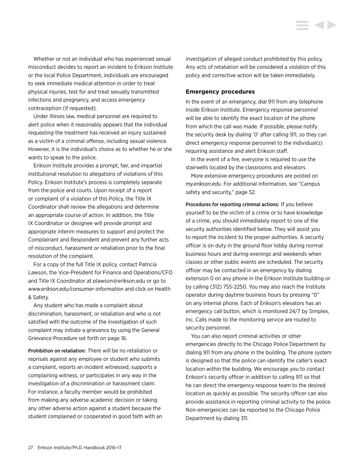<span id="page-27-0"></span>Whether or not an individual who has experienced sexual misconduct decides to report an incident to Erikson Institute or the local Police Department, individuals are encouraged to seek immediate medical attention in order to treat physical injuries, test for and treat sexually transmitted infections and pregnancy, and access emergency contraception (if requested).

Under Illinois law, medical personnel are required to alert police when it reasonably appears that the individual requesting the treatment has received an injury sustained as a victim of a criminal offense, including sexual violence. However, it is the individual's choice as to whether he or she wants to speak to the police.

Erikson Institute provides a prompt, fair, and impartial institutional resolution to allegations of violations of this Policy. Erikson Institute's process is completely separate from the police and courts. Upon receipt of a report or complaint of a violation of this Policy, the Title IX Coordinator shall review the allegations and determine an appropriate course of action. In addition, the Title IX Coordinator or designee will provide prompt and appropriate interim measures to support and protect the Complainant and Respondent and prevent any further acts of misconduct, harassment or retaliation prior to the final resolution of the complaint.

For a copy of the full Title IX policy, contact Patricia Lawson, the Vice-President for Finance and Operations/CFO and Title IX Coordinator at plawson@erikson.edu or go to *[www.erikson.edu/consumer-information](http://www.erikson.edu/consumer-information)* and click on Health & Safety.

Any student who has made a complaint about discrimination, harassment, or retaliation and who is not satisfied with the outcome of the investigation of such complaint may initiate a grievance by using the General Grievance Procedure set forth on page 16.

Prohibition on retaliation: There will be no retaliation or reprisals against any employee or student who submits a complaint, reports an incident witnessed, supports a complaining witness, or participates in any way in the investigation of a discrimination or harassment claim. For instance, a faculty member would be prohibited from making any adverse academic decision or taking any other adverse action against a student because the student complained or cooperated in good faith with an investigation of alleged conduct prohibited by this policy. Any acts of retaliation will be considered a violation of this policy and corrective action will be taken immediately.

#### **Emergency procedures**

In the event of an emergency, dial 911 from any telephone inside Erikson Institute. Emergency response personnel will be able to identify the exact location of the phone from which the call was made. If possible, please notify the security desk by dialing '0' after calling 911, so they can direct emergency response personnel to the individual(s) requiring assistance and alert Erikson staff.

In the event of a fire, everyone is required to use the stairwells located by the classrooms and elevators.

More extensive emergency procedures are posted on *my.erikson.edu*. For additional information, see "Campus safety and security," page 52.

Procedures for reporting criminal actions: If you believe yourself to be the victim of a crime or to have knowledge of a crime, you should immediately report to one of the security authorities identified below. They will assist you to report the incident to the proper authorities. A security officer is on duty in the ground floor lobby during normal business hours and during evenings and weekends when classes or other public events are scheduled. The security officer may be contacted in an emergency by dialing extension 0 on any phone in the Erikson Institute building or by calling (312) 755-2250. You may also reach the Institute operator during daytime business hours by pressing "0" on any internal phone. Each of Erikson's elevators has an emergency call button, which is monitored 24/7 by Simplex, Inc. Calls made to the monitoring service are routed to security personnel.

You can also report criminal activities or other emergencies directly to the Chicago Police Department by dialing 911 from any phone in the building. The phone system is designed so that the police can identify the caller's exact location within the building. We encourage you to contact Erikson's security officer in addition to calling 911 so that he can direct the emergency response team to the desired location as quickly as possible. The security officer can also provide assistance in reporting criminal activity to the police. Non-emergencies can be reported to the Chicago Police Department by dialing 311.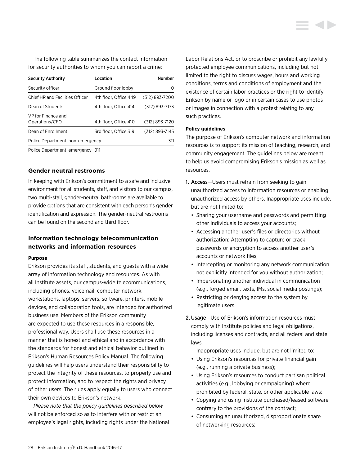<span id="page-28-0"></span>The following table summarizes the contact information for security authorities to whom you can report a crime:

| <b>Security Authority</b>            | Location              | <b>Number</b>    |
|--------------------------------------|-----------------------|------------------|
| Security officer                     | Ground floor lobby    | $\left( \right)$ |
| Chief HR and Facilities Officer      | 4th floor, Office 449 | (312) 893-7200   |
| Dean of Students                     | 4th floor. Office 414 | (312) 893-7173   |
| VP for Finance and<br>Operations/CFO | 4th floor. Office 410 | (312) 893-7120   |
| Dean of Enrollment                   | 3rd floor. Office 319 | (312) 893-7145   |
| Police Department, non-emergency     |                       | 311              |
| Police Department, emergency 911     |                       |                  |

#### **Gender neutral restrooms**

In keeping with Erikson's commitment to a safe and inclusive environment for all students, staff, and visitors to our campus, two multi-stall, gender-neutral bathrooms are available to provide options that are consistent with each person's gender identification and expression. The gender-neutral restrooms can be found on the second and third floor.

### **Information technology telecommunication networks and information resources**

#### **Purpose**

Erikson provides its staff, students, and guests with a wide array of information technology and resources. As with all Institute assets, our campus-wide telecommunications, including phones, voicemail, computer network, workstations, laptops, servers, software, printers, mobile devices, and collaboration tools, are intended for authorized business use. Members of the Erikson community are expected to use these resources in a responsible, professional way. Users shall use these resources in a manner that is honest and ethical and in accordance with the standards for honest and ethical behavior outlined in Erikson's Human Resources Policy Manual. The following guidelines will help users understand their responsibility to protect the integrity of these resources, to properly use and protect information, and to respect the rights and privacy of other users. The rules apply equally to users who connect their own devices to Erikson's network.

*Please note that the policy guidelines described below*  will not be enforced so as to interfere with or restrict an employee's legal rights, including rights under the National Labor Relations Act, or to proscribe or prohibit any lawfully protected employee communications, including but not limited to the right to discuss wages, hours and working conditions, terms and conditions of employment and the existence of certain labor practices or the right to identify Erikson by name or logo or in certain cases to use photos or images in connection with a protest relating to any such practices.

#### **Policy guidelines**

The purpose of Erikson's computer network and information resources is to support its mission of teaching, research, and community engagement. The guidelines below are meant to help us avoid compromising Erikson's mission as well as resources.

- 1. Access—Users must refrain from seeking to gain unauthorized access to information resources or enabling unauthorized access by others. Inappropriate uses include, but are not limited to:
	- Sharing your username and passwords and permitting other individuals to access your accounts;
	- Accessing another user's files or directories without authorization; Attempting to capture or crack passwords or encryption to access another user's accounts or network files;
	- Intercepting or monitoring any network communication not explicitly intended for you without authorization;
	- Impersonating another individual in communication (e.g., forged email, texts, IMs, social media postings);
	- Restricting or denying access to the system by legitimate users.
- 2.Usage—Use of Erikson's information resources must comply with Institute policies and legal obligations, including licenses and contracts, and all federal and state laws.

Inappropriate uses include, but are not limited to:

- Using Erikson's resources for private financial gain (e.g., running a private business);
- Using Erikson's resources to conduct partisan political activities (e.g., lobbying or campaigning) where prohibited by federal, state, or other applicable laws;
- Copying and using Institute purchased/leased software contrary to the provisions of the contract;
- Consuming an unauthorized, disproportionate share of networking resources;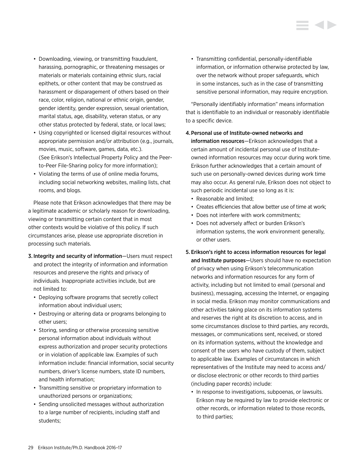- Downloading, viewing, or transmitting fraudulent, harassing, pornographic, or threatening messages or materials or materials containing ethnic slurs, racial epithets, or other content that may be construed as harassment or disparagement of others based on their race, color, religion, national or ethnic origin, gender, gender identity, gender expression, sexual orientation, marital status, age, disability, veteran status, or any other status protected by federal, state, or local laws;
- Using copyrighted or licensed digital resources without appropriate permission and/or attribution (e.g., journals, movies, music, software, games, data, etc.). (See Erikson's Intellectual Property Policy and the Peerto-Peer File-Sharing policy for more information);
- Violating the terms of use of online media forums, including social networking websites, mailing lists, chat rooms, and blogs.

Please note that Erikson acknowledges that there may be a legitimate academic or scholarly reason for downloading, viewing or transmitting certain content that in most other contexts would be violative of this policy. If such circumstances arise, please use appropriate discretion in processing such materials.

- 3. Integrity and security of information—Users must respect and protect the integrity of information and information resources and preserve the rights and privacy of individuals. Inappropriate activities include, but are not limited to:
	- Deploying software programs that secretly collect information about individual users;
	- Destroying or altering data or programs belonging to other users;
	- Storing, sending or otherwise processing sensitive personal information about individuals without express authorization and proper security protections or in violation of applicable law. Examples of such information include: financial information, social security numbers, driver's license numbers, state ID numbers, and health information;
	- Transmitting sensitive or proprietary information to unauthorized persons or organizations;
	- Sending unsolicited messages without authorization to a large number of recipients, including staff and students;

• Transmitting confidential, personally-identifiable information, or information otherwise protected by law, over the network without proper safeguards, which in some instances, such as in the case of transmitting sensitive personal information, may require encryption.

"Personally identifiably information" means information that is identifiable to an individual or reasonably identifiable to a specific device.

#### 4.Personal use of Institute-owned networks and

information resources—Erikson acknowledges that a certain amount of incidental personal use of Instituteowned information resources may occur during work time. Erikson further acknowledges that a certain amount of such use on personally-owned devices during work time may also occur. As general rule, Erikson does not object to such periodic incidental use so long as it is:

- Reasonable and limited;
- Creates efficiencies that allow better use of time at work;
- Does not interfere with work commitments;
- Does not adversely affect or burden Erikson's information systems, the work environment generally, or other users.
- 5. Erikson's right to access information resources for legal and Institute purposes—Users should have no expectation of privacy when using Erikson's telecommunication networks and information resources for any form of activity, including but not limited to email (personal and business), messaging, accessing the Internet, or engaging in social media. Erikson may monitor communications and other activities taking place on its information systems and reserves the right at its discretion to access, and in some circumstances disclose to third parties, any records, messages, or communications sent, received, or stored on its information systems, without the knowledge and consent of the users who have custody of them, subject to applicable law. Examples of circumstances in which representatives of the Institute may need to access and/ or disclose electronic or other records to third parties (including paper records) include:
	- In response to investigations, subpoenas, or lawsuits. Erikson may be required by law to provide electronic or other records, or information related to those records, to third parties;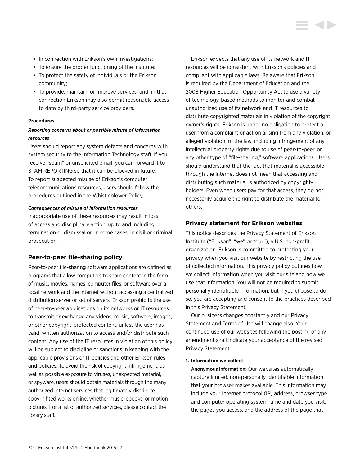- <span id="page-30-0"></span>• In connection with Erikson's own investigations;
- To ensure the proper functioning of the Institute;
- To protect the safety of individuals or the Erikson community;
- To provide, maintain, or improve services; and, in that connection Erikson may also permit reasonable access to data by third-party service providers.

#### **Procedures**

### *Reporting concerns about or possible misuse of information resources*

Users should report any system defects and concerns with system security to the Information Technology staff. If you receive "spam" or unsolicited email, you can forward it to SPAM REPORTING so that it can be blocked in future. To report suspected misuse of Erikson's computer telecommunications resources, users should follow the procedures outlined in the Whistleblower Policy.

#### *Consequences of misuse of information resources*

Inappropriate use of these resources may result in loss of access and disciplinary action, up to and including termination or dismissal or, in some cases, in civil or criminal prosecution.

### **Peer-to-peer file-sharing policy**

Peer-to-peer file-sharing software applications are defined as programs that allow computers to share content in the form of music, movies, games, computer files, or software over a local network and the Internet without accessing a centralized distribution server or set of servers. Erikson prohibits the use of peer-to-peer applications on its networks or IT resources to transmit or exchange any videos, music, software, images, or other copyright-protected content, unless the user has valid, written authorization to access and/or distribute such content. Any use of the IT resources in violation of this policy will be subject to discipline or sanctions in keeping with the applicable provisions of IT policies and other Erikson rules and policies. To avoid the risk of copyright infringement, as well as possible exposure to viruses, unexpected material, or spyware, users should obtain materials through the many authorized Internet services that legitimately distribute copyrighted works online, whether music, ebooks, or motion pictures. For a list of authorized services, please contact the library staff.

Erikson expects that any use of its network and IT resources will be consistent with Erikson's policies and compliant with applicable laws. Be aware that Erikson is required by the Department of Education and the 2008 Higher Education Opportunity Act to use a variety of technology-based methods to monitor and combat unauthorized use of its network and IT resources to distribute copyrighted materials in violation of the copyright owner's rights. Erikson is under no obligation to protect a user from a complaint or action arising from any violation, or alleged violation, of the law, including infringement of any intellectual property rights due to use of peer-to-peer, or any other type of "file-sharing," software applications. Users should understand that the fact that material is accessible through the Internet does not mean that accessing and distributing such material is authorized by copyrightholders. Even when users pay for that access, they do not necessarily acquire the right to distribute the material to others.

### **Privacy statement for Erikson websites**

This notice describes the Privacy Statement of Erikson Institute ("Erikson", "we" or "our"), a U.S. non-profit organization. Erikson is committed to protecting your privacy when you visit our website by restricting the use of collected information. This privacy policy outlines how we collect information when you visit our site and how we use that information. You will not be required to submit personally identifiable information, but if you choose to do so, you are accepting and consent to the practices described in this Privacy Statement.

Our business changes constantly and our Privacy Statement and Terms of Use will change also. Your continued use of our websites following the posting of any amendment shall indicate your acceptance of the revised Privacy Statement.

#### **1. Information we collect**

Anonymous information: Our websites automatically capture limited, non-personally identifiable information that your browser makes available. This information may include your Internet protocol (IP) address, browser type and computer operating system, time and date you visit, the pages you access, and the address of the page that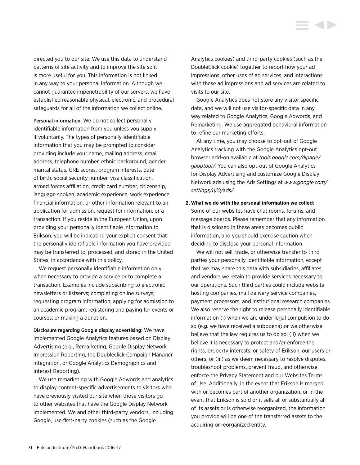directed you to our site. We use this data to understand patterns of site activity and to improve the site so it is more useful for you. This information is not linked in any way to your personal information. Although we cannot guarantee impenetrability of our servers, we have established reasonable physical, electronic, and procedural safeguards for all of the information we collect online.

Personal information: We do not collect personally identifiable information from you unless you supply it voluntarily. The types of personally-identifiable information that you may be prompted to consider providing include your name, mailing address, email address, telephone number, ethnic background, gender, marital status, GRE scores, program interests, date of birth, social security number, visa classification, armed forces affiliation, credit card number, citizenship, language spoken, academic experience, work experience, financial information, or other information relevant to an application for admission, request for information, or a transaction. If you reside in the European Union, upon providing your personally identifiable information to Erikson, you will be indicating your explicit consent that the personally identifiable information you have provided may be transferred to, processed, and stored in the United States, in accordance with this policy.

We request personally identifiable information only when necessary to provide a service or to complete a transaction. Examples include subscribing to electronic newsletters or listservs; completing online surveys; requesting program information; applying for admission to an academic program; registering and paying for events or courses; or making a donation.

Disclosure regarding Google display advertising: We have implemented Google Analytics features based on Display Advertising (e.g., Remarketing, Google Display Network Impression Reporting, the Doubleclick Campaign Manager integration, or Google Analytics Demographics and Interest Reporting).

We use remarketing with Google Adwords and analytics to display content-specific advertisements to visitors who have previously visited our site when those visitors go to other websites that have the Google Display Network implemented. We and other third-party vendors, including Google, use first-party cookies (such as the Google

Analytics cookies) and third-party cookies (such as the DoubleClick cookie) together to report how your ad impressions, other uses of ad services, and interactions with these ad impressions and ad services are related to visits to our site.

Google Analytics does not store any visitor specific data, and we will not use visitor-specific data in any way related to Google Analytics, Google Adwords, and Remarketing. We use aggregated behavioral information to refine our marketing efforts.

At any time, you may choose to opt-out of Google Analytics tracking with the Google Analytics opt-out browser add-on available at *[tools.google.com/dlpage/](tools.google.com/dlpage/gaoptout) [gaoptout](tools.google.com/dlpage/gaoptout)/.* You can also opt-out of Google Analytics for Display Advertising and customize Google Display Network ads using the Ads Settings at *[www.google.com/](www.google.com/settings/u/0/ads) [settings/u/0/ads](www.google.com/settings/u/0/ads)/.*

# **2. What we do with the personal information we collect** Some of our websites have chat rooms, forums, and message boards. Please remember that any information that is disclosed in these areas becomes public information, and you should exercise caution when deciding to disclose your personal information.

We will not sell, trade, or otherwise transfer to third parties your personally identifiable information, except that we may share this data with subsidiaries, affiliates, and vendors we retain to provide services necessary to our operations. Such third parties could include website hosting companies, mail delivery service companies, payment processors, and institutional research companies. We also reserve the right to release personally identifiable information (i) when we are under legal compulsion to do so (e.g. we have received a subpoena) or we otherwise believe that the law requires us to do so; (ii) when we believe it is necessary to protect and/or enforce the rights, property interests, or safety of Erikson, our users or others; or (iii) as we deem necessary to resolve disputes, troubleshoot problems, prevent fraud, and otherwise enforce the Privacy Statement and our Websites Terms of Use. Additionally, in the event that Erikson is merged with or becomes part of another organization, or in the event that Erikson is sold or it sells all or substantially all of its assets or is otherwise reorganized, the information you provide will be one of the transferred assets to the acquiring or reorganized entity.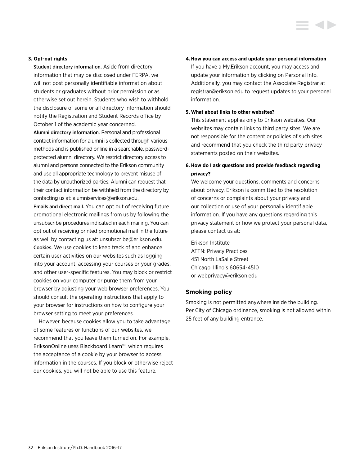#### <span id="page-32-0"></span>**3. Opt-out rights**

Student directory information. Aside from directory information that may be disclosed under FERPA, we will not post personally identifiable information about students or graduates without prior permission or as otherwise set out herein. Students who wish to withhold the disclosure of some or all directory information should notify the Registration and Student Records office by October 1 of the academic year concerned.

Alumni directory information. Personal and professional contact information for alumni is collected through various methods and is published online in a searchable, passwordprotected alumni directory. We restrict directory access to alumni and persons connected to the Erikson community and use all appropriate technology to prevent misuse of the data by unauthorized parties. Alumni can request that their contact information be withheld from the directory by contacting us at: alumniservices@erikson.edu.

Emails and direct mail. You can opt out of receiving future promotional electronic mailings from us by following the unsubscribe procedures indicated in each mailing. You can opt out of receiving printed promotional mail in the future as well by contacting us at: unsubscribe@erikson.edu. Cookies. We use cookies to keep track of and enhance certain user activities on our websites such as logging into your account, accessing your courses or your grades, and other user-specific features. You may block or restrict cookies on your computer or purge them from your browser by adjusting your web browser preferences. You should consult the operating instructions that apply to your browser for instructions on how to configure your browser setting to meet your preferences.

However, because cookies allow you to take advantage of some features or functions of our websites, we recommend that you leave them turned on. For example, EriksonOnline uses Blackboard Learn™, which requires the acceptance of a cookie by your browser to access information in the courses. If you block or otherwise reject our cookies, you will not be able to use this feature.

#### **4.How you can access and update your personal information**

If you have a My.Erikson account, you may access and update your information by clicking on Personal Info. Additionally, you may contact the Associate Registrar at registrar@erikson.edu to request updates to your personal information.

#### **5. What about links to other websites?**

This statement applies only to Erikson websites. Our websites may contain links to third party sites. We are not responsible for the content or policies of such sites and recommend that you check the third party privacy statements posted on their websites.

### **6. How do I ask questions and provide feedback regarding privacy?**

We welcome your questions, comments and concerns about privacy. Erikson is committed to the resolution of concerns or complaints about your privacy and our collection or use of your personally identifiable information. If you have any questions regarding this privacy statement or how we protect your personal data, please contact us at:

Erikson Institute ATTN: Privacy Practices 451 North LaSalle Street Chicago, Illinois 60654-4510 or webprivacy@erikson.edu

#### **Smoking policy**

Smoking is not permitted anywhere inside the building. Per City of Chicago ordinance, smoking is not allowed within 25 feet of any building entrance.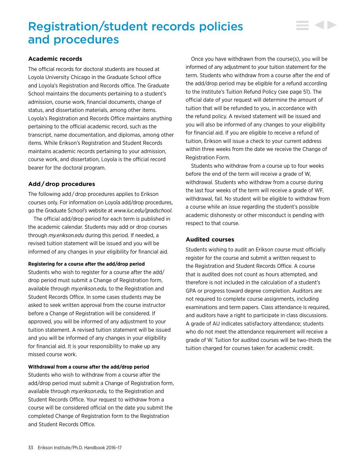# <span id="page-33-0"></span>Registration/student records policies and procedures

#### **Academic records**

The official records for doctoral students are housed at Loyola University Chicago in the Graduate School office and Loyola's Registration and Records office. The Graduate School maintains the documents pertaining to a student's admission, course work, financial documents, change of status, and dissertation materials, among other items. Loyola's Registration and Records Office maintains anything pertaining to the official academic record, such as the transcript, name documentation, and diplomas, among other items. While Erikson's Registration and Student Records maintains academic records pertaining to your admission, course work, and dissertation, Loyola is the official record bearer for the doctoral program.

### **Add / drop procedures**

The following add / drop procedures applies to Erikson courses only. For information on Loyola add/drop procedures, go the Graduate School's website at *www.luc.edu/gradschool.*

The official add/drop period for each term is published in the academic calendar. Students may add or drop courses through *my.erikson.edu* during this period. If needed, a revised tuition statement will be issued and you will be informed of any changes in your eligibility for financial aid.

#### **Registering for a course after the add/drop period**

Students who wish to register for a course after the add/ drop period must submit a Change of Registration form, available through *my.erikson.edu,* to the Registration and Student Records Office. In some cases students may be asked to seek written approval from the course instructor before a Change of Registration will be considered. If approved, you will be informed of any adjustment to your tuition statement. A revised tuition statement will be issued and you will be informed of any changes in your eligibility for financial aid. It is your responsibility to make up any missed course work.

#### **Withdrawal from a course after the add/drop period**

Students who wish to withdraw from a course after the add/drop period must submit a Change of Registration form, available through *my.erikson.edu,* to the Registration and Student Records Office. Your request to withdraw from a course will be considered official on the date you submit the completed Change of Registration form to the Registration and Student Records Office.

Once you have withdrawn from the course(s), you will be informed of any adjustment to your tuition statement for the term. Students who withdraw from a course after the end of the add/drop period may be eligible for a refund according to the Institute's Tuition Refund Policy (see page 51). The official date of your request will determine the amount of tuition that will be refunded to you, in accordance with the refund policy. A revised statement will be issued and you will also be informed of any changes to your eligibility for financial aid. If you are eligible to receive a refund of tuition, Erikson will issue a check to your current address within three weeks from the date we receive the Change of Registration Form.

Students who withdraw from a course up to four weeks before the end of the term will receive a grade of W, withdrawal. Students who withdraw from a course during the last four weeks of the term will receive a grade of WF, withdrawal, fail. No student will be eligible to withdraw from a course while an issue regarding the student's possible academic dishonesty or other misconduct is pending with respect to that course.

#### **Audited courses**

Students wishing to audit an Erikson course must officially register for the course and submit a written request to the Registration and Student Records Office. A course that is audited does not count as hours attempted, and therefore is not included in the calculation of a student's GPA or progress toward degree completion. Auditors are not required to complete course assignments, including examinations and term papers. Class attendance is required, and auditors have a right to participate in class discussions. A grade of AU indicates satisfactory attendance; students who do not meet the attendance requirement will receive a grade of W. Tuition for audited courses will be two-thirds the tuition charged for courses taken for academic credit.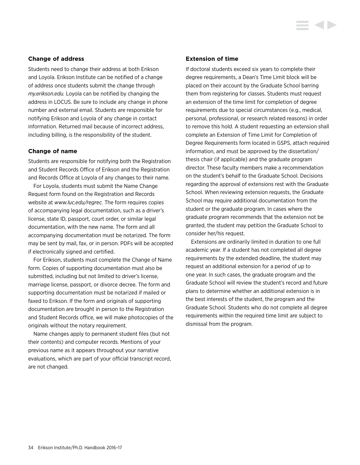#### <span id="page-34-0"></span>**Change of address**

Students need to change their address at both Erikson and Loyola. Erikson Institute can be notified of a change of address once students submit the change through *my.erikson.edu.* Loyola can be notified by changing the address in LOCUS. Be sure to include any change in phone number and external email. Students are responsible for notifying Erikson and Loyola of any change in contact information. Returned mail because of incorrect address, including billing, is the responsibility of the student.

#### **Change of name**

Students are responsible for notifying both the Registration and Student Records Office of Erikson and the Registration and Records Office at Loyola of any changes to their name.

For Loyola, students must submit the Name Change Request form found on the Registration and Records website at *www.luc.edu/regrec.* The form requires copies of accompanying legal documentation, such as a driver's license, state ID, passport, court order, or similar legal documentation, with the new name. The form and all accompanying documentation must be notarized. The form may be sent by mail, fax, or in person. PDFs will be accepted if electronically signed and certified.

For Erikson, students must complete the Change of Name form. Copies of supporting documentation must also be submitted, including but not limited to driver's license, marriage license, passport, or divorce decree. The form and supporting documentation must be notarized if mailed or faxed to Erikson. If the form and originals of supporting documentation are brought in person to the Registration and Student Records office, we will make photocopies of the originals without the notary requirement.

Name changes apply to permanent student files (but not their contents) and computer records. Mentions of your previous name as it appears throughout your narrative evaluations, which are part of your official transcript record, are not changed.

#### **Extension of time**

If doctoral students exceed six years to complete their degree requirements, a Dean's Time Limit block will be placed on their account by the Graduate School barring them from registering for classes. Students must request an extension of the time limit for completion of degree requirements due to special circumstances (e.g., medical, personal, professional, or research related reasons) in order to remove this hold. A student requesting an extension shall complete an Extension of Time Limit for Completion of Degree Requirements form located in GSPS, attach required information, and must be approved by the dissertation/ thesis chair (if applicable) and the graduate program director. These faculty members make a recommendation on the student's behalf to the Graduate School. Decisions regarding the approval of extensions rest with the Graduate School. When reviewing extension requests, the Graduate School may require additional documentation from the student or the graduate program. In cases where the graduate program recommends that the extension not be granted, the student may petition the Graduate School to consider her/his request.

Extensions are ordinarily limited in duration to one full academic year. If a student has not completed all degree requirements by the extended deadline, the student may request an additional extension for a period of up to one year. In such cases, the graduate program and the Graduate School will review the student's record and future plans to determine whether an additional extension is in the best interests of the student, the program and the Graduate School. Students who do not complete all degree requirements within the required time limit are subject to dismissal from the program.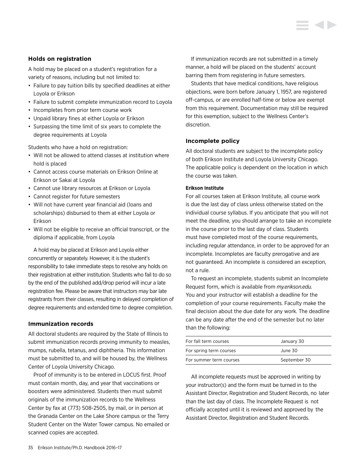#### <span id="page-35-0"></span>**Holds on registration**

A hold may be placed on a student's registration for a variety of reasons, including but not limited to:

- Failure to pay tuition bills by specified deadlines at either Loyola or Erikson
- Failure to submit complete immunization record to Loyola
- Incompletes from prior term course work
- Unpaid library fines at either Loyola or Erikson
- Surpassing the time limit of six years to complete the degree requirements at Loyola

Students who have a hold on registration:

- Will not be allowed to attend classes at institution where hold is placed
- Cannot access course materials on Erikson Online at Erikson or Sakai at Loyola
- Cannot use library resources at Erikson or Loyola
- Cannot register for future semesters
- Will not have current year financial aid (loans and scholarships) disbursed to them at either Loyola or Erikson
- Will not be eligible to receive an official transcript, or the diploma if applicable, from Loyola

A hold may be placed at Erikson and Loyola either concurrently or separately. However, it is the student's responsibility to take immediate steps to resolve any holds on their registration at either institution. Students who fail to do so by the end of the published add/drop period will incur a late registration fee. Please be aware that instructors may bar late registrants from their classes, resulting in delayed completion of degree requirements and extended time to degree completion.

#### **Immunization records**

All doctoral students are required by the State of Illinois to submit immunization records proving immunity to measles, mumps, rubella, tetanus, and diphtheria. This information must be submitted to, and will be housed by, the Wellness Center of Loyola University Chicago.

Proof of immunity is to be entered in LOCUS first. Proof must contain month, day, and year that vaccinations or boosters were administered. Students then must submit originals of the immunization records to the Wellness Center by fax at (773) 508-2505, by mail, or in person at the Granada Center on the Lake Shore campus or the Terry Student Center on the Water Tower campus. No emailed or scanned copies are accepted.

If immunization records are not submitted in a timely manner, a hold will be placed on the students' account barring them from registering in future semesters.

Students that have medical conditions, have religious objections, were born before January 1, 1957, are registered off-campus, or are enrolled half-time or below are exempt from this requirement. Documentation may still be required for this exemption, subject to the Wellness Center's discretion.

#### **Incomplete policy**

All doctoral students are subject to the incomplete policy of both Erikson Institute and Loyola University Chicago. The applicable policy is dependent on the location in which the course was taken.

#### **Erikson Institute**

For all courses taken at Erikson Institute, all course work is due the last day of class unless otherwise stated on the individual course syllabus. If you anticipate that you will not meet the deadline, you should arrange to take an incomplete in the course prior to the last day of class. Students must have completed most of the course requirements, including regular attendance, in order to be approved for an incomplete. Incompletes are faculty prerogative and are not guaranteed. An incomplete is considered an exception, not a rule.

To request an incomplete, students submit an Incomplete Request form, which is available from *my.erikson.edu.* You and your instructor will establish a deadline for the completion of your course requirements. Faculty make the final decision about the due date for any work. The deadline can be any date after the end of the semester but no later than the following:

| For fall term courses   | January 30   |  |
|-------------------------|--------------|--|
| For spring term courses | June 30      |  |
| For summer term courses | September 30 |  |

All incomplete requests must be approved in writing by your instructor(s) and the form must be turned in to the Assistant Director, Registration and Student Records, no later than the last day of class. The Incomplete Request is not officially accepted until it is reviewed and approved by the Assistant Director, Registration and Student Records.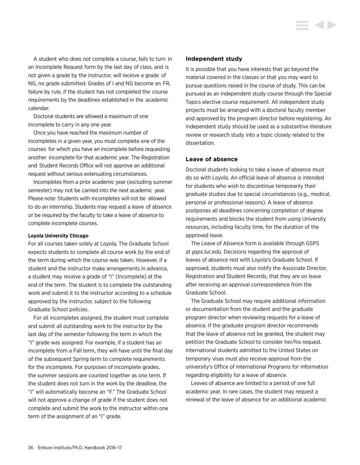A student who does not complete a course, fails to turn in an Incomplete Request form by the last day of class, and is not given a grade by the instructor, will receive a grade of NG, no grade submitted. Grades of I and NG become an FR, failure by rule, if the student has not completed the course requirements by the deadlines established in the academic calendar.

Doctoral students are allowed a maximum of one incomplete to carry in any one year.

Once you have reached the maximum number of incompletes in a given year, you must complete one of the courses for which you have an incomplete before requesting another incomplete for that academic year. The Registration and Student Records Office will not approve an additional request without serious extenuating circumstances.

Incompletes from a prior academic year (excluding summer semester) may not be carried into the next academic year. Please note: Students with incompletes will not be allowed to do an internship. Students may request a leave of absence or be required by the faculty to take a leave of absence to complete incomplete courses.

#### **Loyola University Chicago**

For all courses taken solely at Loyola, The Graduate School expects students to complete all course work by the end of the term during which the course was taken. However, if a student and the instructor make arrangements in advance, a student may receive a grade of "I" (Incomplete) at the end of the term. The student is to complete the outstanding work and submit it to the instructor according to a schedule approved by the instructor, subject to the following Graduate School policies.

For all incompletes assigned, the student must complete and submit all outstanding work to the instructor by the last day of the semester following the term in which the "I" grade was assigned. For example, if a student has an incomplete from a Fall term, they will have until the final day of the subsequent Spring term to complete requirements for the incomplete. For purposes of incomplete grades, the summer sessions are counted together as one term. If the student does not turn in the work by the deadline, the "I" will automatically become an "F." The Graduate School will not approve a change of grade if the student does not complete and submit the work to the instructor within one term of the assignment of an "I" grade.

#### **Independent study**

It is possible that you have interests that go beyond the material covered in the classes or that you may want to pursue questions raised in the course of study. This can be pursued as an independent study course through the Special Topics elective course requirement. All independent study projects must be arranged with a doctoral faculty member and approved by the program director before registering. An independent study should be used as a substantive literature review or research study into a topic closely related to the dissertation.

### **Leave of absence**

Doctoral students looking to take a leave of absence must do so with Loyola. An official leave of absence is intended for students who wish to discontinue temporarily their graduate studies due to special circumstances (e.g., medical, personal or professional reasons). A leave of absence postpones all deadlines concerning completion of degree requirements and blocks the student from using University resources, including faculty time, for the duration of the approved leave.

The Leave of Absence form is available through GSPS at *gsps.luc.edu.* Decisions regarding the approval of leaves of absence rest with Loyola's Graduate School. If approved, students must also notify the Associate Director, Registration and Student Records, that they are on leave after receiving an approval correspondence from the Graduate School.

The Graduate School may require additional information or documentation from the student and the graduate program director when reviewing requests for a leave of absence. If the graduate program director recommends that the leave of absence not be granted, the student may petition the Graduate School to consider her/his request. International students admitted to the United States on temporary visas must also receive approval from the university's Office of International Programs for information regarding eligibility for a leave of absence.

Leaves of absence are limited to a period of one full academic year. In rare cases, the student may request a renewal of the leave of absence for an additional academic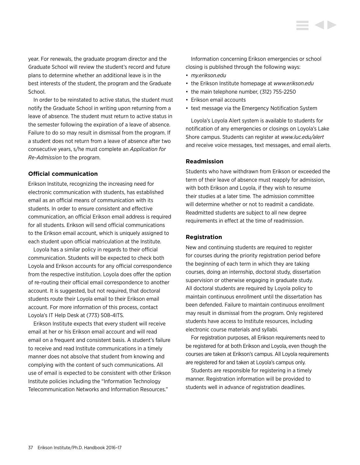year. For renewals, the graduate program director and the Graduate School will review the student's record and future plans to determine whether an additional leave is in the best interests of the student, the program and the Graduate School.

In order to be reinstated to active status, the student must notify the Graduate School in writing upon returning from a leave of absence. The student must return to active status in the semester following the expiration of a leave of absence. Failure to do so may result in dismissal from the program. If a student does not return from a leave of absence after two consecutive years, s/he must complete an *Application for Re-Admission* to the program.

# **Official communication**

Erikson Institute, recognizing the increasing need for electronic communication with students, has established email as an official means of communication with its students. In order to ensure consistent and effective communication, an official Erikson email address is required for all students. Erikson will send official communications to the Erikson email account, which is uniquely assigned to each student upon official matriculation at the Institute.

Loyola has a similar policy in regards to their official communication. Students will be expected to check both Loyola and Erikson accounts for any official correspondence from the respective institution. Loyola does offer the option of re-routing their official email correspondence to another account. It is suggested, but not required, that doctoral students route their Loyola email to their Erikson email account. For more information of this process, contact Loyola's IT Help Desk at (773) 508-4ITS.

Erikson Institute expects that every student will receive email at her or his Erikson email account and will read email on a frequent and consistent basis. A student's failure to receive and read Institute communications in a timely manner does not absolve that student from knowing and complying with the content of such communications. All use of email is expected to be consistent with other Erikson Institute policies including the "Information Technology Telecommunication Networks and Information Resources."

Information concerning Erikson emergencies or school closing is published through the following ways: • *my.erikson.edu*

- the Erikson Institute homepage at *www.erikson.edu*
- the main telephone number, (312) 755-2250
- Erikson email accounts
- text message via the Emergency Notification System

Loyola's Loyola Alert system is available to students for notification of any emergencies or closings on Loyola's Lake Shore campus. Students can register at *www.luc.edu/alert* and receive voice messages, text messages, and email alerts.

# **Readmission**

Students who have withdrawn from Erikson or exceeded the term of their leave of absence must reapply for admission, with both Erikson and Loyola, if they wish to resume their studies at a later time. The admission committee will determine whether or not to readmit a candidate. Readmitted students are subject to all new degree requirements in effect at the time of readmission.

# **Registration**

New and continuing students are required to register for courses during the priority registration period before the beginning of each term in which they are taking courses, doing an internship, doctoral study, dissertation supervision or otherwise engaging in graduate study. All doctoral students are required by Loyola policy to maintain continuous enrollment until the dissertation has been defended. Failure to maintain continuous enrollment may result in dismissal from the program. Only registered students have access to Institute resources, including electronic course materials and syllabi.

For registration purposes, all Erikson requirements need to be registered for at both Erikson and Loyola, even though the courses are taken at Erikson's campus. All Loyola requirements are registered for and taken at Loyola's campus only.

Students are responsible for registering in a timely manner. Registration information will be provided to students well in advance of registration deadlines.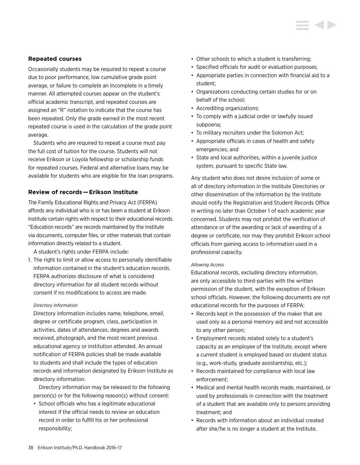# **Repeated courses**

Occasionally students may be required to repeat a course due to poor performance, low cumulative grade point average, or failure to complete an Incomplete in a timely manner. All attempted courses appear on the student's official academic transcript, and repeated courses are assigned an "R" notation to indicate that the course has been repeated. Only the grade earned in the most recent repeated course is used in the calculation of the grade point average.

Students who are required to repeat a course must pay the full cost of tuition for the course. Students will not receive Erikson or Loyola fellowship or scholarship funds for repeated courses. Federal and alternative loans may be available for students who are eligible for the loan programs.

# **Review of records — Erikson Institute**

The Family Educational Rights and Privacy Act (FERPA) affords any individual who is or has been a student at Erikson Institute certain rights with respect to their educational records. "Education records" are records maintained by the Institute via documents, computer files, or other materials that contain information directly related to a student.

A student's rights under FERPA include:

1. The right to limit or allow access to personally identifiable information contained in the student's education records. FERPA authorizes disclosure of what is considered directory information for all student records without consent if no modifications to access are made.

#### *Directory Information*

Directory information includes name, telephone, email, degree or certificate program, class, participation in activities, dates of attendances, degrees and awards received, photograph, and the most recent previous educational agency or institution attended. An annual notification of FERPA policies shall be made available to students and shall include the types of education records and information designated by Erikson Institute as directory information.

 Directory information may be released to the following person(s) or for the following reason(s) without consent:

• School officials who has a legitimate educational interest if the official needs to review an education record in order to fulfill his or her professional responsibility;

- Other schools to which a student is transferring;
- Specified officials for audit or evaluation purposes;
- Appropriate parties in connection with financial aid to a student;
- Organizations conducting certain studies for or on behalf of the school;
- Accrediting organizations;
- To comply with a judicial order or lawfully issued subpoena;
- To military recruiters under the Solomon Act;
- Appropriate officials in cases of health and safety emergencies; and
- State and local authorities, within a juvenile justice system, pursuant to specific State law.

Any student who does not desire inclusion of some or all of directory information in the Institute Directories or other dissemination of the information by the Institute should notify the Registration and Student Records Office in writing no later than October 1 of each academic year concerned. Students may not prohibit the verification of attendance or of the awarding or lack of awarding of a degree or certificate, nor may they prohibit Erikson school officials from gaining access to information used in a professional capacity.

#### *Allowing Access*

Educational records, excluding directory information, are only accessible to third-parties with the written permission of the student, with the exception of Erikson school officials. However, the following documents are not educational records for the purposes of FERPA:

- Records kept in the possession of the maker that are used only as a personal memory aid and not accessible to any other person;
- Employment records related solely to a student's capacity as an employee of the Institute, except where a current student is employed based on student status (e.g., work-study, graduate assistantship, etc.);
- Records maintained for compliance with local law enforcement;
- Medical and mental health records made, maintained, or used by professionals in connection with the treatment of a student that are available only to persons providing treatment; and
- Records with information about an individual created after she/he is no longer a student at the Institute.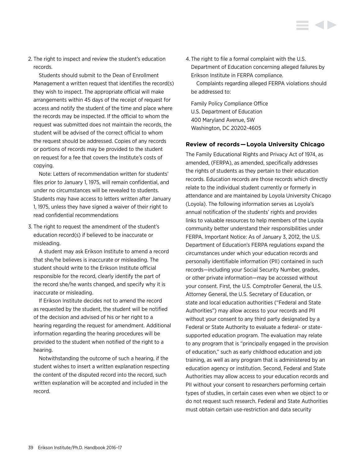2. The right to inspect and review the student's education records.

 Students should submit to the Dean of Enrollment Management a written request that identifies the record(s) they wish to inspect. The appropriate official will make arrangements within 45 days of the receipt of request for access and notify the student of the time and place where the records may be inspected. If the official to whom the request was submitted does not maintain the records, the student will be advised of the correct official to whom the request should be addressed. Copies of any records or portions of records may be provided to the student on request for a fee that covers the Institute's costs of copying.

 Note: Letters of recommendation written for students' files prior to January 1, 1975, will remain confidential, and under no circumstances will be revealed to students. Students may have access to letters written after January 1, 1975, unless they have signed a waiver of their right to read confidential recommendations

3. The right to request the amendment of the student's education record(s) if believed to be inaccurate or misleading.

 A student may ask Erikson Institute to amend a record that she/he believes is inaccurate or misleading. The student should write to the Erikson Institute official responsible for the record, clearly identify the part of the record she/he wants changed, and specify why it is inaccurate or misleading.

 If Erikson Institute decides not to amend the record as requested by the student, the student will be notified of the decision and advised of his or her right to a hearing regarding the request for amendment. Additional information regarding the hearing procedures will be provided to the student when notified of the right to a hearing.

 Notwithstanding the outcome of such a hearing, if the student wishes to insert a written explanation respecting the content of the disputed record into the record, such written explanation will be accepted and included in the record.

4. The right to file a formal complaint with the U.S. Department of Education concerning alleged failures by Erikson Institute in FERPA compliance.

 Complaints regarding alleged FERPA violations should be addressed to:

Family Policy Compliance Office U.S. Department of Education 400 Maryland Avenue, SW Washington, DC 20202-4605

# **Review of records — Loyola University Chicago**

The Family Educational Rights and Privacy Act of 1974, as amended, (FERPA), as amended, specifically addresses the rights of students as they pertain to their education records. Education records are those records which directly relate to the individual student currently or formerly in attendance and are maintained by Loyola University Chicago (Loyola). The following information serves as Loyola's annual notification of the students' rights and provides links to valuable resources to help members of the Loyola community better understand their responsibilities under FERPA. Important Notice: As of January 3, 2012, the U.S. Department of Education's FERPA regulations expand the circumstances under which your education records and personally identifiable information (PII) contained in such records—including your Social Security Number, grades, or other private information—may be accessed without your consent. First, the U.S. Comptroller General, the U.S. Attorney General, the U.S. Secretary of Education, or state and local education authorities ("Federal and State Authorities") may allow access to your records and PII without your consent to any third party designated by a Federal or State Authority to evaluate a federal- or statesupported education program. The evaluation may relate to any program that is "principally engaged in the provision of education," such as early childhood education and job training, as well as any program that is administered by an education agency or institution. Second, Federal and State Authorities may allow access to your education records and PII without your consent to researchers performing certain types of studies, in certain cases even when we object to or do not request such research. Federal and State Authorities must obtain certain use-restriction and data security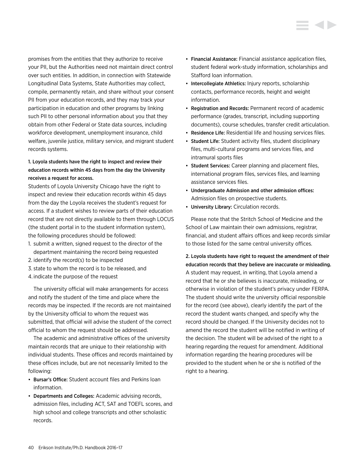promises from the entities that they authorize to receive your PII, but the Authorities need not maintain direct control over such entities. In addition, in connection with Statewide Longitudinal Data Systems, State Authorities may collect, compile, permanently retain, and share without your consent PII from your education records, and they may track your participation in education and other programs by linking such PII to other personal information about you that they obtain from other Federal or State data sources, including workforce development, unemployment insurance, child welfare, juvenile justice, military service, and migrant student records systems.

# 1. Loyola students have the right to inspect and review their education records within 45 days from the day the University receives a request for access.

Students of Loyola University Chicago have the right to inspect and review their education records within 45 days from the day the Loyola receives the student's request for access. If a student wishes to review parts of their education record that are not directly available to them through LOCUS (the student portal in to the student information system), the following procedures should be followed:

- 1. submit a written, signed request to the director of the department maintaining the record being requested
- 2. identify the record(s) to be inspected
- 3. state to whom the record is to be released, and
- 4. indicate the purpose of the request

The university official will make arrangements for access and notify the student of the time and place where the records may be inspected. If the records are not maintained by the University official to whom the request was submitted, that official will advise the student of the correct official to whom the request should be addressed.

The academic and administrative offices of the university maintain records that are unique to their relationship with individual students. These offices and records maintained by these offices include, but are not necessarily limited to the following:

- Bursar's Office: Student account files and Perkins loan information.
- Departments and Colleges: Academic advising records, admission files, including ACT, SAT and TOEFL scores, and high school and college transcripts and other scholastic records.
- Financial Assistance: Financial assistance application files, student federal work-study information, scholarships and Stafford loan information.
- Intercollegiate Athletics: Injury reports, scholarship contacts, performance records, height and weight information.
- Registration and Records: Permanent record of academic performance (grades, transcript, including supporting documents), course schedules, transfer credit articulation.
- Residence Life: Residential life and housing services files.
- Student Life: Student activity files, student disciplinary files, multi-cultural programs and services files, and intramural sports files
- Student Services: Career planning and placement files, international program files, services files, and learning assistance services files.
- Undergraduate Admission and other admission offices: Admission files on prospective students.
- University Library: Circulation records.

Please note that the Stritch School of Medicine and the School of Law maintain their own admissions, registrar, financial, and student affairs offices and keep records similar to those listed for the same central university offices.

2. Loyola students have right to request the amendment of their education records that they believe are inaccurate or misleading. A student may request, in writing, that Loyola amend a record that he or she believes is inaccurate, misleading, or otherwise in violation of the student's privacy under FERPA. The student should write the university official responsible for the record (see above), clearly identify the part of the record the student wants changed, and specify why the record should be changed. If the University decides not to amend the record the student will be notified in writing of the decision. The student will be advised of the right to a hearing regarding the request for amendment. Additional information regarding the hearing procedures will be provided to the student when he or she is notified of the right to a hearing.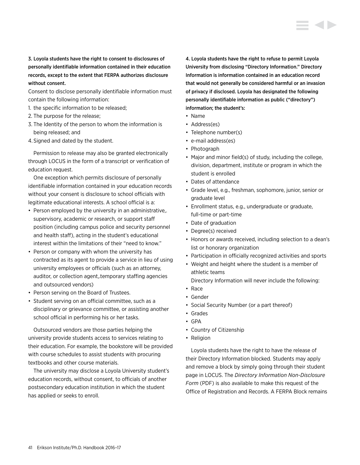3. Loyola students have the right to consent to disclosures of personally identifiable information contained in their education records, except to the extent that FERPA authorizes disclosure without consent.

Consent to disclose personally identifiable information must contain the following information:

- 1. the specific information to be released;
- 2. The purpose for the release;
- 3. The Identity of the person to whom the information is being released; and
- 4. Signed and dated by the student.

Permission to release may also be granted electronically through LOCUS in the form of a transcript or verification of education request.

One exception which permits disclosure of personally identifiable information contained in your education records without your consent is disclosure to school officials with legitimate educational interests. A school official is a:

- Person employed by the university in an administrative,. supervisory, academic or research, or support staff position (including campus police and security personnel and health staff), acting in the student's educational interest within the limitations of their "need to know."
- Person or company with whom the university has contracted as its agent to provide a service in lieu of using university employees or officials (such as an attorney, auditor, or collection agent,.temporary staffing agencies and outsourced vendors)
- Person serving on the Board of Trustees.
- Student serving on an official committee, such as a disciplinary or grievance committee, or assisting another school official in performing his or her tasks.

Outsourced vendors are those parties helping the university provide students access to services relating to their education. For example, the bookstore will be provided with course schedules to assist students with procuring textbooks and other course materials.

The university may disclose a Loyola University student's education records, without consent, to officials of another postsecondary education institution in which the student has applied or seeks to enroll.

4. Loyola students have the right to refuse to permit Loyola University from disclosing "Directory Information." Directory Information is information contained in an education record that would not generally be considered harmful or an invasion of privacy if disclosed. Loyola has designated the following personally identifiable information as public ("directory") information; the student's:

- Name
- Address(es)
- Telephone number(s)
- e-mail address(es)
- Photograph
- Major and minor field(s) of study, including the college, division, department, institute or program in which the student is enrolled
- Dates of attendance
- Grade level, e.g., freshman, sophomore, junior, senior or graduate level
- Enrollment status, e.g., undergraduate or graduate, full-time or part-time
- Date of graduation
- Degree(s) received
- Honors or awards received, including selection to a dean's list or honorary organization
- Participation in officially recognized activities and sports
- Weight and height where the student is a member of athletic teams
- Directory Information will never include the following:
- Race
- Gender
- Social Security Number (or a part thereof)
- Grades
- GPA
- Country of Citizenship
- Religion

Loyola students have the right to have the release of their Directory Information blocked. Students may apply and remove a block by simply going through their student page in LOCUS. The *Directory Information Non-Disclosure Form* (PDF) is also available to make this request of the Office of Registration and Records. A FERPA Block remains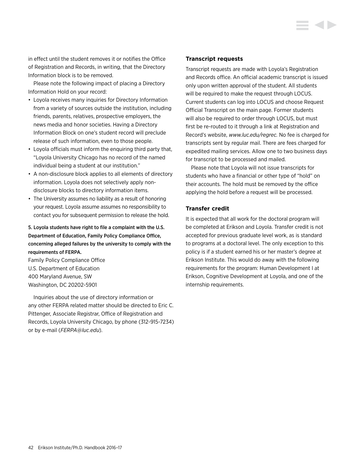in effect until the student removes it or notifies the Office of Registration and Records, in writing, that the Directory Information block is to be removed.

Please note the following impact of placing a Directory Information Hold on your record:

- Loyola receives many inquiries for Directory Information from a variety of sources outside the institution, including friends, parents, relatives, prospective employers, the news media and honor societies. Having a Directory Information Block on one's student record will preclude release of such information, even to those people.
- Loyola officials must inform the enquiring third party that, "Loyola University Chicago has no record of the named individual being a student at our institution."
- A non-disclosure block applies to all elements of directory information. Loyola does not selectively apply nondisclosure blocks to directory information items.
- The University assumes no liability as a result of honoring your request. Loyola assume assumes no responsibility to contact you for subsequent permission to release the hold.

# 5. Loyola students have right to file a complaint with the U.S. Department of Education, Family Policy Compliance Office, concerning alleged failures by the university to comply with the requirements of FERPA.

Family Policy Compliance Office U.S. Department of Education 400 Maryland Avenue, SW Washington, DC 20202-5901

Inquiries about the use of directory information or any other FERPA related matter should be directed to Eric C. Pittenger, Associate Registrar, Office of Registration and Records, Loyola University Chicago, by phone (312-915-7234) or by e-mail (*FERPA@luc.edu*).

# **Transcript requests**

Transcript requests are made with Loyola's Registration and Records office. An official academic transcript is issued only upon written approval of the student. All students will be required to make the request through LOCUS. Current students can log into LOCUS and choose Request Official Transcript on the main page. Former students will also be required to order through LOCUS, but must first be re-routed to it through a link at Registration and Record's website, *www.luc.edu/regrec.* No fee is charged for transcripts sent by regular mail. There are fees charged for expedited mailing services. Allow one to two business days for transcript to be processed and mailed.

Please note that Loyola will not issue transcripts for students who have a financial or other type of "hold" on their accounts. The hold must be removed by the office applying the hold before a request will be processed.

# **Transfer credit**

It is expected that all work for the doctoral program will be completed at Erikson and Loyola. Transfer credit is not accepted for previous graduate level work, as is standard to programs at a doctoral level. The only exception to this policy is if a student earned his or her master's degree at Erikson Institute. This would do away with the following requirements for the program: Human Development I at Erikson, Cognitive Development at Loyola, and one of the internship requirements.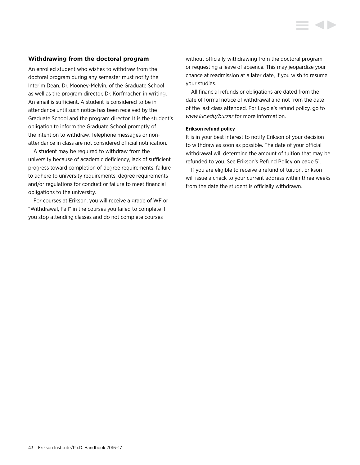# **Withdrawing from the doctoral program**

An enrolled student who wishes to withdraw from the doctoral program during any semester must notify the Interim Dean, Dr. Mooney-Melvin, of the Graduate School as well as the program director, Dr. Korfmacher, in writing. An email is sufficient. A student is considered to be in attendance until such notice has been received by the Graduate School and the program director. It is the student's obligation to inform the Graduate School promptly of the intention to withdraw. Telephone messages or nonattendance in class are not considered official notification.

A student may be required to withdraw from the university because of academic deficiency, lack of sufficient progress toward completion of degree requirements, failure to adhere to university requirements, degree requirements and/or regulations for conduct or failure to meet financial obligations to the university.

For courses at Erikson, you will receive a grade of WF or "Withdrawal, Fail" in the courses you failed to complete if you stop attending classes and do not complete courses

without officially withdrawing from the doctoral program or requesting a leave of absence. This may jeopardize your chance at readmission at a later date, if you wish to resume your studies.

All financial refunds or obligations are dated from the date of formal notice of withdrawal and not from the date of the last class attended. For Loyola's refund policy, go to *www.luc.edu/bursar* for more information.

#### **Erikson refund policy**

It is in your best interest to notify Erikson of your decision to withdraw as soon as possible. The date of your official withdrawal will determine the amount of tuition that may be refunded to you. See Erikson's Refund Policy on page 51.

If you are eligible to receive a refund of tuition, Erikson will issue a check to your current address within three weeks from the date the student is officially withdrawn.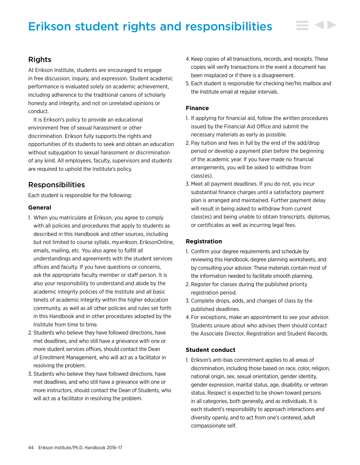# Erikson student rights and responsibilities

# Rights

At Erikson Institute, students are encouraged to engage in free discussion, inquiry, and expression. Student academic performance is evaluated solely on academic achievement, including adherence to the traditional canons of scholarly honesty and integrity, and not on unrelated opinions or conduct.

It is Erikson's policy to provide an educational environment free of sexual harassment or other discrimination. Erikson fully supports the rights and opportunities of its students to seek and obtain an education without subjugation to sexual harassment or discrimination of any kind. All employees, faculty, supervisors and students are required to uphold the Institute's policy.

# Responsibilities

Each student is responsible for the following:

# **General**

- 1. When you matriculate at Erikson, you agree to comply with all policies and procedures that apply to students as described in this Handbook and other sources, including but not limited to course syllabi, *my.erikson,* EriksonOnline, emails, mailing, etc. You also agree to fulfill all understandings and agreements with the student services offices and faculty. If you have questions or concerns, ask the appropriate faculty member or staff person. It is also your responsibility to understand and abide by the academic integrity policies of the Institute and all basic tenets of academic integrity within the higher education community, as well as all other policies and rules set forth in this Handbook and in other procedures adopted by the Institute from time to time.
- 2. Students who believe they have followed directions, have met deadlines, and who still have a grievance with one or more student services offices, should contact the Dean of Enrollment Management, who will act as a facilitator in resolving the problem.
- 3. Students who believe they have followed directions, have met deadlines, and who still have a grievance with one or more instructors, should contact the Dean of Students, who will act as a facilitator in resolving the problem.
- 4. Keep copies of all transactions, records, and receipts. These copies will verify transactions in the event a document has been misplaced or if there is a disagreement.
- 5. Each student is responsible for checking her/his mailbox and the Institute email at regular intervals.

# **Finance**

- 1. If applying for financial aid, follow the written procedures issued by the Financial Aid Office and submit the necessary materials as early as possible.
- 2. Pay tuition and fees in full by the end of the add/drop period or develop a payment plan before the beginning of the academic year. If you have made no financial arrangements, you will be asked to withdraw from class(es).
- 3. Meet all payment deadlines. If you do not, you incur substantial finance charges until a satisfactory payment plan is arranged and maintained. Further payment delay will result in being asked to withdraw from current class(es) and being unable to obtain transcripts, diplomas, or certificates as well as incurring legal fees.

# **Registration**

- 1. Confirm your degree requirements and schedule by reviewing this Handbook, degree planning worksheets, and by consulting your advisor. These materials contain most of the information needed to facilitate smooth planning.
- 2. Register for classes during the published priority registration period.
- 3. Complete drops, adds, and changes of class by the published deadlines.
- 4. For exceptions, make an appointment to see your advisor. Students unsure about who advises them should contact the Associate Director, Registration and Student Records.

# **Student conduct**

1. Erikson's anti-bias commitment applies to all areas of discrimination, including those based on race, color, religion, national origin, sex, sexual orientation, gender identity, gender expression, marital status, age, disability, or veteran status. Respect is expected to be shown toward persons in all categories, both generally, and as individuals. It is each student's responsibility to approach interactions and diversity openly, and to act from one's centered, adult compassionate self.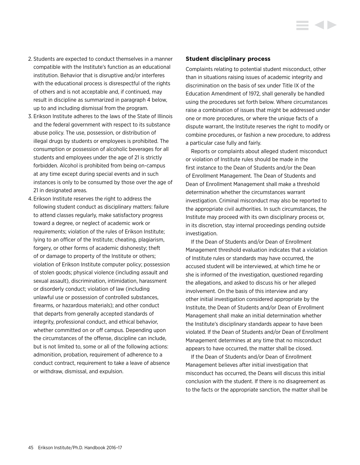- 2. Students are expected to conduct themselves in a manner compatible with the Institute's function as an educational institution. Behavior that is disruptive and/or interferes with the educational process is disrespectful of the rights of others and is not acceptable and, if continued, may result in discipline as summarized in paragraph 4 below, up to and including dismissal from the program.
- 3. Erikson Institute adheres to the laws of the State of Illinois and the federal government with respect to its substance abuse policy. The use, possession, or distribution of illegal drugs by students or employees is prohibited. The consumption or possession of alcoholic beverages for all students and employees under the age of 21 is strictly forbidden. Alcohol is prohibited from being on-campus at any time except during special events and in such instances is only to be consumed by those over the age of 21 in designated areas.
- 4. Erikson Institute reserves the right to address the following student conduct as disciplinary matters: failure to attend classes regularly, make satisfactory progress toward a degree, or neglect of academic work or requirements; violation of the rules of Erikson Institute; lying to an officer of the Institute; cheating, plagiarism, forgery, or other forms of academic dishonesty; theft of or damage to property of the Institute or others; violation of Erikson Institute computer policy; possession of stolen goods; physical violence (including assault and sexual assault), discrimination, intimidation, harassment or disorderly conduct; violation of law (including unlawful use or possession of controlled substances, firearms, or hazardous materials); and other conduct that departs from generally accepted standards of integrity, professional conduct, and ethical behavior, whether committed on or off campus. Depending upon the circumstances of the offense, discipline can include, but is not limited to, some or all of the following actions: admonition, probation, requirement of adherence to a conduct contract, requirement to take a leave of absence or withdraw, dismissal, and expulsion.

#### **Student disciplinary process**

Complaints relating to potential student misconduct, other than in situations raising issues of academic integrity and discrimination on the basis of sex under Title IX of the Education Amendment of 1972, shall generally be handled using the procedures set forth below. Where circumstances raise a combination of issues that might be addressed under one or more procedures, or where the unique facts of a dispute warrant, the Institute reserves the right to modify or combine procedures, or fashion a new procedure, to address a particular case fully and fairly.

Reports or complaints about alleged student misconduct or violation of Institute rules should be made in the first instance to the Dean of Students and/or the Dean of Enrollment Management. The Dean of Students and Dean of Enrollment Management shall make a threshold determination whether the circumstances warrant investigation. Criminal misconduct may also be reported to the appropriate civil authorities. In such circumstances, the Institute may proceed with its own disciplinary process or, in its discretion, stay internal proceedings pending outside investigation.

If the Dean of Students and/or Dean of Enrollment Management threshold evaluation indicates that a violation of Institute rules or standards may have occurred, the accused student will be interviewed, at which time he or she is informed of the investigation, questioned regarding the allegations, and asked to discuss his or her alleged involvement. On the basis of this interview and any other initial investigation considered appropriate by the Institute, the Dean of Students and/or Dean of Enrollment Management shall make an initial determination whether the Institute's disciplinary standards appear to have been violated. If the Dean of Students and/or Dean of Enrollment Management determines at any time that no misconduct appears to have occurred, the matter shall be closed.

If the Dean of Students and/or Dean of Enrollment Management believes after initial investigation that misconduct has occurred, the Deans will discuss this initial conclusion with the student. If there is no disagreement as to the facts or the appropriate sanction, the matter shall be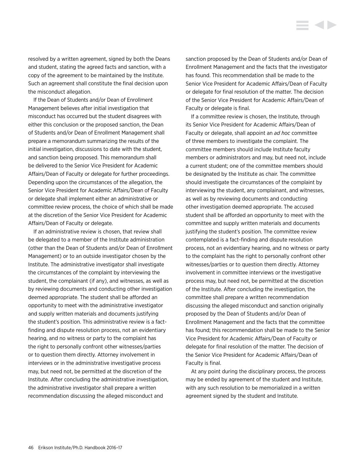resolved by a written agreement, signed by both the Deans and student, stating the agreed facts and sanction, with a copy of the agreement to be maintained by the Institute. Such an agreement shall constitute the final decision upon the misconduct allegation.

If the Dean of Students and/or Dean of Enrollment Management believes after initial investigation that misconduct has occurred but the student disagrees with either this conclusion or the proposed sanction, the Dean of Students and/or Dean of Enrollment Management shall prepare a memorandum summarizing the results of the initial investigation, discussions to date with the student, and sanction being proposed. This memorandum shall be delivered to the Senior Vice President for Academic Affairs/Dean of Faculty or delegate for further proceedings. Depending upon the circumstances of the allegation, the Senior Vice President for Academic Affairs/Dean of Faculty or delegate shall implement either an administrative or committee review process, the choice of which shall be made at the discretion of the Senior Vice President for Academic Affairs/Dean of Faculty or delegate.

If an administrative review is chosen, that review shall be delegated to a member of the Institute administration (other than the Dean of Students and/or Dean of Enrollment Management) or to an outside investigator chosen by the Institute. The administrative investigator shall investigate the circumstances of the complaint by interviewing the student, the complainant (if any), and witnesses, as well as by reviewing documents and conducting other investigation deemed appropriate. The student shall be afforded an opportunity to meet with the administrative investigator and supply written materials and documents justifying the student's position. This administrative review is a factfinding and dispute resolution process, not an evidentiary hearing, and no witness or party to the complaint has the right to personally confront other witnesses/parties or to question them directly. Attorney involvement in interviews or in the administrative investigative process may, but need not, be permitted at the discretion of the Institute. After concluding the administrative investigation, the administrative investigator shall prepare a written recommendation discussing the alleged misconduct and

sanction proposed by the Dean of Students and/or Dean of Enrollment Management and the facts that the investigator has found. This recommendation shall be made to the Senior Vice President for Academic Affairs/Dean of Faculty or delegate for final resolution of the matter. The decision of the Senior Vice President for Academic Affairs/Dean of Faculty or delegate is final.

If a committee review is chosen, the Institute, through its Senior Vice President for Academic Affairs/Dean of Faculty or delegate, shall appoint an *ad hoc* committee of three members to investigate the complaint. The committee members should include Institute faculty members or administrators and may, but need not, include a current student; one of the committee members should be designated by the Institute as chair. The committee should investigate the circumstances of the complaint by interviewing the student, any complainant, and witnesses, as well as by reviewing documents and conducting other investigation deemed appropriate. The accused student shall be afforded an opportunity to meet with the committee and supply written materials and documents justifying the student's position. The committee review contemplated is a fact-finding and dispute resolution process, not an evidentiary hearing, and no witness or party to the complaint has the right to personally confront other witnesses/parties or to question them directly. Attorney involvement in committee interviews or the investigative process may, but need not, be permitted at the discretion of the Institute. After concluding the investigation, the committee shall prepare a written recommendation discussing the alleged misconduct and sanction originally proposed by the Dean of Students and/or Dean of Enrollment Management and the facts that the committee has found; this recommendation shall be made to the Senior Vice President for Academic Affairs/Dean of Faculty or delegate for final resolution of the matter. The decision of the Senior Vice President for Academic Affairs/Dean of Faculty is final.

At any point during the disciplinary process, the process may be ended by agreement of the student and Institute, with any such resolution to be memorialized in a written agreement signed by the student and Institute.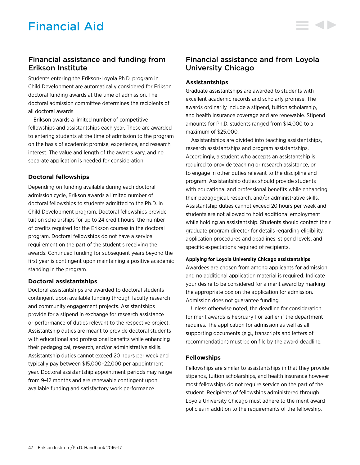# Financial assistance and funding from Erikson Institute

Students entering the Erikson-Loyola Ph.D. program in Child Development are automatically considered for Erikson doctoral funding awards at the time of admission. The doctoral admission committee determines the recipients of all doctoral awards.

Erikson awards a limited number of competitive fellowships and assistantships each year. These are awarded to entering students at the time of admission to the program on the basis of academic promise, experience, and research interest. The value and length of the awards vary, and no separate application is needed for consideration.

# **Doctoral fellowships**

Depending on funding available during each doctoral admission cycle, Erikson awards a limited number of doctoral fellowships to students admitted to the Ph.D. in Child Development program. Doctoral fellowships provide tuition scholarships for up to 24 credit hours, the number of credits required for the Erikson courses in the doctoral program. Doctoral fellowships do not have a service requirement on the part of the student s receiving the awards. Continued funding for subsequent years beyond the first year is contingent upon maintaining a positive academic standing in the program.

# **Doctoral assistantships**

Doctoral assistantships are awarded to doctoral students contingent upon available funding through faculty research and community engagement projects. Assistantships provide for a stipend in exchange for research assistance or performance of duties relevant to the respective project. Assistantship duties are meant to provide doctoral students with educational and professional benefits while enhancing their pedagogical, research, and/or administrative skills. Assistantship duties cannot exceed 20 hours per week and typically pay between \$15,000–22,000 per appointment year. Doctoral assistantship appointment periods may range from 9–12 months and are renewable contingent upon available funding and satisfactory work performance.

# Financial assistance and from Loyola University Chicago

# **Assistantships**

Graduate assistantships are awarded to students with excellent academic records and scholarly promise. The awards ordinarily include a stipend, tuition scholarship, and health insurance coverage and are renewable. Stipend amounts for Ph.D. students ranged from \$14,000 to a maximum of \$25,000.

Assistantships are divided into teaching assistantships, research assistantships and program assistantships. Accordingly, a student who accepts an assistantship is required to provide teaching or research assistance, or to engage in other duties relevant to the discipline and program. Assistantship duties should provide students with educational and professional benefits while enhancing their pedagogical, research, and/or administrative skills. Assistantship duties cannot exceed 20 hours per week and students are not allowed to hold additional employment while holding an assistantship. Students should contact their graduate program director for details regarding eligibility, application procedures and deadlines, stipend levels, and specific expectations required of recipients.

# **Applying for Loyola University Chicago assistantships**

Awardees are chosen from among applicants for admission and no additional application material is required. Indicate your desire to be considered for a merit award by marking the appropriate box on the application for admission. Admission does not guarantee funding.

Unless otherwise noted, the deadline for consideration for merit awards is February 1 or earlier if the department requires. The application for admission as well as all supporting documents (e.g., transcripts and letters of recommendation) must be on file by the award deadline.

# **Fellowships**

Fellowships are similar to assistantships in that they provide stipends, tuition scholarships, and health insurance however most fellowships do not require service on the part of the student. Recipients of fellowships administered through Loyola University Chicago must adhere to the merit award policies in addition to the requirements of the fellowship.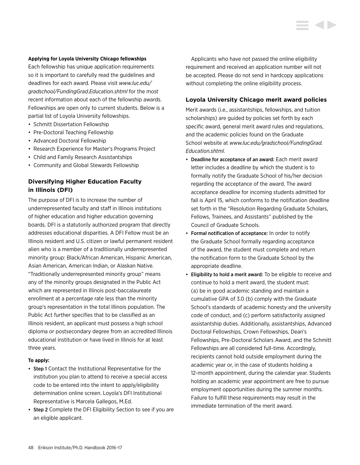#### **Applying for Loyola University Chicago fellowships**

Each fellowship has unique application requirements so it is important to carefully read the guidelines and deadlines for each award. Please visit *www.luc.edu/ gradschool/FundingGrad.Education.shtml* for the most recent information about each of the fellowship awards. Fellowships are open only to current students. Below is a partial list of Loyola University fellowships.

- Schmitt Dissertation Fellowship
- Pre-Doctoral Teaching Fellowship
- Advanced Doctoral Fellowship
- Research Experience for Master's Programs Project
- Child and Family Research Assistantships
- Community and Global Stewards Fellowship

# **Diversifying Higher Education Faculty in Illinois (DFI)**

The purpose of DFI is to increase the number of underrepresented faculty and staff in Illinois institutions of higher education and higher education governing boards. DFI is a statutorily authorized program that directly addresses educational disparities. A DFI Fellow must be an Illinois resident and U.S. citizen or lawful permanent resident alien who is a member of a traditionally underrepresented minority group: Black/African American, Hispanic American, Asian American, American Indian, or Alaskan Native. "Traditionally underrepresented minority group" means any of the minority groups designated in the Public Act which are represented in Illinois post-baccalaureate enrollment at a percentage rate less than the minority group's representation in the total Illinois population. The Public Act further specifies that to be classified as an Illinois resident, an applicant must possess a high school diploma or postsecondary degree from an accredited Illinois educational institution or have lived in Illinois for at least three years.

#### **To apply:**

- Step 1 Contact the Institutional Representative for the institution you plan to attend to receive a special access code to be entered into the intent to apply/eligibility determination online screen. Loyola's DFI Institutional Representative is Marcela Gallegos, M.Ed.
- Step 2 Complete the DFI Eligibility Section to see if you are an eligible applicant.

Applicants who have not passed the online eligibility requirement and received an application number will not be accepted. Please do not send in hardcopy applications without completing the online eligibility process.

# **Loyola University Chicago merit award policies**

Merit awards (i.e., assistantships, fellowships, and tuition scholarships) are guided by policies set forth by each specific award, general merit award rules and regulations, and the academic policies found on the Graduate School website at *www.luc.edu/gradschool/FundingGrad. Education.shtml*.

- Deadline for acceptance of an award: Each merit award letter includes a deadline by which the student is to formally notify the Graduate School of his/her decision regarding the acceptance of the award. The award acceptance deadline for incoming students admitted for fall is April 15, which conforms to the notification deadline set forth in the "Resolution Regarding Graduate Scholars, Fellows, Trainees, and Assistants'' published by the Council of Graduate Schools.
- Formal notification of acceptance: In order to notify the Graduate School formally regarding acceptance of the award, the student must complete and return the notification form to the Graduate School by the appropriate deadline.
- Eligibility to hold a merit award: To be eligible to receive and continue to hold a merit award, the student must: (a) be in good academic standing and maintain a cumulative GPA of 3.0 (b) comply with the Graduate School's standards of academic honesty and the university code of conduct, and (c) perform satisfactorily assigned assistantship duties. Additionally, assistantships, Advanced Doctoral Fellowships, Crown Fellowships, Dean's Fellowships, Pre-Doctoral Scholars Award, and the Schmitt Fellowships are all considered full-time. Accordingly, recipients cannot hold outside employment during the academic year or, in the case of students holding a 12-month appointment, during the calendar year. Students holding an academic year appointment are free to pursue employment opportunities during the summer months. Failure to fulfill these requirements may result in the immediate termination of the merit award.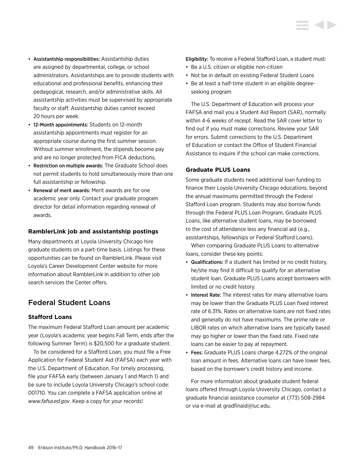- Assistantship responsibilities: Assistantship duties are assigned by departmental, college, or school administrators. Assistantships are to provide students with educational and professional benefits, enhancing their pedagogical, research, and/or administrative skills. All assistantship activities must be supervised by appropriate faculty or staff. Assistantship duties cannot exceed 20 hours per week.
- 12-Month appointments: Students on 12-month assistantship appointments must register for an appropriate course during the first summer session. Without summer enrollment, the stipends become pay and are no longer protected from FICA deductions.
- Restriction on multiple awards: The Graduate School does not permit students to hold simultaneously more than one full assistantship or fellowship.
- Renewal of merit awards: Merit awards are for one academic year only. Contact your graduate program director for detail information regarding renewal of awards.

# **RamblerLink job and assistantship postings**

Many departments at Loyola University Chicago hire graduate students on a part-time basis. Listings for these opportunities can be found on RamblerLink. Please visit Loyola's Career Development Center website for more information about RamblerLink in addition to other job search services the Center offers.

# Federal Student Loans

# **Stafford Loans**

The maximum Federal Stafford Loan amount per academic year (Loyola's academic year begins Fall Term, ends after the following Summer Term) is \$20,500 for a graduate student.

To be considered for a Stafford Loan, you must file a Free Application for Federal Student Aid (FAFSA) each year with the U.S. Department of Education. For timely processing, file your FAFSA early (between January 1 and March 1) and be sure to include Loyola University Chicago's school code: 001710. You can complete a FAFSA application online at *www.fafsa.ed.gov*. Keep a copy for your records!

Eligibility: To receive a Federal Stafford Loan, a student must:

- Be a U.S. citizen or eligible non-citizen
- Not be in default on existing Federal Student Loans
- Be at least a half-time student in an eligible degreeseeking program

The U.S. Department of Education will process your FAFSA and mail you a Student Aid Report (SAR), normally within 4-6 weeks of receipt. Read the SAR cover letter to find out if you must make corrections. Review your SAR for errors. Submit corrections to the U.S. Department of Education or contact the Office of Student Financial Assistance to inquire if the school can make corrections.

# **Graduate PLUS Loans**

Some graduate students need additional loan funding to finance their Loyola University Chicago educations, beyond the annual maximums permitted through the Federal Stafford Loan program. Students may also borrow funds through the Federal PLUS Loan Program. Graduate PLUS Loans, like alternative student loans, may be borrowed to the cost of attendance less any financial aid (e.g., assistantships, fellowships or Federal Stafford Loans).

When comparing Graduate PLUS Loans to alternative loans, consider these key points:

- Qualifications: If a student has limited or no credit history, he/she may find it difficult to qualify for an alternative student loan. Graduate PLUS Loans accept borrowers with limited or no credit history.
- Interest Rate: The interest rates for many alternative loans may be lower than the Graduate PLUS Loan fixed interest rate of 6.31%. Rates on alternative loans are not fixed rates and generally do not have maximums. The prime rate or LIBOR rates on which alternative loans are typically based may go higher or lower than the fixed rate. Fixed rate loans can be easier to pay at repayment.
- Fees: Graduate PLUS Loans charge 4.272% of the original loan amount in fees. Alternative loans can have lower fees, based on the borrower's credit history and income.

For more information about graduate student federal loans offered through Loyola University Chicago, contact a graduate financial assistance counselor at (773) 508-2984 or via e-mail at gradfinaid@luc.edu.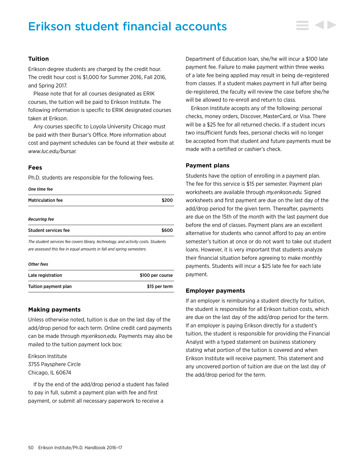# Erikson student financial accounts

# **Tuition**

Erikson degree students are charged by the credit hour. The credit hour cost is \$1,000 for Summer 2016, Fall 2016, and Spring 2017.

Please note that for all courses designated as ERIK courses, the tuition will be paid to Erikson Institute. The following information is specific to ERIK designated courses taken at Erikson.

Any courses specific to Loyola University Chicago must be paid with their Bursar's Office. More information about cost and payment schedules can be found at their website at *www.luc.edu/bursar.*

# **Fees**

Ph.D. students are responsible for the following fees.

#### *One time fee*

| <b>Matriculation fee</b>                                                                                                                                  |       |
|-----------------------------------------------------------------------------------------------------------------------------------------------------------|-------|
| <b>Recurring fee</b>                                                                                                                                      |       |
| Student services fee                                                                                                                                      | \$600 |
| The student services fee covers library, technology, and activity costs. Students<br>are assessed this fee in equal amounts in fall and spring semesters. |       |
| <b>Other fees</b>                                                                                                                                         |       |

| Late registration    | \$100 per course |
|----------------------|------------------|
| Tuition payment plan | \$15 per term    |

# **Making payments**

Unless otherwise noted, tuition is due on the last day of the add/drop period for each term. Online credit card payments can be made through *my.erikson.edu.* Payments may also be mailed to the tuition payment lock box:

Erikson Institute 3755 Paysphere Circle Chicago, IL 60674

If by the end of the add/drop period a student has failed to pay in full, submit a payment plan with fee and first payment, or submit all necessary paperwork to receive a

Department of Education loan, she/he will incur a \$100 late payment fee. Failure to make payment within three weeks of a late fee being applied may result in being de-registered from classes. If a student makes payment in full after being de-registered, the faculty will review the case before she/he will be allowed to re-enroll and return to class.

Erikson Institute accepts any of the following: personal checks, money orders, Discover, MasterCard, or Visa. There will be a \$25 fee for all returned checks. If a student incurs two insufficient funds fees, personal checks will no longer be accepted from that student and future payments must be made with a certified or cashier's check.

#### **Payment plans**

Students have the option of enrolling in a payment plan. The fee for this service is \$15 per semester. Payment plan worksheets are available through *my.erikson.edu.* Signed worksheets and first payment are due on the last day of the add/drop period for the given term. Thereafter, payments are due on the 15th of the month with the last payment due before the end of classes. Payment plans are an excellent alternative for students who cannot afford to pay an entire semester's tuition at once or do not want to take out student loans. However, it is very important that students analyze their financial situation before agreeing to make monthly payments. Students will incur a \$25 late fee for each late payment.

### **Employer payments**

If an employer is reimbursing a student directly for tuition, the student is responsible for all Erikson tuition costs, which are due on the last day of the add/drop period for the term. If an employer is paying Erikson directly for a student's tuition, the student is responsible for providing the Financial Analyst with a typed statement on business stationery stating what portion of the tuition is covered and when Erikson Institute will receive payment. This statement and any uncovered portion of tuition are due on the last day of the add/drop period for the term.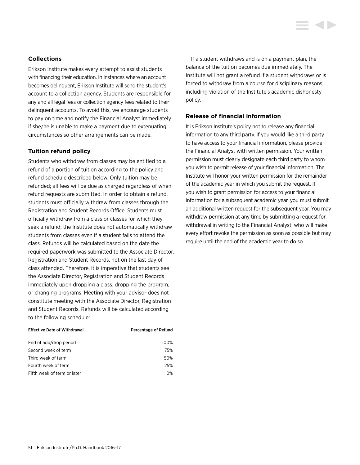# **Collections**

Erikson Institute makes every attempt to assist students with financing their education. In instances where an account becomes delinquent, Erikson Institute will send the student's account to a collection agency. Students are responsible for any and all legal fees or collection agency fees related to their delinquent accounts. To avoid this, we encourage students to pay on time and notify the Financial Analyst immediately if she/he is unable to make a payment due to extenuating circumstances so other arrangements can be made.

# **Tuition refund policy**

Students who withdraw from classes may be entitled to a refund of a portion of tuition according to the policy and refund schedule described below. Only tuition may be refunded; all fees will be due as charged regardless of when refund requests are submitted. In order to obtain a refund, students must officially withdraw from classes through the Registration and Student Records Office. Students must officially withdraw from a class or classes for which they seek a refund; the Institute does not automatically withdraw students from classes even if a student fails to attend the class. Refunds will be calculated based on the date the required paperwork was submitted to the Associate Director, Registration and Student Records, not on the last day of class attended. Therefore, it is imperative that students see the Associate Director, Registration and Student Records immediately upon dropping a class, dropping the program, or changing programs. Meeting with your advisor does not constitute meeting with the Associate Director, Registration and Student Records. Refunds will be calculated according to the following schedule:

| <b>Effective Date of Withdrawal</b> | Percentage of Refund |
|-------------------------------------|----------------------|
| End of add/drop period              | 100%                 |
| Second week of term                 | 75%                  |
| Third week of term                  | 50%                  |
| Fourth week of term                 | 25%                  |
| Fifth week of term or later         | $0\%$                |

If a student withdraws and is on a payment plan, the balance of the tuition becomes due immediately. The Institute will not grant a refund if a student withdraws or is forced to withdraw from a course for disciplinary reasons, including violation of the Institute's academic dishonesty policy.

# **Release of financial information**

It is Erikson Institute's policy not to release any financial information to any third party. If you would like a third party to have access to your financial information, please provide the Financial Analyst with written permission. Your written permission must clearly designate each third party to whom you wish to permit release of your financial information. The Institute will honor your written permission for the remainder of the academic year in which you submit the request. If you wish to grant permission for access to your financial information for a subsequent academic year, you must submit an additional written request for the subsequent year. You may withdraw permission at any time by submitting a request for withdrawal in writing to the Financial Analyst, who will make every effort revoke the permission as soon as possible but may require until the end of the academic year to do so.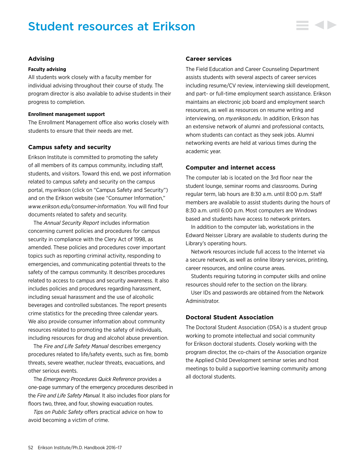# Student resources at Erikson



# **Advising**

#### **Faculty advising**

All students work closely with a faculty member for individual advising throughout their course of study. The program director is also available to advise students in their progress to completion.

#### **Enrollment management support**

The Enrollment Management office also works closely with students to ensure that their needs are met.

# **Campus safety and security**

Erikson Institute is committed to promoting the safety of all members of its campus community, including staff, students, and visitors. Toward this end, we post information related to campus safety and security on the campus portal, my.erikson (click on "Campus Safety and Security") and on the Erikson website (see "Consumer Information," *[www.erikson.edu/consumer-information](http://www.erikson.edu/consumer-information)*. You will find four documents related to safety and security.

The *Annual Security Report* includes information concerning current policies and procedures for campus security in compliance with the Clery Act of 1998, as amended. These policies and procedures cover important topics such as reporting criminal activity, responding to emergencies, and communicating potential threats to the safety of the campus community. It describes procedures related to access to campus and security awareness. It also includes policies and procedures regarding harassment, including sexual harassment and the use of alcoholic beverages and controlled substances. The report presents crime statistics for the preceding three calendar years. We also provide consumer information about community resources related to promoting the safety of individuals, including resources for drug and alcohol abuse prevention.

The *Fire and Life Safety Manual* describes emergency procedures related to life/safety events, such as fire, bomb threats, severe weather, nuclear threats, evacuations, and other serious events.

The *Emergency Procedures Quick Reference* provides a one-page summary of the emergency procedures described in the *Fire and Life Safety Manual.* It also includes floor plans for floors two, three, and four, showing evacuation routes.

*Tips on Public Safety* offers practical advice on how to avoid becoming a victim of crime.

# **Career services**

The Field Education and Career Counseling Department assists students with several aspects of career services including resume/CV review, interviewing skill development, and part- or full-time employment search assistance. Erikson maintains an electronic job board and employment search resources, as well as resources on resume writing and interviewing, on *my.erikson.edu*. In addition, Erikson has an extensive network of alumni and professional contacts, whom students can contact as they seek jobs. Alumni networking events are held at various times during the academic year.

# **Computer and internet access**

The computer lab is located on the 3rd floor near the student lounge, seminar rooms and classrooms. During regular term, lab hours are 8:30 a.m. until 8:00 p.m. Staff members are available to assist students during the hours of 8:30 a.m. until 6:00 p.m. Most computers are Windows based and students have access to network printers.

In addition to the computer lab, workstations in the Edward Neisser Library are available to students during the Library's operating hours.

Network resources include full access to the Internet via a secure network, as well as online library services, printing, career resources, and online course areas.

Students requiring tutoring in computer skills and online resources should refer to the section on the library.

User IDs and passwords are obtained from the Network Administrator.

# **Doctoral Student Association**

The Doctoral Student Association (DSA) is a student group working to promote intellectual and social community for Erikson doctoral students. Closely working with the program director, the co-chairs of the Association organize the Applied Child Development seminar series and host meetings to build a supportive learning community among all doctoral students.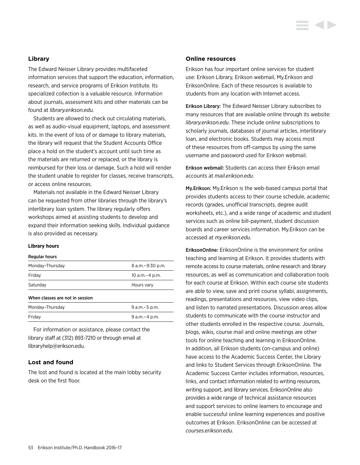# **Library**

The Edward Neisser Library provides multifaceted information services that support the education, information, research, and service programs of Erikson Institute. Its specialized collection is a valuable resource. Information about journals, assessment kits and other materials can be found at *library.erikson.edu.*

Students are allowed to check out circulating materials, as well as audio-visual equipment, laptops, and assessment kits. In the event of loss of or damage to library materials, the library will request that the Student Accounts Office place a hold on the student's account until such time as the materials are returned or replaced, or the library is reimbursed for their loss or damage. Such a hold will render the student unable to register for classes, receive transcripts, or access online resources.

Materials not available in the Edward Neisser Library can be requested from other libraries through the library's interlibrary loan system. The library regularly offers workshops aimed at assisting students to develop and expand their information seeking skills. Individual guidance is also provided as necessary.

#### **Library hours**

#### Regular hours

| Monday-Thursday                 | 8 a.m. - 9:30 p.m. |  |
|---------------------------------|--------------------|--|
| Friday                          | 10 a.m. - 4 p.m.   |  |
| Saturday                        | Hours vary         |  |
| When classes are not in session |                    |  |
| Monday-Thursday                 | 9 a.m. - 5 p.m.    |  |
| Friday                          | 9 a.m. - 4 p.m.    |  |

For information or assistance, please contact the library staff at (312) 893-7210 or through email at libraryhelp@erikson.edu.

# **Lost and found**

The lost and found is located at the main lobby security desk on the first floor.

# **Online resources**

Erikson has four important online services for student use: Erikson Library, Erikson webmail, My.Erikson and EriksonOnline. Each of these resources is available to students from any location with Internet access.

Erikson Library: The Edward Neisser Library subscribes to many resources that are available online through its website: *library.erikson.edu.* These include online subscriptions to scholarly journals, databases of journal articles, interlibrary loan, and electronic books. Students may access most of these resources from off-campus by using the same username and password used for Erikson webmail.

Erikson webmail: Students can access their Erikson email accounts at *mail.erikson.edu*.

My.Erikson: My.Erikson is the web-based campus portal that provides students access to their course schedule, academic records (grades, unofficial transcripts, degree audit worksheets, etc.), and a wide range of academic and student services such as online bill-payment, student discussion boards and career services information. My.Erikson can be accessed at *my.erikson.edu*.

EriksonOnline: EriksonOnline is the environment for online teaching and learning at Erikson. It provides students with remote access to course materials, online research and library resources, as well as communication and collaboration tools for each course at Erikson. Within each course site students are able to view, save and print course syllabi, assignments, readings, presentations and resources, view video clips, and listen to narrated presentations. Discussion areas allow students to communicate with the course instructor and other students enrolled in the respective course. Journals, blogs, wikis, course mail and online meetings are other tools for online teaching and learning in EriksonOnline. In addition, all Erikson students (on-campus and online) have access to the Academic Success Center, the Library and links to Student Services through EriksonOnline. The Academic Success Center includes information, resources, links, and contact information related to writing resources, writing support, and library services. EriksonOnline also provides a wide range of technical assistance resources and support services to online learners to encourage and enable successful online learning experiences and positive outcomes at Erikson. EriksonOnline can be accessed at *courses.erikson.edu.*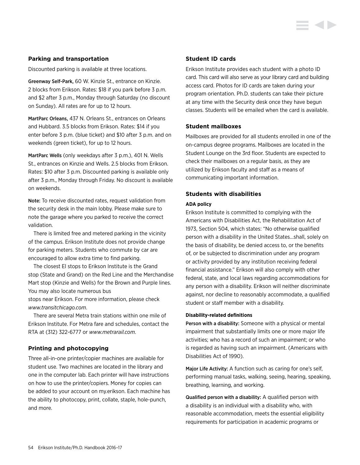# **Parking and transportation**

Discounted parking is available at three locations.

Greenway Self-Park, 60 W. Kinzie St., entrance on Kinzie. 2 blocks from Erikson. Rates: \$18 if you park before 3 p.m. and \$2 after 3 p.m., Monday through Saturday (no discount on Sunday). All rates are for up to 12 hours.

MartParc Orleans, 437 N. Orleans St., entrances on Orleans and Hubbard. 3.5 blocks from Erikson. Rates: \$14 if you enter before 3 p.m. (blue ticket) and \$10 after 3 p.m. and on weekends (green ticket), for up to 12 hours.

MartParc Wells (only weekdays after 3 p.m.), 401 N. Wells St., entrances on Kinzie and Wells. 2.5 blocks from Erikson. Rates: \$10 after 3 p.m. Discounted parking is available only after 3 p.m., Monday through Friday. No discount is available on weekends.

Note: To receive discounted rates, request validation from the security desk in the main lobby. Please make sure to note the garage where you parked to receive the correct validation.

There is limited free and metered parking in the vicinity of the campus. Erikson Institute does not provide change for parking meters. Students who commute by car are encouraged to allow extra time to find parking.

The closest El stops to Erikson Institute is the Grand stop (State and Grand) on the Red Line and the Merchandise Mart stop (Kinzie and Wells) for the Brown and Purple lines. You may also locate numerous bus

stops near Erikson. For more information, please check *www.transitchicago.com*.

There are several Metra train stations within one mile of Erikson Institute. For Metra fare and schedules, contact the RTA at (312) 322-6777 or *www.metrarail.com*.

# **Printing and photocopying**

Three all-in-one printer/copier machines are available for student use. Two machines are located in the library and one in the computer lab. Each printer will have instructions on how to use the printer/copiers. Money for copies can be added to your account on my.erikson. Each machine has the ability to photocopy, print, collate, staple, hole-punch, and more.

# **Student ID cards**

Erikson Institute provides each student with a photo ID card. This card will also serve as your library card and building access card. Photos for ID cards are taken during your program orientation. Ph.D. students can take their picture at any time with the Security desk once they have begun classes. Students will be emailed when the card is available.

#### **Student mailboxes**

Mailboxes are provided for all students enrolled in one of the on-campus degree programs. Mailboxes are located in the Student Lounge on the 3rd floor. Students are expected to check their mailboxes on a regular basis, as they are utilized by Erikson faculty and staff as a means of communicating important information.

# **Students with disabilities**

#### **ADA policy**

Erikson Institute is committed to complying with the Americans with Disabilities Act, the Rehabilitation Act of 1973, Section 504, which states: "No otherwise qualified person with a disability in the United States…shall, solely on the basis of disability, be denied access to, or the benefits of, or be subjected to discrimination under any program or activity provided by any institution receiving federal financial assistance." Erikson will also comply with other federal, state, and local laws regarding accommodations for any person with a disability. Erikson will neither discriminate against, nor decline to reasonably accommodate, a qualified student or staff member with a disability.

#### **Disability-related definitions**

Person with a disability: Someone with a physical or mental impairment that substantially limits one or more major life activities; who has a record of such an impairment; or who is regarded as having such an impairment. (Americans with Disabilities Act of 1990).

Major Life Activity: A function such as caring for one's self, performing manual tasks, walking, seeing, hearing, speaking, breathing, learning, and working.

Qualified person with a disability: A qualified person with a disability is an individual with a disability who, with reasonable accommodation, meets the essential eligibility requirements for participation in academic programs or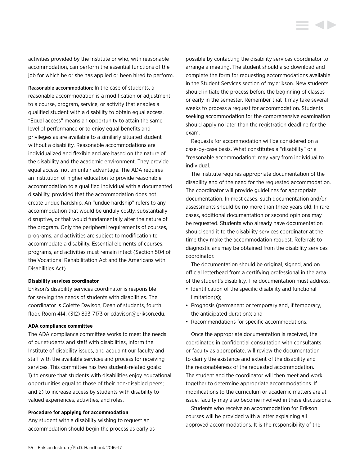activities provided by the Institute or who, with reasonable accommodation, can perform the essential functions of the job for which he or she has applied or been hired to perform.

Reasonable accommodation: In the case of students, a reasonable accommodation is a modification or adjustment to a course, program, service, or activity that enables a qualified student with a disability to obtain equal access. "Equal access" means an opportunity to attain the same level of performance or to enjoy equal benefits and privileges as are available to a similarly situated student without a disability. Reasonable accommodations are individualized and flexible and are based on the nature of the disability and the academic environment. They provide equal access, not an unfair advantage. The ADA requires an institution of higher education to provide reasonable accommodation to a qualified individual with a documented disability, provided that the accommodation does not create undue hardship. An "undue hardship" refers to any accommodation that would be unduly costly, substantially disruptive, or that would fundamentally alter the nature of the program. Only the peripheral requirements of courses, programs, and activities are subject to modification to accommodate a disability. Essential elements of courses, programs, and activities must remain intact (Section 504 of the Vocational Rehabilitation Act and the Americans with Disabilities Act)

#### **Disability services coordinator**

Erikson's disability services coordinator is responsible for serving the needs of students with disabilities. The coordinator is Colette Davison, Dean of students, fourth floor, Room 414, (312) 893-7173 or cdavison@erikson.edu.

#### **ADA compliance committee**

The ADA compliance committee works to meet the needs of our students and staff with disabilities, inform the Institute of disability issues, and acquaint our faculty and staff with the available services and process for receiving services. This committee has two student-related goals: 1) to ensure that students with disabilities enjoy educational opportunities equal to those of their non-disabled peers; and 2) to increase access by students with disability to valued experiences, activities, and roles.

#### **Procedure for applying for accommodation**

Any student with a disability wishing to request an accommodation should begin the process as early as possible by contacting the disability services coordinator to arrange a meeting. The student should also download and complete the form for requesting accommodations available in the Student Services section of my.erikson. New students should initiate the process before the beginning of classes or early in the semester. Remember that it may take several weeks to process a request for accommodation. Students seeking accommodation for the comprehensive examination should apply no later than the registration deadline for the exam.

Requests for accommodation will be considered on a case-by-case basis. What constitutes a "disability" or a "reasonable accommodation" may vary from individual to individual.

The Institute requires appropriate documentation of the disability and of the need for the requested accommodation. The coordinator will provide guidelines for appropriate documentation. In most cases, such documentation and/or assessments should be no more than three years old. In rare cases, additional documentation or second opinions may be requested. Students who already have documentation should send it to the disability services coordinator at the time they make the accommodation request. Referrals to diagnosticians may be obtained from the disability services coordinator.

The documentation should be original, signed, and on official letterhead from a certifying professional in the area of the student's disability. The documentation must address:

- Identification of the specific disability and functional limitation(s);
- Prognosis (permanent or temporary and, if temporary, the anticipated duration); and
- Recommendations for specific accommodations.

Once the appropriate documentation is received, the coordinator, in confidential consultation with consultants or faculty as appropriate, will review the documentation to clarify the existence and extent of the disability and the reasonableness of the requested accommodation. The student and the coordinator will then meet and work together to determine appropriate accommodations. If modifications to the curriculum or academic matters are at issue, faculty may also become involved in these discussions.

Students who receive an accommodation for Erikson courses will be provided with a letter explaining all approved accommodations. It is the responsibility of the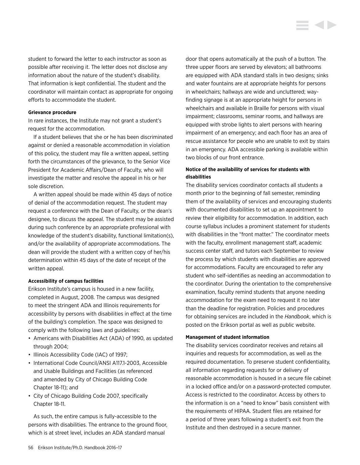student to forward the letter to each instructor as soon as possible after receiving it. The letter does not disclose any information about the nature of the student's disability. That information is kept confidential. The student and the coordinator will maintain contact as appropriate for ongoing efforts to accommodate the student.

#### **Grievance procedure**

In rare instances, the Institute may not grant a student's request for the accommodation.

If a student believes that she or he has been discriminated against or denied a reasonable accommodation in violation of this policy, the student may file a written appeal, setting forth the circumstances of the grievance, to the Senior Vice President for Academic Affairs/Dean of Faculty, who will investigate the matter and resolve the appeal in his or her sole discretion.

A written appeal should be made within 45 days of notice of denial of the accommodation request. The student may request a conference with the Dean of Faculty, or the dean's designee, to discuss the appeal. The student may be assisted during such conference by an appropriate professional with knowledge of the student's disability, functional limitation(s), and/or the availability of appropriate accommodations. The dean will provide the student with a written copy of her/his determination within 45 days of the date of receipt of the written appeal.

#### **Accessibility of campus facilities**

Erikson Institute's campus is housed in a new facility, completed in August, 2008. The campus was designed to meet the stringent ADA and Illinois requirements for accessibility by persons with disabilities in effect at the time of the building's completion. The space was designed to comply with the following laws and guidelines:

- Americans with Disabilities Act (ADA) of 1990, as updated through 2004;
- Illinois Accessibility Code (IAC) of 1997;
- International Code Council/ANSI A117.1-2003, Accessible and Usable Buildings and Facilities (as referenced and amended by City of Chicago Building Code Chapter 18-11); and
- City of Chicago Building Code 2007, specifically Chapter 18-11.

As such, the entire campus is fully-accessible to the persons with disabilities. The entrance to the ground floor, which is at street level, includes an ADA standard manual

door that opens automatically at the push of a button. The three upper floors are served by elevators; all bathrooms are equipped with ADA standard stalls in two designs; sinks and water fountains are at appropriate heights for persons in wheelchairs; hallways are wide and uncluttered; wayfinding signage is at an appropriate height for persons in wheelchairs and available in Braille for persons with visual impairment; classrooms, seminar rooms, and hallways are equipped with strobe lights to alert persons with hearing impairment of an emergency; and each floor has an area of rescue assistance for people who are unable to exit by stairs in an emergency. ADA accessible parking is available within two blocks of our front entrance.

# **Notice of the availability of services for students with disabilities**

The disability services coordinator contacts all students a month prior to the beginning of fall semester, reminding them of the availability of services and encouraging students with documented disabilities to set up an appointment to review their eligibility for accommodation. In addition, each course syllabus includes a prominent statement for students with disabilities in the "front matter." The coordinator meets with the faculty, enrollment management staff, academic success center staff, and tutors each September to review the process by which students with disabilities are approved for accommodations. Faculty are encouraged to refer any student who self-identifies as needing an accommodation to the coordinator. During the orientation to the comprehensive examination, faculty remind students that anyone needing accommodation for the exam need to request it no later than the deadline for registration. Policies and procedures for obtaining services are included in the *Handbook*, which is posted on the Erikson portal as well as public website.

#### **Management of student information**

The disability services coordinator receives and retains all inquiries and requests for accommodation, as well as the required documentation. To preserve student confidentiality, all information regarding requests for or delivery of reasonable accommodation is housed in a secure file cabinet in a locked office and/or on a password-protected computer. Access is restricted to the coordinator. Access by others to the information is on a "need to know" basis consistent with the requirements of HIPAA. Student files are retained for a period of three years following a student's exit from the Institute and then destroyed in a secure manner.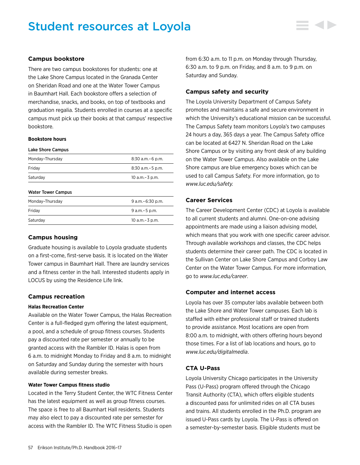# Student resources at Loyola



There are two campus bookstores for students: one at the Lake Shore Campus located in the Granada Center on Sheridan Road and one at the Water Tower Campus in Baumhart Hall. Each bookstore offers a selection of merchandise, snacks, and books, on top of textbooks and graduation regalia. Students enrolled in courses at a specific campus must pick up their books at that campus' respective bookstore.

## **Bookstore hours**

| Lake Shore Campus         |                       |
|---------------------------|-----------------------|
| Monday-Thursday           | $8:30$ a.m. $-6$ p.m. |
| Fridav                    | $8:30$ a.m. $-5$ p.m. |
| Saturday                  | 10 a.m. - 3 p.m.      |
| <b>Water Tower Campus</b> |                       |
| Monday-Thursday           | $9$ a.m. $-6:30$ p.m. |
| Friday                    | $9 a.m - 5 p.m.$      |
| Saturdav                  | 10 a.m.–3 p.m.        |

# **Campus housing**

Graduate housing is available to Loyola graduate students on a first-come, first-serve basis. It is located on the Water Tower campus in Baumhart Hall. There are laundry services and a fitness center in the hall. Interested students apply in LOCUS by using the Residence Life link.

# **Campus recreation**

# **Halas Recreation Center**

Available on the Water Tower Campus, the Halas Recreation Center is a full-fledged gym offering the latest equipment, a pool, and a schedule of group fitness courses. Students pay a discounted rate per semester or annually to be granted access with the Rambler ID. Halas is open from 6 a.m. to midnight Monday to Friday and 8 a.m. to midnight on Saturday and Sunday during the semester with hours available during semester breaks.

# **Water Tower Campus fitness studio**

Located in the Terry Student Center, the WTC Fitness Center has the latest equipment as well as group fitness courses. The space is free to all Baumhart Hall residents. Students may also elect to pay a discounted rate per semester for access with the Rambler ID. The WTC Fitness Studio is open

from 6:30 a.m. to 11 p.m. on Monday through Thursday, 6:30 a.m. to 9 p.m. on Friday, and 8 a.m. to 9 p.m. on Saturday and Sunday.

#### **Campus safety and security**

The Loyola University Department of Campus Safety promotes and maintains a safe and secure environment in which the University's educational mission can be successful. The Campus Safety team monitors Loyola's two campuses 24 hours a day, 365 days a year. The Campus Safety office can be located at 6427 N. Sheridan Road on the Lake Shore Campus or by visiting any front desk of any building on the Water Tower Campus. Also available on the Lake Shore campus are blue emergency boxes which can be used to call Campus Safety. For more information, go to *www.luc.edu/safety.*

# **Career Services**

The Career Development Center (CDC) at Loyola is available to all current students and alumni. One-on-one advising appointments are made using a liaison advising model, which means that you work with one specific career advisor. Through available workshops and classes, the CDC helps students determine their career path. The CDC is located in the Sullivan Center on Lake Shore Campus and Corboy Law Center on the Water Tower Campus. For more information, go to *www.luc.edu/career*.

# **Computer and internet access**

Loyola has over 35 computer labs available between both the Lake Shore and Water Tower campuses. Each lab is staffed with either professional staff or trained students to provide assistance. Most locations are open from 8:00 a.m. to midnight, with others offering hours beyond those times. For a list of lab locations and hours, go to *www.luc.edu/digitalmedia*.

# **CTA U-Pass**

Loyola University Chicago participates in the University Pass (U-Pass) program offered through the Chicago Transit Authority (CTA), which offers eligible students a discounted pass for unlimited rides on all CTA buses and trains. All students enrolled in the Ph.D. program are issued U-Pass cards by Loyola. The U-Pass is offered on a semester-by-semester basis. Eligible students must be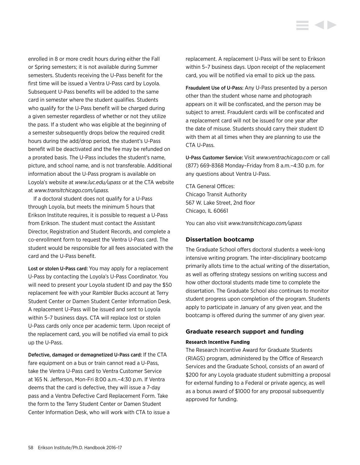enrolled in 8 or more credit hours during either the Fall or Spring semesters; it is not available during Summer semesters. Students receiving the U-Pass benefit for the first time will be issued a Ventra U-Pass card by Loyola. Subsequent U-Pass benefits will be added to the same card in semester where the student qualifies. Students who qualify for the U-Pass benefit will be charged during a given semester regardless of whether or not they utilize the pass. If a student who was eligible at the beginning of a semester subsequently drops below the required credit hours during the add/drop period, the student's U-Pass benefit will be deactivated and the fee may be refunded on a prorated basis. The U-Pass includes the student's name, picture, and school name, and is not transferable. Additional information about the U-Pass program is available on Loyola's website at *www.luc.edu/upass* or at the CTA website at *www.transitchicago.com/upass.*

If a doctoral student does not qualify for a U-Pass through Loyola, but meets the minimum 5 hours that Erikson Institute requires, it is possible to request a U-Pass from Erikson. The student must contact the Assistant Director, Registration and Student Records, and complete a co-enrollment form to request the Ventra U-Pass card. The student would be responsible for all fees associated with the card and the U-Pass benefit.

Lost or stolen U-Pass card: You may apply for a replacement U-Pass by contacting the Loyola's U-Pass Coordinator. You will need to present your Loyola student ID and pay the \$50 replacement fee with your Rambler Bucks account at Terry Student Center or Damen Student Center Information Desk. A replacement U-Pass will be issued and sent to Loyola within 5–7 business days. CTA will replace lost or stolen U-Pass cards only once per academic term. Upon receipt of the replacement card, you will be notified via email to pick up the U-Pass.

Defective, damaged or demagnetized U-Pass card: If the CTA fare equipment on a bus or train cannot read a U-Pass, take the Ventra U-Pass card to Ventra Customer Service at 165 N. Jefferson, Mon-Fri 8:00 a.m.–4:30 p.m. If Ventra deems that the card is defective, they will issue a 7-day pass and a Ventra Defective Card Replacement Form. Take the form to the Terry Student Center or Damen Student Center Information Desk, who will work with CTA to issue a replacement. A replacement U-Pass will be sent to Erikson within 5–7 business days. Upon receipt of the replacement card, you will be notified via email to pick up the pass.

Fraudulent Use of U-Pass: Any U-Pass presented by a person other than the student whose name and photograph appears on it will be confiscated, and the person may be subject to arrest. Fraudulent cards will be confiscated and a replacement card will not be issued for one year after the date of misuse. Students should carry their student ID with them at all times when they are planning to use the CTA U-Pass.

U-Pass Customer Service: Visit *www.ventrachicago.com* or call (877) 669-8368 Monday–Friday from 8 a.m.–4:30 p.m. for any questions about Ventra U-Pass.

CTA General Offices: Chicago Transit Authority 567 W. Lake Street, 2nd floor Chicago, IL 60661

You can also visit *www.transitchicago.com/upass*

# **Dissertation bootcamp**

The Graduate School offers doctoral students a week-long intensive writing program. The inter-disciplinary bootcamp primarily allots time to the actual writing of the dissertation, as well as offering strategy sessions on writing success and how other doctoral students made time to complete the dissertation. The Graduate School also continues to monitor student progress upon completion of the program. Students apply to participate in January of any given year, and the bootcamp is offered during the summer of any given year.

# **Graduate research support and funding**

# **Research Incentive Funding**

The Research Incentive Award for Graduate Students (RIAGS) program, administered by the Office of Research Services and the Graduate School, consists of an award of \$200 for any Loyola graduate student submitting a proposal for external funding to a Federal or private agency, as well as a bonus award of \$1000 for any proposal subsequently approved for funding.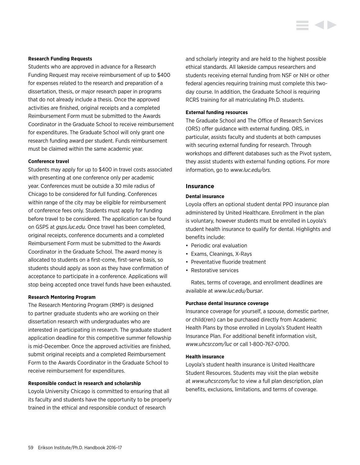#### **Research Funding Requests**

Students who are approved in advance for a Research Funding Request may receive reimbursement of up to \$400 for expenses related to the research and preparation of a dissertation, thesis, or major research paper in programs that do not already include a thesis. Once the approved activities are finished, original receipts and a completed Reimbursement Form must be submitted to the Awards Coordinator in the Graduate School to receive reimbursement for expenditures. The Graduate School will only grant one research funding award per student. Funds reimbursement must be claimed within the same academic year.

#### **Conference travel**

Students may apply for up to \$400 in travel costs associated with presenting at one conference only per academic year. Conferences must be outside a 30 mile radius of Chicago to be considered for full funding. Conferences within range of the city may be eligible for reimbursement of conference fees only. Students must apply for funding before travel to be considered. The application can be found on GSPS at *gsps.luc.edu.* Once travel has been completed, original receipts, conference documents and a completed Reimbursement Form must be submitted to the Awards Coordinator in the Graduate School. The award money is allocated to students on a first-come, first-serve basis, so students should apply as soon as they have confirmation of acceptance to participate in a conference. Applications will stop being accepted once travel funds have been exhausted.

#### **Research Mentoring Program**

The Research Mentoring Program (RMP) is designed to partner graduate students who are working on their dissertation research with undergraduates who are interested in participating in research. The graduate student application deadline for this competitive summer fellowship is mid-December. Once the approved activities are finished, submit original receipts and a completed Reimbursement Form to the Awards Coordinator in the Graduate School to receive reimbursement for expenditures.

#### **Responsible conduct in research and scholarship**

Loyola University Chicago is committed to ensuring that all its faculty and students have the opportunity to be properly trained in the ethical and responsible conduct of research

and scholarly integrity and are held to the highest possible ethical standards. All lakeside campus researchers and students receiving eternal funding from NSF or NIH or other federal agencies requiring training must complete this twoday course. In addition, the Graduate School is requiring RCRS training for all matriculating Ph.D. students.

# **External funding resources**

The Graduate School and The Office of Research Services (ORS) offer guidance with external funding. ORS, in particular, assists faculty and students at both campuses with securing external funding for research. Through workshops and different databases such as the Pivot system, they assist students with external funding options. For more information, go to *www.luc.edu/ors.*

#### **Insurance**

#### **Dental insurance**

Loyola offers an optional student dental PPO insurance plan administered by United Healthcare. Enrollment in the plan is voluntary, however students must be enrolled in Loyola's student health insurance to qualify for dental. Highlights and benefits include:

- Periodic oral evaluation
- Exams, Cleanings, X-Rays
- Preventative fluoride treatment
- Restorative services

Rates, terms of coverage, and enrollment deadlines are available at *www.luc.edu/bursar*.

#### **Purchase dental insurance coverage**

Insurance coverage for yourself, a spouse, domestic partner, or child(ren) can be purchased directly from Academic Health Plans by those enrolled in Loyola's Student Health Insurance Plan. For additional benefit information visit, *www.uhcsr.com/luc* or call 1-800-767-0700.

#### **Health insurance**

Loyola's student health insurance is United Healthcare Student Resources. Students may visit the plan website at *www.uhcsr.com/luc* to view a full plan description, plan benefits, exclusions, limitations, and terms of coverage.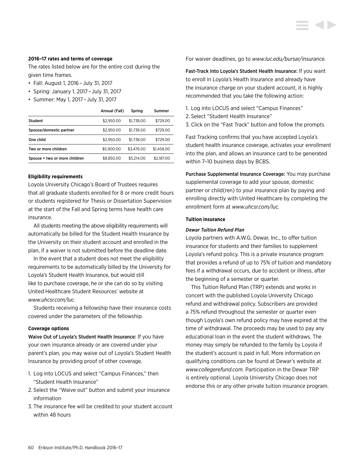#### **2016–17 rates and terms of coverage**

The rates listed below are for the entire cost during the given time frames.

- Fall: August 1, 2016 – July 31, 2017
- Spring: January 1, 2017 – July 31, 2017
- Summer: May 1, 2017 – July 31, 2017

|                               | Annual (Fall) | Spring     | Summer     |
|-------------------------------|---------------|------------|------------|
| Student                       | \$2.950.00    | \$1,738,00 | \$729.00   |
| Spouse/domestic partner       | \$2.950.00    | \$1,738,00 | \$729.00   |
| One child                     | \$2.950.00    | \$1,738,00 | \$729.00   |
| Two or more children          | \$5,900.00    | \$3.476.00 | \$1,458,00 |
| Spouse + two or more children | \$8,850.00    | \$5.214.00 | \$2,187,00 |

#### **Eligibility requirements**

Loyola University Chicago's Board of Trustees requires that all graduate students enrolled for 8 or more credit hours or students registered for Thesis or Dissertation Supervision at the start of the Fall and Spring terms have health care insurance.

All students meeting the above eligibility requirements will automatically be billed for the Student Health Insurance by the University on their student account and enrolled in the plan, if a waiver is not submitted before the deadline date.

In the event that a student does not meet the eligibility requirements to be automatically billed by the University for Loyola's Student Health Insurance, but would still like to purchase coverage, he or she can do so by visiting United Healthcare Student Resources' website at *www.uhcsr.com/luc.*

Students receiving a fellowship have their insurance costs covered under the parameters of the fellowship.

# **Coverage options**

Waive Out of Loyola's Student Health Insurance: If you have your own insurance already or are covered under your parent's plan, you may waive out of Loyola's Student Health Insurance by providing proof of other coverage.

- 1. Log into LOCUS and select "Campus Finances," then "Student Health Insurance"
- 2. Select the "Waive out" button and submit your insurance information
- 3. The insurance fee will be credited to your student account within 48 hours

For waiver deadlines, go to *www.luc.edu/bursar/insurance.*

Fast-Track Into Loyola's Student Health Insurance: If you want to enroll in Loyola's Health Insurance and already have the insurance charge on your student account, it is highly recommended that you take the following action:

- 1. Log into LOCUS and select "Campus Finances"
- 2. Select "Student Health Insurance"
- 3. Click on the "Fast Track" button and follow the prompts

Fast Tracking confirms that you have accepted Loyola's student health insurance coverage, activates your enrollment into the plan, and allows an insurance card to be generated within 7–10 business days by BCBS.

Purchase Supplemental Insurance Coverage: You may purchase supplemental coverage to add your spouse, domestic partner or child(ren) to your insurance plan by paying and enrolling directly with United Healthcare by completing the enrollment form at *www.uhcsr.com/luc.*

#### **Tuition insurance**

#### *Dewar Tuition Refund Plan*

Loyola partners with A.W.G. Dewar, Inc., to offer tuition insurance for students and their families to supplement Loyola's refund policy. This is a private insurance program that provides a refund of up to 75% of tuition and mandatory fees if a withdrawal occurs, due to accident or illness, after the beginning of a semester or quarter.

This Tuition Refund Plan (TRP) extends and works in concert with the published Loyola University Chicago refund and withdrawal policy. Subscribers are provided a 75% refund throughout the semester or quarter even though Loyola's own refund policy may have expired at the time of withdrawal. The proceeds may be used to pay any educational loan in the event the student withdraws. The money may simply be refunded to the family by Loyola if the student's account is paid in full. More information on qualifying conditions can be found at Dewar's website at *www.collegerefund.com.* Participation in the Dewar TRP is entirely optional. Loyola University Chicago does not endorse this or any other private tuition insurance program.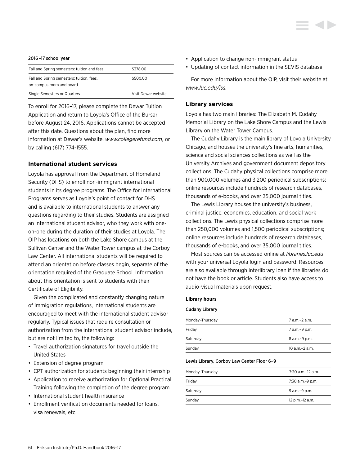#### 2016 –17 school year

| Fall and Spring semesters: tuition and fees                           | \$378.00            |
|-----------------------------------------------------------------------|---------------------|
| Fall and Spring semesters: tuition, fees,<br>on-campus room and board | \$500.00            |
| Single Semesters or Quarters                                          | Visit Dewar website |

To enroll for 2016–17, please complete the Dewar Tuition Application and return to Loyola's Office of the Bursar before August 24, 2016. Applications cannot be accepted after this date. Questions about the plan, find more information at Dewar's website, *www.collegerefund.com*, or by calling (617) 774-1555.

# **International student services**

Loyola has approval from the Department of Homeland Security (DHS) to enroll non-immigrant international students in its degree programs. The Office for International Programs serves as Loyola's point of contact for DHS and is available to international students to answer any questions regarding to their studies. Students are assigned an international student advisor, who they work with oneon-one during the duration of their studies at Loyola. The OIP has locations on both the Lake Shore campus at the Sullivan Center and the Water Tower campus at the Corboy Law Center. All international students will be required to attend an orientation before classes begin, separate of the orientation required of the Graduate School. Information about this orientation is sent to students with their Certificate of Eligibility.

Given the complicated and constantly changing nature of immigration regulations, international students are encouraged to meet with the international student advisor regularly. Typical issues that require consultation or authorization from the international student advisor include, but are not limited to, the following:

- Travel authorization signatures for travel outside the United States
- Extension of degree program
- CPT authorization for students beginning their internship
- Application to receive authorization for Optional Practical Training following the completion of the degree program
- International student health insurance
- Enrollment verification documents needed for loans, visa renewals, etc.
- Application to change non-immigrant status
- Updating of contact information in the SEVIS database

For more information about the OIP, visit their website at *www.luc.edu/iss.*

#### **Library services**

Loyola has two main libraries: The Elizabeth M. Cudahy Memorial Library on the Lake Shore Campus and the Lewis Library on the Water Tower Campus.

The Cudahy Library is the main library of Loyola University Chicago, and houses the university's fine arts, humanities, science and social sciences collections as well as the University Archives and government document depository collections. The Cudahy physical collections comprise more than 900,000 volumes and 3,200 periodical subscriptions; online resources include hundreds of research databases, thousands of e-books, and over 35,000 journal titles.

The Lewis Library houses the university's business, criminal justice, economics, education, and social work collections. The Lewis physical collections comprise more than 250,000 volumes and 1,500 periodical subscriptions; online resources include hundreds of research databases, thousands of e-books, and over 35,000 journal titles.

Most sources can be accessed online at *libraries.luc.edu* with your universal Loyola login and password. Resources are also available through interlibrary loan if the libraries do not have the book or article. Students also have access to audio-visual materials upon request.

#### **Library hours**

#### Cudahy Library

| Monday-Thursday | 7 a.m.-2 a.m.       |
|-----------------|---------------------|
| Friday          | 7 a.m.-9 p.m.       |
| Saturday        | 8 a.m. - 9 p.m.     |
| Sunday          | $10$ a.m. $-2$ a.m. |
|                 |                     |

#### Lewis Library, Corboy Law Center Floor 6–9

| Monday-Thursday | $7:30$ a.m. $-12$ a.m. |
|-----------------|------------------------|
| Friday          | 7:30 a.m.-9 p.m.       |
| Saturday        | 9 a.m. - 9 p.m.        |
| Sunday          | 12 p.m.-12 a.m.        |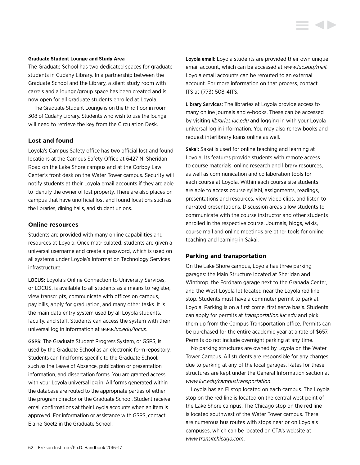#### **Graduate Student Lounge and Study Area**

The Graduate School has two dedicated spaces for graduate students in Cudahy Library. In a partnership between the Graduate School and the Library, a silent study room with carrels and a lounge/group space has been created and is now open for all graduate students enrolled at Loyola.

The Graduate Student Lounge is on the third floor in room 308 of Cudahy Library. Students who wish to use the lounge will need to retrieve the key from the Circulation Desk.

# **Lost and found**

Loyola's Campus Safety office has two official lost and found locations at the Campus Safety Office at 6427 N. Sheridan Road on the Lake Shore campus and at the Corboy Law Center's front desk on the Water Tower campus. Security will notify students at their Loyola email accounts if they are able to identify the owner of lost property. There are also places on campus that have unofficial lost and found locations such as the libraries, dining halls, and student unions.

### **Online resources**

Students are provided with many online capabilities and resources at Loyola. Once matriculated, students are given a universal username and create a password, which is used on all systems under Loyola's Information Technology Services infrastructure.

LOCUS: Loyola's Online Connection to University Services, or LOCUS, is available to all students as a means to register, view transcripts, communicate with offices on campus, pay bills, apply for graduation, and many other tasks. It is the main data entry system used by all Loyola students, faculty, and staff. Students can access the system with their universal log in information at *www.luc.edu/locus.*

GSPS: The Graduate Student Progress System, or GSPS, is used by the Graduate School as an electronic form repository. Students can find forms specific to the Graduate School, such as the Leave of Absence, publication or presentation information, and dissertation forms. You are granted access with your Loyola universal log in. All forms generated within the database are routed to the appropriate parties of either the program director or the Graduate School. Student receive email confirmations at their Loyola accounts when an item is approved. For information or assistance with GSPS, contact Elaine Goetz in the Graduate School.

Loyola email: Loyola students are provided their own unique email account, which can be accessed at *www.luc.edu/mail*. Loyola email accounts can be rerouted to an external account. For more information on that process, contact ITS at (773) 508-4ITS.

Library Services: The libraries at Loyola provide access to many online journals and e-books. These can be accessed by visiting *libraries.luc.edu* and logging in with your Loyola universal log in information. You may also renew books and request interlibrary loans online as well.

Sakai: Sakai is used for online teaching and learning at Loyola. Its features provide students with remote access to course materials, online research and library resources, as well as communication and collaboration tools for each course at Loyola. Within each course site students are able to access course syllabi, assignments, readings, presentations and resources, view video clips, and listen to narrated presentations. Discussion areas allow students to communicate with the course instructor and other students enrolled in the respective course. Journals, blogs, wikis, course mail and online meetings are other tools for online teaching and learning in Sakai.

#### **Parking and transportation**

On the Lake Shore campus, Loyola has three parking garages: the Main Structure located at Sheridan and Winthrop, the Fordham garage next to the Granada Center, and the West Loyola lot located near the Loyola red line stop. Students must have a commuter permit to park at Loyola. Parking is on a first come, first serve basis. Students can apply for permits at *transportation.luc.edu* and pick them up from the Campus Transportation office. Permits can be purchased for the entire academic year at a rate of \$657. Permits do not include overnight parking at any time.

No parking structures are owned by Loyola on the Water Tower Campus. All students are responsible for any charges due to parking at any of the local garages. Rates for these structures are kept under the General Information section at *www.luc.edu/campustransportation*.

Loyola has an El stop located on each campus. The Loyola stop on the red line is located on the central west point of the Lake Shore campus. The Chicago stop on the red line is located southwest of the Water Tower campus. There are numerous bus routes with stops near or on Loyola's campuses, which can be located on CTA's website at *www.transitchicago.com*.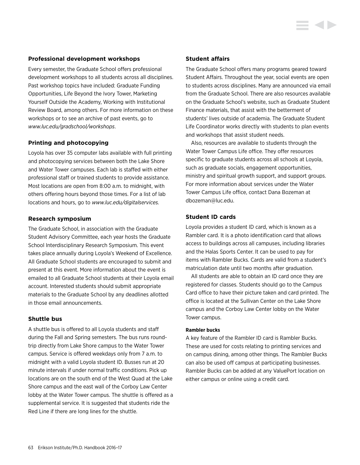# **Professional development workshops**

Every semester, the Graduate School offers professional development workshops to all students across all disciplines. Past workshop topics have included: Graduate Funding Opportunities, Life Beyond the Ivory Tower, Marketing Yourself Outside the Academy, Working with Institutional Review Board, among others. For more information on these workshops or to see an archive of past events, go to *www.luc.edu/gradschool/workshops*.

# **Printing and photocopying**

Loyola has over 35 computer labs available with full printing and photocopying services between both the Lake Shore and Water Tower campuses. Each lab is staffed with either professional staff or trained students to provide assistance. Most locations are open from 8:00 a.m. to midnight, with others offering hours beyond those times. For a list of lab locations and hours, go to *www.luc.edu/digitalservices.*

# **Research symposium**

The Graduate School, in association with the Graduate Student Advisory Committee, each year hosts the Graduate School Interdisciplinary Research Symposium. This event takes place annually during Loyola's Weekend of Excellence. All Graduate School students are encouraged to submit and present at this event. More information about the event is emailed to all Graduate School students at their Loyola email account. Interested students should submit appropriate materials to the Graduate School by any deadlines allotted in those email announcements.

# **Shuttle bus**

A shuttle bus is offered to all Loyola students and staff during the Fall and Spring semesters. The bus runs roundtrip directly from Lake Shore campus to the Water Tower campus. Service is offered weekdays only from 7 a.m. to midnight with a valid Loyola student ID. Busses run at 20 minute intervals if under normal traffic conditions. Pick up locations are on the south end of the West Quad at the Lake Shore campus and the east wall of the Corboy Law Center lobby at the Water Tower campus. The shuttle is offered as a supplemental service. It is suggested that students ride the Red Line if there are long lines for the shuttle.

# **Student affairs**

The Graduate School offers many programs geared toward Student Affairs. Throughout the year, social events are open to students across disciplines. Many are announced via email from the Graduate School. There are also resources available on the Graduate School's website, such as Graduate Student Finance materials, that assist with the betterment of students' lives outside of academia. The Graduate Student Life Coordinator works directly with students to plan events and workshops that assist student needs.

Also, resources are available to students through the Water Tower Campus Life office. They offer resources specific to graduate students across all schools at Loyola, such as graduate socials, engagement opportunities, ministry and spiritual growth support, and support groups. For more information about services under the Water Tower Campus Life office, contact Dana Bozeman at dbozeman@luc.edu.

# **Student ID cards**

Loyola provides a student ID card, which is known as a Rambler card. It is a photo identification card that allows access to buildings across all campuses, including libraries and the Halas Sports Center. It can be used to pay for items with Rambler Bucks. Cards are valid from a student's matriculation date until two months after graduation.

All students are able to obtain an ID card once they are registered for classes. Students should go to the Campus Card office to have their picture taken and card printed. The office is located at the Sullivan Center on the Lake Shore campus and the Corboy Law Center lobby on the Water Tower campus.

#### **Rambler bucks**

A key feature of the Rambler ID card is Rambler Bucks. These are used for costs relating to printing services and on campus dining, among other things. The Rambler Bucks can also be used off campus at participating businesses. Rambler Bucks can be added at any ValuePort location on either campus or online using a credit card.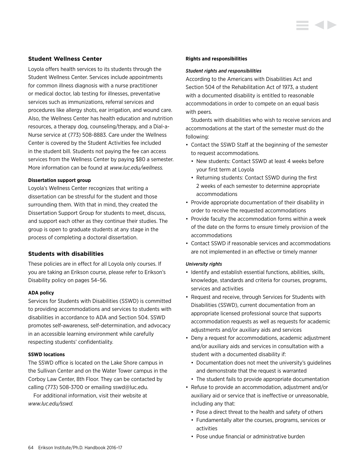# **Student Wellness Center**

Loyola offers health services to its students through the Student Wellness Center. Services include appointments for common illness diagnosis with a nurse practitioner or medical doctor, lab testing for illnesses, preventative services such as immunizations, referral services and procedures like allergy shots, ear irrigation, and wound care. Also, the Wellness Center has health education and nutrition resources, a therapy dog, counseling/therapy, and a Dial-a-Nurse service at (773) 508-8883. Care under the Wellness Center is covered by the Student Activities fee included in the student bill. Students not paying the fee can access services from the Wellness Center by paying \$80 a semester. More information can be found at *www.luc.edu/wellness.* 

# **Dissertation support group**

Loyola's Wellness Center recognizes that writing a dissertation can be stressful for the student and those surrounding them. With that in mind, they created the Dissertation Support Group for students to meet, discuss, and support each other as they continue their studies. The group is open to graduate students at any stage in the process of completing a doctoral dissertation.

# **Students with disabilities**

These policies are in effect for all Loyola only courses. If you are taking an Erikson course, please refer to Erikson's Disability policy on pages 54–56.

# **ADA policy**

Services for Students with Disabilities (SSWD) is committed to providing accommodations and services to students with disabilities in accordance to ADA and Section 504. SSWD promotes self-awareness, self-determination, and advocacy in an accessible learning environment while carefully respecting students' confidentiality.

# **SSWD locations**

The SSWD office is located on the Lake Shore campus in the Sullivan Center and on the Water Tower campus in the Corboy Law Center, 8th Floor. They can be contacted by calling (773) 508-3700 or emailing sswd@luc.edu.

For additional information, visit their website at *[www.luc.edu/sswd.](http://www.luc.edu/sswd)*

#### **Rights and responsibilities**

#### *Student rights and responsibilities*

According to the Americans with Disabilities Act and Section 504 of the Rehabilitation Act of 1973, a student with a documented disability is entitled to reasonable accommodations in order to compete on an equal basis with peers.

Students with disabilities who wish to receive services and accommodations at the start of the semester must do the following:

- Contact the SSWD Staff at the beginning of the semester to request accommodations.
	- New students: Contact SSWD at least 4 weeks before your first term at Loyola
	- Returning students: Contact SSWD during the first 2 weeks of each semester to determine appropriate accommodations
- Provide appropriate documentation of their disability in order to receive the requested accommodations
- Provide faculty the accommodation forms within a week of the date on the forms to ensure timely provision of the accommodations
- Contact SSWD if reasonable services and accommodations are not implemented in an effective or timely manner

#### *University rights*

- Identify and establish essential functions, abilities, skills, knowledge, standards and criteria for courses, programs, services and activities
- Request and receive, through Services for Students with Disabilities (SSWD), current documentation from an appropriate licensed professional source that supports accommodation requests as well as requests for academic adjustments and/or auxiliary aids and services
- Deny a request for accommodations, academic adjustment and/or auxiliary aids and services in consultation with a student with a documented disability if:
	- Documentation does not meet the university's guidelines and demonstrate that the request is warranted
	- The student fails to provide appropriate documentation
- Refuse to provide an accommodation, adjustment and/or auxiliary aid or service that is ineffective or unreasonable, including any that:
	- Pose a direct threat to the health and safety of others
	- Fundamentally alter the courses, programs, services or activities
	- Pose undue financial or administrative burden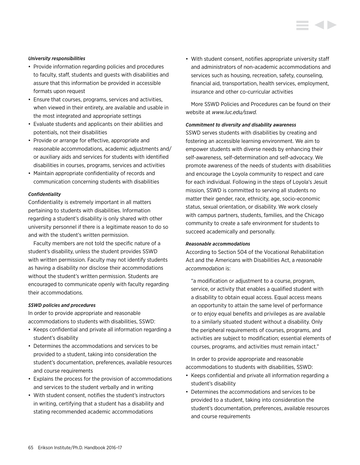#### *University responsibilities*

- Provide information regarding policies and procedures to faculty, staff, students and guests with disabilities and assure that this information be provided in accessible formats upon request
- Ensure that courses, programs, services and activities, when viewed in their entirety, are available and usable in the most integrated and appropriate settings
- Evaluate students and applicants on their abilities and potentials, not their disabilities
- Provide or arrange for effective, appropriate and reasonable accommodations, academic adjustments and/ or auxiliary aids and services for students with identified disabilities in courses, programs, services and activities
- Maintain appropriate confidentiality of records and communication concerning students with disabilities

# *Confidentiality*

Confidentiality is extremely important in all matters pertaining to students with disabilities. Information regarding a student's disability is only shared with other university personnel if there is a legitimate reason to do so and with the student's written permission.

Faculty members are not told the specific nature of a student's disability, unless the student provides SSWD with written permission. Faculty may not identify students as having a disability nor disclose their accommodations without the student's written permission. Students are encouraged to communicate openly with faculty regarding their accommodations.

#### *SSWD policies and procedures*

In order to provide appropriate and reasonable accommodations to students with disabilities, SSWD:

- Keeps confidential and private all information regarding a student's disability
- Determines the accommodations and services to be provided to a student, taking into consideration the student's documentation, preferences, available resources and course requirements
- Explains the process for the provision of accommodations and services to the student verbally and in writing
- With student consent, notifies the student's instructors in writing, certifying that a student has a disability and stating recommended academic accommodations

• With student consent, notifies appropriate university staff and administrators of non-academic accommodations and services such as housing, recreation, safety, counseling, financial aid, transportation, health services, employment, insurance and other co-curricular activities

More SSWD Policies and Procedures can be found on their website at *www.luc.edu/sswd.*

#### *Commitment to diversity and disability awareness*

SSWD serves students with disabilities by creating and fostering an accessible learning environment. We aim to empower students with diverse needs by enhancing their self-awareness, self-determination and self-advocacy. We promote awareness of the needs of students with disabilities and encourage the Loyola community to respect and care for each individual. Following in the steps of Loyola's Jesuit mission, SSWD is committed to serving all students no matter their gender, race, ethnicity, age, socio-economic status, sexual orientation, or disability. We work closely with campus partners, students, families, and the Chicago community to create a safe environment for students to succeed academically and personally.

#### *Reasonable accommodations*

According to Section 504 of the Vocational Rehabilitation Act and the Americans with Disabilities Act, a *reasonable accommodation* is:

"a modification or adjustment to a course, program, service, or activity that enables a qualified student with a disability to obtain equal access. Equal access means an opportunity to attain the same level of performance or to enjoy equal benefits and privileges as are available to a similarly situated student without a disability. Only the peripheral requirements of courses, programs, and activities are subject to modification; essential elements of courses, programs, and activities must remain intact."

In order to provide appropriate and reasonable accommodations to students with disabilities, SSWD:

- Keeps confidential and private all information regarding a student's disability
- Determines the accommodations and services to be provided to a student, taking into consideration the student's documentation, preferences, available resources and course requirements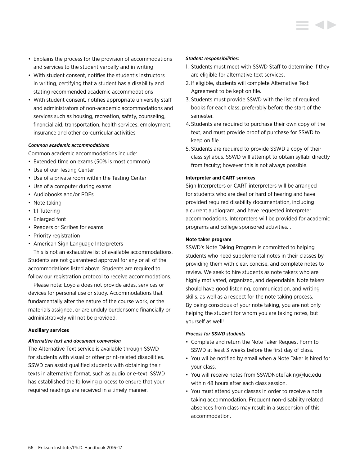- Explains the process for the provision of accommodations and services to the student verbally and in writing
- With student consent, notifies the student's instructors in writing, certifying that a student has a disability and stating recommended academic accommodations
- With student consent, notifies appropriate university staff and administrators of non-academic accommodations and services such as housing, recreation, safety, counseling, financial aid, transportation, health services, employment, insurance and other co-curricular activities

# *Common academic accommodations*

Common academic accommodations include:

- Extended time on exams (50% is most common)
- Use of our Testing Center
- Use of a private room within the Testing Center
- Use of a computer during exams
- Audiobooks and/or PDFs
- Note taking
- 1:1 Tutoring
- Enlarged font
- Readers or Scribes for exams
- Priority registration
- American Sign Language Interpreters

This is not an exhaustive list of available accommodations. Students are not guaranteed approval for any or all of the accommodations listed above. Students are required to follow our registration protocol to receive accommodations.

Please note: Loyola does not provide aides, services or devices for personal use or study. Accommodations that fundamentally alter the nature of the course work, or the materials assigned, or are unduly burdensome financially or administratively will not be provided.

# **Auxiliary services**

#### *Alternative text and document conversion*

The Alternative Text service is available through SSWD for students with visual or other print-related disabilities. SSWD can assist qualified students with obtaining their texts in alternative format, such as audio or e-text. SSWD has established the following process to ensure that your required readings are received in a timely manner.

#### *Student responsibilities:*

- 1. Students must meet with SSWD Staff to determine if they are eligible for alternative text services.
- 2. If eligible, students will complete Alternative Text Agreement to be kept on file.
- 3. Students must provide SSWD with the list of required books for each class, preferably before the start of the semester.
- 4. Students are required to purchase their own copy of the text, and must provide proof of purchase for SSWD to keep on file.
- 5. Students are required to provide SSWD a copy of their class syllabus. SSWD will attempt to obtain syllabi directly from faculty; however this is not always possible.

### **Interpreter and CART services**

Sign Interpreters or CART interpreters will be arranged for students who are deaf or hard of hearing and have provided required disability documentation, including a current audiogram, and have requested interpreter accommodations. Interpreters will be provided for academic programs and college sponsored activities. .

#### **Note taker program**

SSWD's Note Taking Program is committed to helping students who need supplemental notes in their classes by providing them with clear, concise, and complete notes to review. We seek to hire students as note takers who are highly motivated, organized, and dependable. Note takers should have good listening, communication, and writing skills, as well as a respect for the note taking process. By being conscious of your note taking, you are not only helping the student for whom you are taking notes, but yourself as well!

#### *Process for SSWD students*

- Complete and return the Note Taker Request Form to SSWD at least 3 weeks before the first day of class.
- You wil be notified by email when a Note Taker is hired for your class.
- You will receive notes from SSWDNoteTaking@luc.edu within 48 hours after each class session.
- You must attend your classes in order to receive a note taking accommodation. Frequent non-disability related absences from class may result in a suspension of this accommodation.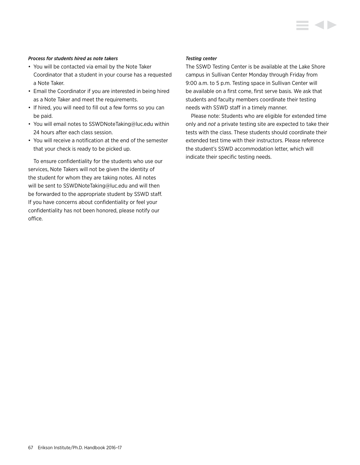# *Process for students hired as note takers*

- You will be contacted via email by the Note Taker Coordinator that a student in your course has a requested a Note Taker.
- Email the Coordinator if you are interested in being hired as a Note Taker and meet the requirements.
- If hired, you will need to fill out a few forms so you can be paid.
- You will email notes to SSWDNoteTaking@luc.edu within 24 hours after each class session.
- You will receive a notification at the end of the semester that your check is ready to be picked up.

To ensure confidentiality for the students who use our services, Note Takers will not be given the identity of the student for whom they are taking notes. All notes will be sent to SSWDNoteTaking@luc.edu and will then be forwarded to the appropriate student by SSWD staff. If you have concerns about confidentiality or feel your confidentiality has not been honored, please notify our office.

#### *Testing center*

The SSWD Testing Center is be available at the Lake Shore campus in Sullivan Center Monday through Friday from 9:00 a.m. to 5 p.m. Testing space in Sullivan Center will be available on a first come, first serve basis. We ask that students and faculty members coordinate their testing needs with SSWD staff in a timely manner.

Please note: Students who are eligible for extended time only and *not* a private testing site are expected to take their tests with the class. These students should coordinate their extended test time with their instructors. Please reference the student's SSWD accommodation letter, which will indicate their specific testing needs.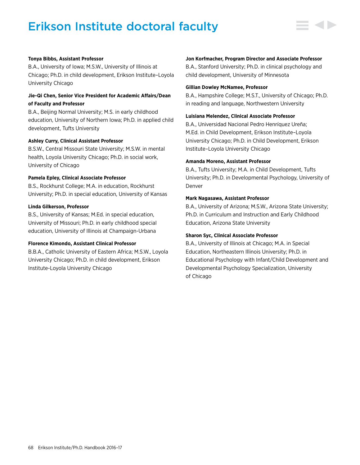# Erikson Institute doctoral faculty



# **Tonya Bibbs, Assistant Professor**

B.A., University of Iowa; M.S.W., University of Illinois at Chicago; Ph.D. in child development, Erikson Institute–Loyola University Chicago

# **Jie-Qi Chen, Senior Vice President for Academic Affairs/Dean of Faculty and Professor**

B.A., Beijing Normal University; M.S. in early childhood education, University of Northern Iowa; Ph.D. in applied child development, Tufts University

#### **Ashley Curry, Clinical Assistant Professor**

B.S.W., Central Missouri State University; M.S.W. in mental health, Loyola University Chicago; Ph.D. in social work, University of Chicago

#### **Pamela Epley, Clinical Associate Professor**

B.S., Rockhurst College; M.A. in education, Rockhurst University; Ph.D. in special education, University of Kansas

# **Linda Gilkerson, Professor**

B.S., University of Kansas; M.Ed. in special education, University of Missouri; Ph.D. in early childhood special education, University of Illinois at Champaign-Urbana

# **Florence Kimondo, Assistant Clinical Professor**

B.B.A., Catholic University of Eastern Africa; M.S.W., Loyola University Chicago; Ph.D. in child development, Erikson Institute-Loyola University Chicago

#### **Jon Korfmacher, Program Director and Associate Professor**

B.A., Stanford University; Ph.D. in clinical psychology and child development, University of Minnesota

#### **Gillian Dowley McNamee, Professor**

B.A., Hampshire College; M.S.T., University of Chicago; Ph.D. in reading and language, Northwestern University

# **Luisiana Melendez, Clinical Associate Professor**

B.A., Universidad Nacional Pedro Henríquez Ureña; M.Ed. in Child Development, Erikson Institute–Loyola University Chicago; Ph.D. in Child Development, Erikson Institute–Loyola University Chicago

#### **Amanda Moreno, Assistant Professor**

B.A., Tufts University; M.A. in Child Development, Tufts University; Ph.D. in Developmental Psychology, University of Denver

#### **Mark Nagasawa, Assistant Professor**

B.A., University of Arizona; M.S.W., Arizona State University; Ph.D. in Curriculum and Instruction and Early Childhood Education, Arizona State University

# **Sharon Syc, Clinical Associate Professor**

B.A., University of Illinois at Chicago; M.A. in Special Education, Northeastern Illinois University; Ph.D. in Educational Psychology with Infant/Child Development and Developmental Psychology Specialization, University of Chicago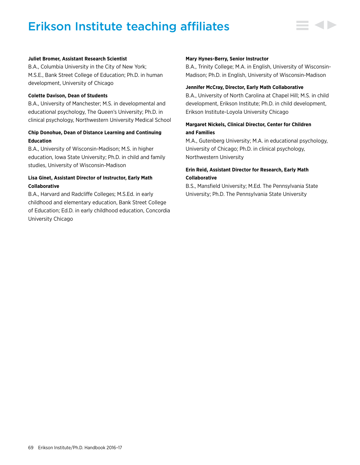# Erikson Institute teaching affiliates



# **Juliet Bromer, Assistant Research Scientist**

B.A., Columbia University in the City of New York; M.S.E., Bank Street College of Education; Ph.D. in human development, University of Chicago

# **Colette Davison, Dean of Students**

B.A., University of Manchester; M.S. in developmental and educational psychology, The Queen's University; Ph.D. in clinical psychology, Northwestern University Medical School

# **Chip Donohue, Dean of Distance Learning and Continuing Education**

B.A., University of Wisconsin-Madison; M.S. in higher education, Iowa State University; Ph.D. in child and family studies, University of Wisconsin-Madison

# **Lisa Ginet, Assistant Director of Instructor, Early Math Collaborative**

B.A., Harvard and Radcliffe Colleges; M.S.Ed. in early childhood and elementary education, Bank Street College of Education; Ed.D. in early childhood education, Concordia University Chicago

#### **Mary Hynes-Berry, Senior Instructor**

B.A., Trinity College; M.A. in English, University of Wisconsin-Madison; Ph.D. in English, University of Wisconsin-Madison

#### **Jennifer McCray, Director, Early Math Collaborative**

B.A., University of North Carolina at Chapel Hill; M.S. in child development, Erikson Institute; Ph.D. in child development, Erikson Institute-Loyola University Chicago

# **Margaret Nickels, Clinical Director, Center for Children and Families**

M.A., Gutenberg University; M.A. in educational psychology, University of Chicago; Ph.D. in clinical psychology, Northwestern University

# **Erin Reid, Assistant Director for Research, Early Math Collaborative**

B.S., Mansfield University; M.Ed. The Pennsylvania State University; Ph.D. The Pennsylvania State University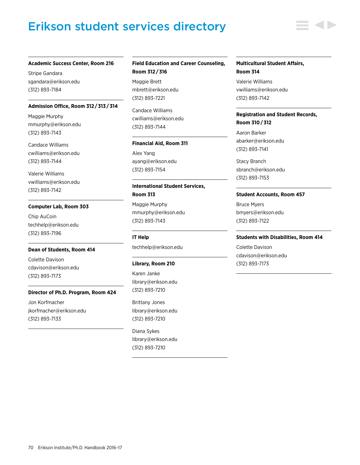# Erikson student services directory



Stripe Gandara sgandara@erikson.edu (312) 893-7184

#### **Admission Office, Room 312 / 313 / 314**

Maggie Murphy mmurphy@erikson.edu (312) 893-7143

Candace Williams cwilliams@erikson.edu (312) 893-7144

Valerie Williams vwilliams@erikson.edu (312) 893-7142

### **Computer Lab, Room 303**

Chip AuCoin techhelp@erikson.edu (312) 893-7196

#### **Dean of Students, Room 414**

Colette Davison cdavison@erikson.edu (312) 893-7173

# **Director of Ph.D. Program, Room 424**

Jon Korfmacher jkorfmacher@erikson.edu (312) 893-7133

# **Field Education and Career Counseling, Room 312 / 316**

Maggie Brett mbrett@erikson.edu (312) 893-7221

Candace Williams cwilliams@erikson.edu (312) 893-7144

#### **Financial Aid, Room 311**

Alex Yang ayang@erikson.edu (312) 893-7154

# **International Student Services, Room 313**

Maggie Murphy mmurphy@erikson.edu (312) 893-7143

#### **IT Help**

techhelp@erikson.edu

#### **Library, Room 210**

Karen Janke library@erikson.edu (312) 893-7210

Brittany Jones library@erikson.edu (312) 893-7210

Diana Sykes library@erikson.edu (312) 893-7210

# **Multicultural Student Affairs, Room 314**

Valerie Williams vwilliams@erikson.edu (312) 893-7142

# **Registration and Student Records, Room 310 / 312**

Aaron Barker abarker@erikson.edu (312) 893-7141

Stacy Branch sbranch@erikson.edu (312) 893-7153

#### **Student Accounts, Room 457**

Bruce Myers bmyers@erikson.edu (312) 893-7122

#### **Students with Disabilities, Room 414**

Colette Davison cdavison@erikson.edu (312) 893-7173

70 Erikson Institute/Ph.D. Handbook 2016–17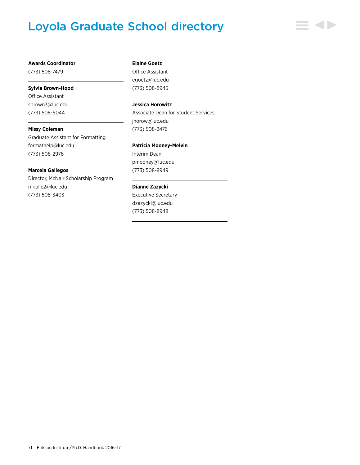# Loyola Graduate School directory

#### **Awards Coordinator**

(773) 508-7479

#### **Sylvia Brown-Hood**

Office Assistant sbrown3@luc.edu (773) 508-6044

**Missy Coleman** Graduate Assistant for Formatting formathelp@luc.edu (773) 508-2976

#### **Marcela Gallegos**

Director, McNair Scholarship Program mgalle2@luc.edu (773) 508-3403

### **Elaine Goetz**

Office Assistant egoetz@luc.edu (773) 508-8945

# **Jessica Horowitz**

Associate Dean for Student Services jhorow@luc.edu (773) 508-2476

#### **Patricia Mooney-Melvin**

Interim Dean pmooney@luc.edu (773) 508-8949

# **Dianne Zazycki**

Executive Secretary dzazycki@luc.edu (773) 508-8948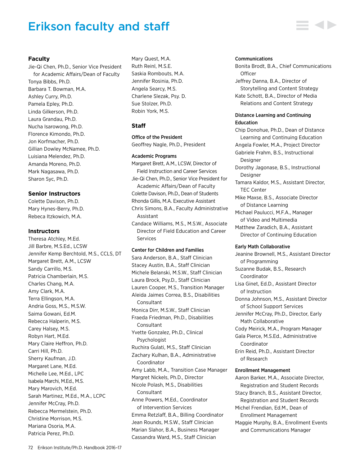# Erikson faculty and staff

# **Faculty**

Jie-Qi Chen, Ph.D., Senior Vice President for Academic Affairs/Dean of Faculty Tonya Bibbs, Ph.D. Barbara T. Bowman, M.A. Ashley Curry, Ph.D. Pamela Epley, Ph.D. Linda Gilkerson, Ph.D. Laura Grandau, Ph.D. Nucha Isarowong, Ph.D. Florence Kimondo, Ph.D. Jon Korfmacher, Ph.D. Gillian Dowley McNamee, Ph.D. Luisiana Melendez, Ph.D. Amanda Moreno, Ph.D. Mark Nagasawa, Ph.D. Sharon Syc, Ph.D.

# **Senior Instructors**

Colette Davison, Ph.D. Mary Hynes-Berry, Ph.D. Rebeca Itzkowich, M.A.

# **Instructors**

Theresa Atchley, M.Ed. Jill Barbre, M.S.Ed., LCSW Jennifer Kemp Berchtold, M.S., CCLS, DT Margaret Brett, A.M., LCSW Sandy Carrillo, M.S. Patricia Chamberlain, M.S. Charles Chang, M.A. Amy Clark, M.A. Terra Ellingson, M.A. Andria Goss, M.S., M.S.W. Saima Gowani, Ed.M. Rebecca Halperin, M.S. Carey Halsey, M.S. Robyn Hart, M.Ed. Mary Claire Heffron, Ph.D. Carri Hill, Ph.D. Sherry Kaufman, J.D. Margaret Lane, M.Ed. Michelle Lee, M.Ed., LPC Isabela Marchi, M.Ed., M.S. Mary Marovich, M.Ed. Sarah Martinez, M.Ed., M.A., LCPC Jennifer McCray, Ph.D. Rebecca Mermelstein, Ph.D. Christine Morrison, M.S. Mariana Osoria, M.A. Patricia Perez, Ph.D.

Mary Quest, M.A. Ruth Reinl, M.S.E. Saskia Rombouts, M.A. Jennifer Rosinia, Ph.D. Angela Searcy, M.S. Charlene Slezak, Psy. D. Sue Stolzer, Ph.D. Robin York, M.S.

# **Staff**

# Office of the President

Geoffrey Nagle, Ph.D., President

## Academic Programs

Margaret Brett, A.M., LCSW, Director of Field Instruction and Career Services Jie-Qi Chen, Ph.D., Senior Vice President for Academic Affairs/Dean of Faculty Colette Davison, Ph.D., Dean of Students Rhonda Gillis, M.A. Executive Assistant Chris Simons, B.A., Faculty Administrative Assistant Candace Williams, M.S., M.S.W., Associate Director of Field Education and Career Services

# Center for Children and Families

Sara Anderson, B.A., Staff Clinician Stacey Austin, B.A., Staff Clinician Michele Belanski, M.S.W., Staff Clinician Laura Brock, Psy.D., Staff Clinician Lauren Cooper, M.S., Transition Manager Aleida Jaimes Correa, B.S., Disabilities **Consultant** Monica Dirr, M.S.W., Staff Clinician Fraeda Friedman, Ph.D., Disabilities **Consultant** Yvette Gonzalez, Ph.D., Clinical Psychologist Ruchira Gulati, M.S., Staff Clinician Zachary Kulhan, B.A., Administrative Coordinator Amy Labb, M.A., Transition Case Manager Margret Nickels, Ph.D., Director Nicole Polash, M.S., Disabilities **Consultant** Anne Powers, M.Ed., Coordinator of Intervention Services Emma Retzlaff, B.A., Billing Coordinator Jean Rounds, M.S.W., Staff Clinician Marian Slahor, B.A., Business Manager Cassandra Ward, M.S., Staff Clinician

## Communications

Bonita Brodt, B.A., Chief Communications **Officer** Jeffrey Danna, B.A., Director of Storytelling and Content Strategy Kate Schott, B.A., Director of Media Relations and Content Strategy

# Distance Learning and Continuing Education

Chip Donohue, Ph.D., Dean of Distance Learning and Continuing Education Angela Fowler, M.A., Project Director Gabriele Frahm, B.S., Instructional Designer Dorothy Jagonase, B.S., Instructional Designer Tamara Kaldor, M.S., Assistant Director, TEC Center Mike Maxse, B.S., Associate Director of Distance Learning

Michael Paulucci, M.F.A., Manager of Video and Multimedia

Matthew Zaradich, B.A., Assistant Director of Continuing Education

## Early Math Collaborative

Jeanine Brownell, M.S., Assistant Director of Programming Suzanne Budak, B.S., Research Coordinator Lisa Ginet, Ed.D., Assistant Director of Instruction Donna Johnson, M.S., Assistant Director of School Support Services Jennifer McCray, Ph.D., Director, Early Math Collaborative Cody Meirick, M.A., Program Manager Gala Pierce, M.S.Ed., Administrative Coordinator Erin Reid, Ph.D., Assistant Director of Research Enrollment Management Aaron Barker, M.A., Associate Director, Registration and Student Records Stacy Branch, B.S., Assistant Director,

Registration and Student Records Michel Frendian, Ed.M., Dean of Enrollment Management

Maggie Murphy, B.A., Enrollment Events and Communications Manager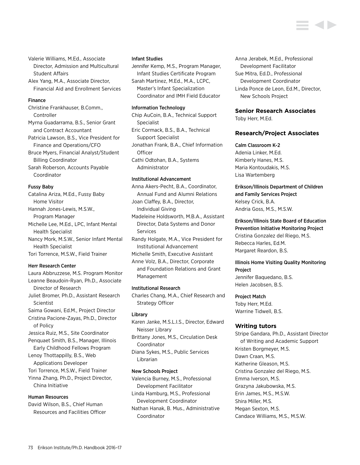Valerie Williams, M.Ed., Associate Director, Admission and Multicultural Student Affairs

Alex Yang, M.A., Associate Director, Financial Aid and Enrollment Services

## Finance

Christine Frankhauser, B.Comm., Controller Myrna Guadarrama, B.S., Senior Grant and Contract Accountant Patricia Lawson, B.S., Vice President for Finance and Operations/CFO Bruce Myers, Financial Analyst/Student Billing Coordinator Sarah Roberson, Accounts Payable Coordinator

Fussy Baby

Catalina Ariza, M.Ed., Fussy Baby Home Visitor Hannah Jones-Lewis, M.S.W., Program Manager Michelle Lee, M.Ed., LPC, Infant Mental Health Specialist Nancy Mork, M.S.W., Senior Infant Mental Health Specialist Tori Torrence, M.S.W., Field Trainer

## Herr Research Center

Laura Abbruzzese, M.S. Program Monitor Leanne Beaudoin-Ryan, Ph.D., Associate Director of Research Juliet Bromer, Ph.D., Assistant Research Scientist Saima Gowani, Ed.M., Project Director Cristina Pacione-Zayas, Ph.D., Director of Policy Jessica Ruiz, M.S., Site Coordinator Penquaet Smith, B.S., Manager, Illinois Early Childhood Fellows Program Lenoy Thottappilly, B.S., Web Applications Developer Tori Torrence, M.S.W., Field Trainer Yinna Zhang, Ph.D., Project Director, China Initiative

# Human Resources

David Wilson, B.S., Chief Human Resources and Facilities Officer

#### Infant Studies

Jennifer Kemp, M.S., Program Manager, Infant Studies Certificate Program Sarah Martinez, M.Ed., M.A., LCPC, Master's Infant Specialization Coordinator and IMH Field Educator

## Information Technology

Chip AuCoin, B.A., Technical Support Specialist Eric Cormack, B.S., B.A., Technical Support Specialist Jonathan Frank, B.A., Chief Information **Officer** Cathi Odtohan, B.A., Systems Administrator

# Institutional Advancement

Anna Akers-Pecht, B.A., Coordinator, Annual Fund and Alumni Relations Joan Claffey, B.A., Director, Individual Giving

Madeleine Holdsworth, M.B.A., Assistant Director, Data Systems and Donor Services

Randy Holgate, M.A., Vice President for Institutional Advancement

Michelle Smith, Executive Assistant

Anne Volz, B.A., Director, Corporate and Foundation Relations and Grant Management

#### Institutional Research

Charles Chang, M.A., Chief Research and Strategy Officer

## Library

Karen Janke, M.S.L.I.S., Director, Edward Neisser Library

Brittany Jones, M.S., Circulation Desk Coordinator

Diana Sykes, M.S., Public Services Librarian

## New Schools Project

Valencia Burney, M.S., Professional Development Facilitator Linda Hamburg, M.S., Professional

Development Coordinator

Nathan Hanak, B. Mus., Administrative Coordinator

Anna Jerabek, M.Ed., Professional Development Facilitator Sue Mitra, Ed.D., Professional Development Coordinator Linda Ponce de Leon, Ed.M., Director, New Schools Project

# **Senior Research Associates**

Toby Herr, M.Ed.

# **Research/Project Associates**

## Calm Classroom K-2

Adenia Linker, M.Ed. Kimberly Hanes, M.S. Maria Kontoudakis, M.S. Lisa Wartemberg

Erikson/Illinois Department of Children and Family Services Project Kelsey Crick, B.A. Andria Goss, M.S., M.S.W.

Erikson/Illinois State Board of Education Prevention Initiative Monitoring Project Cristina Gonzalez del Riego, M.S. Rebecca Harles, Ed.M. Margaret Reardon, B.S.

# Illinois Home Visiting Quality Monitoring Project

Jennifer Baquedano, B.S. Helen Jacobsen, B.S.

## Project Match

Toby Herr, M.Ed. Warrine Tidwell, B.S.

# **Writing tutors**

Stripe Gandara, Ph.D., Assistant Director of Writing and Academic Support Kristen Borgmeyer, M.S. Dawn Craan, M.S. Katherine Gleason, M.S. Cristina Gonzalez del Riego, M.S. Emma Iverson, M.S. Grazyna Jakubowska, M.S. Erin James, M.S., M.S.W. Shira Miller, M.S. Megan Sexton, M.S. Candace Williams, M.S., M.S.W.